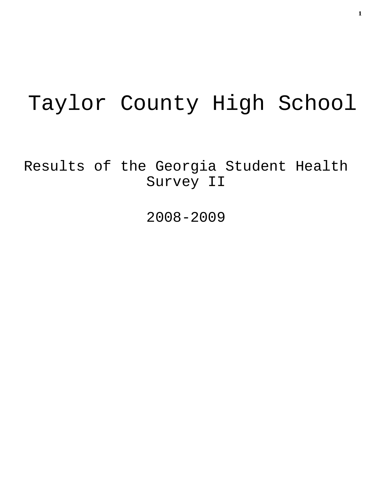# Taylor County High School

Results of the Georgia Student Health Survey II

2008-2009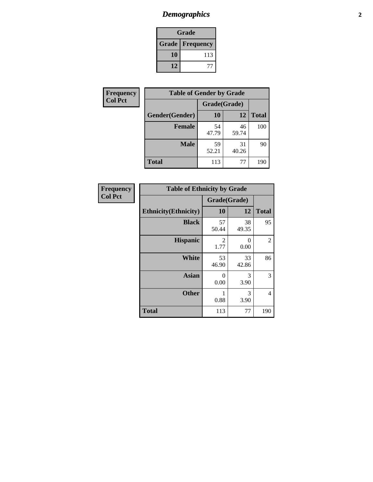# *Demographics* **2**

| Grade |                          |  |  |
|-------|--------------------------|--|--|
|       | <b>Grade   Frequency</b> |  |  |
| 10    | 113                      |  |  |
| 12    |                          |  |  |

| <b>Frequency</b> | <b>Table of Gender by Grade</b> |              |             |              |
|------------------|---------------------------------|--------------|-------------|--------------|
| <b>Col Pct</b>   |                                 | Grade(Grade) |             |              |
|                  | Gender(Gender)                  | <b>10</b>    | 12          | <b>Total</b> |
|                  | <b>Female</b>                   | 54<br>47.79  | 46<br>59.74 | 100          |
|                  | <b>Male</b>                     | 59<br>52.21  | 31<br>40.26 | 90           |
|                  | <b>Total</b>                    | 113          | 77          | 190          |

| <b>Frequency</b> |  |
|------------------|--|
| Col Pct          |  |

| <b>Table of Ethnicity by Grade</b> |                  |              |              |  |  |  |
|------------------------------------|------------------|--------------|--------------|--|--|--|
|                                    |                  | Grade(Grade) |              |  |  |  |
| <b>Ethnicity</b> (Ethnicity)       | 10               | 12           | <b>Total</b> |  |  |  |
| <b>Black</b>                       | 57<br>50.44      | 38<br>49.35  | 95           |  |  |  |
| <b>Hispanic</b>                    | 2<br>1.77        | 0<br>0.00    | 2            |  |  |  |
| <b>White</b>                       | 53<br>46.90      | 33<br>42.86  | 86           |  |  |  |
| <b>Asian</b>                       | $\theta$<br>0.00 | 3<br>3.90    | 3            |  |  |  |
| <b>Other</b>                       | 1<br>0.88        | 3<br>3.90    | 4            |  |  |  |
| <b>Total</b>                       | 113              | 77           | 190          |  |  |  |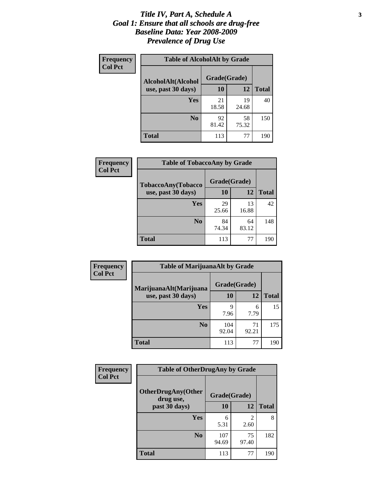#### *Title IV, Part A, Schedule A* **3** *Goal 1: Ensure that all schools are drug-free Baseline Data: Year 2008-2009 Prevalence of Drug Use*

| Frequency<br><b>Col Pct</b> | <b>Table of AlcoholAlt by Grade</b>      |              |             |              |  |  |
|-----------------------------|------------------------------------------|--------------|-------------|--------------|--|--|
|                             | AlcoholAlt(Alcohol<br>use, past 30 days) | Grade(Grade) |             |              |  |  |
|                             |                                          | 10           | 12          | <b>Total</b> |  |  |
|                             | Yes                                      | 21<br>18.58  | 19<br>24.68 | 40           |  |  |
|                             | N <sub>0</sub>                           | 92<br>81.42  | 58<br>75.32 | 150          |  |  |
|                             | <b>Total</b>                             | 113          | 77          | 190          |  |  |

| Frequency      | <b>Table of TobaccoAny by Grade</b> |              |             |              |  |
|----------------|-------------------------------------|--------------|-------------|--------------|--|
| <b>Col Pct</b> | TobaccoAny(Tobacco                  | Grade(Grade) |             |              |  |
|                | use, past 30 days)                  | <b>10</b>    | 12          | <b>Total</b> |  |
|                | Yes                                 | 29<br>25.66  | 13<br>16.88 | 42           |  |
|                | N <sub>0</sub>                      | 84<br>74.34  | 64<br>83.12 | 148          |  |
|                | Total                               | 113          | 77          | 190          |  |

| Frequency<br><b>Col Pct</b> | <b>Table of MarijuanaAlt by Grade</b>        |              |             |              |  |
|-----------------------------|----------------------------------------------|--------------|-------------|--------------|--|
|                             | MarijuanaAlt(Marijuana<br>use, past 30 days) | Grade(Grade) |             |              |  |
|                             |                                              | 10           | 12          | <b>Total</b> |  |
|                             | Yes                                          | 9<br>7.96    | 6<br>7.79   | 15           |  |
|                             | N <sub>0</sub>                               | 104<br>92.04 | 71<br>92.21 | 175          |  |
|                             | <b>Total</b>                                 | 113          | 77          | 190          |  |

| <b>Frequency</b> | <b>Table of OtherDrugAny by Grade</b>  |              |             |              |  |
|------------------|----------------------------------------|--------------|-------------|--------------|--|
| <b>Col Pct</b>   | <b>OtherDrugAny(Other</b><br>drug use, | Grade(Grade) |             |              |  |
|                  | past 30 days)                          | 10           | <b>12</b>   | <b>Total</b> |  |
|                  | <b>Yes</b>                             | 6<br>5.31    | 2<br>2.60   | 8            |  |
|                  | N <sub>0</sub>                         | 107<br>94.69 | 75<br>97.40 | 182          |  |
|                  | <b>Total</b>                           | 113          | 77          | 190          |  |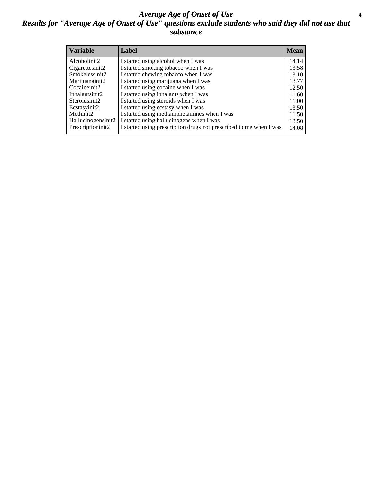#### *Average Age of Onset of Use* **4** *Results for "Average Age of Onset of Use" questions exclude students who said they did not use that substance*

| <b>Variable</b>    | Label                                                              | <b>Mean</b> |
|--------------------|--------------------------------------------------------------------|-------------|
| Alcoholinit2       | I started using alcohol when I was                                 | 14.14       |
| Cigarettesinit2    | I started smoking tobacco when I was                               | 13.58       |
| Smokelessinit2     | I started chewing tobacco when I was                               | 13.10       |
| Marijuanainit2     | I started using marijuana when I was                               | 13.77       |
| Cocaineinit2       | I started using cocaine when I was                                 | 12.50       |
| Inhalantsinit2     | I started using inhalants when I was                               | 11.60       |
| Steroidsinit2      | I started using steroids when I was                                | 11.00       |
| Ecstasyinit2       | I started using ecstasy when I was                                 | 13.50       |
| Methinit2          | I started using methamphetamines when I was                        | 11.50       |
| Hallucinogensinit2 | I started using hallucinogens when I was                           | 13.50       |
| Prescriptioninit2  | I started using prescription drugs not prescribed to me when I was | 14.08       |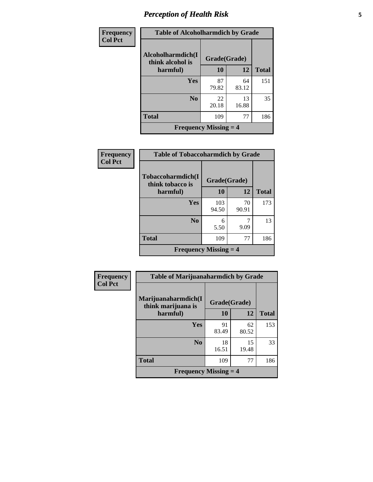# *Perception of Health Risk* **5**

| Frequency      | <b>Table of Alcoholharmdich by Grade</b>  |              |             |              |  |
|----------------|-------------------------------------------|--------------|-------------|--------------|--|
| <b>Col Pct</b> | Alcoholharmdich(I<br>think alcohol is     | Grade(Grade) |             |              |  |
|                | harmful)                                  | 10           | 12          | <b>Total</b> |  |
|                | Yes                                       | 87<br>79.82  | 64<br>83.12 | 151          |  |
|                | N <sub>0</sub>                            | 22<br>20.18  | 13<br>16.88 | 35           |  |
|                | <b>Total</b>                              | 109          | 77          | 186          |  |
|                | <b>Frequency Missing <math>=</math> 4</b> |              |             |              |  |

| <b>Frequency</b> | <b>Table of Tobaccoharmdich by Grade</b>  |              |       |              |
|------------------|-------------------------------------------|--------------|-------|--------------|
| <b>Col Pct</b>   | Tobaccoharmdich(I<br>think tobacco is     | Grade(Grade) |       |              |
|                  | harmful)                                  | 10           | 12    | <b>Total</b> |
|                  | Yes                                       | 103          | 70    | 173          |
|                  |                                           | 94.50        | 90.91 |              |
|                  | N <sub>0</sub>                            | 6            |       | 13           |
|                  |                                           | 5.50         | 9.09  |              |
|                  | <b>Total</b>                              | 109          | 77    | 186          |
|                  | <b>Frequency Missing <math>=</math> 4</b> |              |       |              |

| Frequency      | <b>Table of Marijuanaharmdich by Grade</b> |              |             |              |  |
|----------------|--------------------------------------------|--------------|-------------|--------------|--|
| <b>Col Pct</b> | Marijuanaharmdich(I<br>think marijuana is  | Grade(Grade) |             |              |  |
|                | harmful)                                   | 10           | 12          | <b>Total</b> |  |
|                | Yes                                        | 91<br>83.49  | 62<br>80.52 | 153          |  |
|                | N <sub>0</sub>                             | 18<br>16.51  | 15<br>19.48 | 33           |  |
|                | <b>Total</b>                               | 109          | 77          | 186          |  |
|                | <b>Frequency Missing <math>=</math> 4</b>  |              |             |              |  |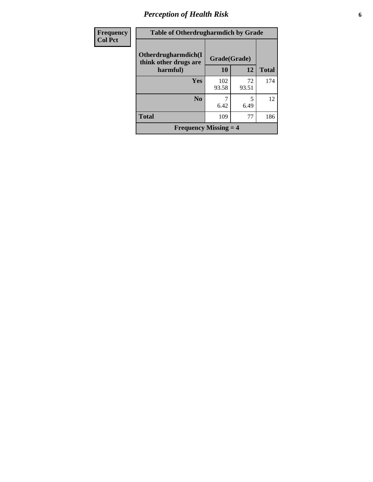# *Perception of Health Risk* **6**

| Frequency      | <b>Table of Otherdrugharmdich by Grade</b>   |              |             |              |  |
|----------------|----------------------------------------------|--------------|-------------|--------------|--|
| <b>Col Pct</b> | Otherdrugharmdich(I<br>think other drugs are | Grade(Grade) |             |              |  |
|                | harmful)                                     | 10           | 12          | <b>Total</b> |  |
|                | Yes                                          | 102<br>93.58 | 72<br>93.51 | 174          |  |
|                | N <sub>0</sub>                               | 6.42         | 5<br>6.49   | 12           |  |
|                | <b>Total</b>                                 | 109          | 77          | 186          |  |
|                | <b>Frequency Missing <math>=</math> 4</b>    |              |             |              |  |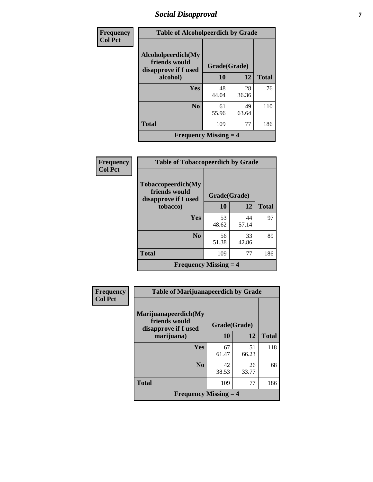## *Social Disapproval* **7**

| Frequency      |                                                             | <b>Table of Alcoholpeerdich by Grade</b> |             |              |  |
|----------------|-------------------------------------------------------------|------------------------------------------|-------------|--------------|--|
| <b>Col Pct</b> | Alcoholpeerdich(My<br>friends would<br>disapprove if I used | Grade(Grade)                             |             |              |  |
|                | alcohol)                                                    | 10                                       | 12          | <b>Total</b> |  |
|                | Yes                                                         | 48<br>44.04                              | 28<br>36.36 | 76           |  |
|                | N <sub>0</sub>                                              | 61<br>55.96                              | 49<br>63.64 | 110          |  |
|                | <b>Total</b>                                                | 109                                      | 77          | 186          |  |
|                | <b>Frequency Missing <math>=</math> 4</b>                   |                                          |             |              |  |

| Frequency      | <b>Table of Tobaccopeerdich by Grade</b>                    |              |             |              |  |
|----------------|-------------------------------------------------------------|--------------|-------------|--------------|--|
| <b>Col Pct</b> | Tobaccopeerdich(My<br>friends would<br>disapprove if I used | Grade(Grade) |             |              |  |
|                | tobacco)                                                    | 10           | 12          | <b>Total</b> |  |
|                | Yes                                                         | 53<br>48.62  | 44<br>57.14 | 97           |  |
|                | N <sub>0</sub>                                              | 56<br>51.38  | 33<br>42.86 | 89           |  |
|                | <b>Total</b>                                                | 109          | 77          | 186          |  |
|                | <b>Frequency Missing <math>=</math> 4</b>                   |              |             |              |  |

| <b>Frequency</b> | <b>Table of Marijuanapeerdich by Grade</b>                    |              |             |              |
|------------------|---------------------------------------------------------------|--------------|-------------|--------------|
| <b>Col Pct</b>   | Marijuanapeerdich(My<br>friends would<br>disapprove if I used | Grade(Grade) |             |              |
|                  | marijuana)                                                    | 10           | 12          | <b>Total</b> |
|                  | Yes                                                           | 67<br>61.47  | 51<br>66.23 | 118          |
|                  | N <sub>0</sub>                                                | 42<br>38.53  | 26<br>33.77 | 68           |
|                  | <b>Total</b>                                                  | 109          | 77          | 186          |
|                  | <b>Frequency Missing <math>=</math> 4</b>                     |              |             |              |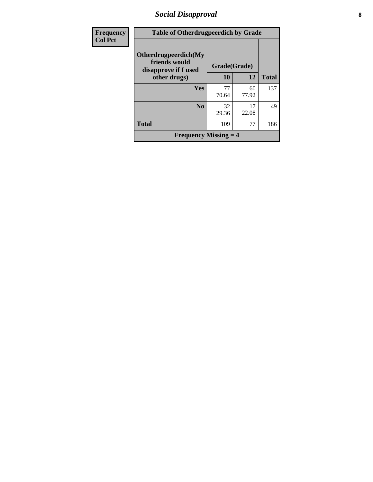## *Social Disapproval* **8**

| <b>Frequency</b> | <b>Table of Otherdrugpeerdich by Grade</b>                    |              |             |              |  |
|------------------|---------------------------------------------------------------|--------------|-------------|--------------|--|
| <b>Col Pct</b>   | Otherdrugpeerdich(My<br>friends would<br>disapprove if I used | Grade(Grade) |             |              |  |
|                  | other drugs)                                                  | 10           | 12          | <b>Total</b> |  |
|                  | Yes                                                           | 77<br>70.64  | 60<br>77.92 | 137          |  |
|                  | N <sub>0</sub>                                                | 32<br>29.36  | 17<br>22.08 | 49           |  |
|                  | <b>Total</b>                                                  | 109          | 77          | 186          |  |
|                  | <b>Frequency Missing <math>=</math> 4</b>                     |              |             |              |  |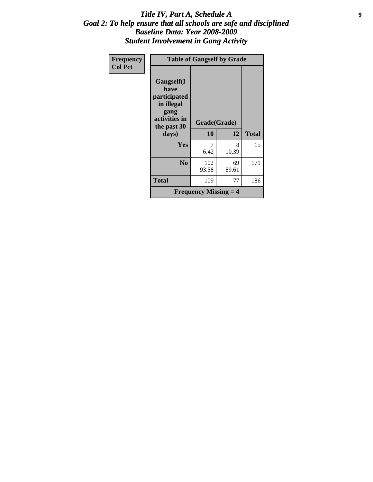#### *Title IV, Part A, Schedule A* **9** *Goal 2: To help ensure that all schools are safe and disciplined Baseline Data: Year 2008-2009 Student Involvement in Gang Activity*

| Frequency      | <b>Table of Gangself by Grade</b>                                                        |                                           |             |              |  |
|----------------|------------------------------------------------------------------------------------------|-------------------------------------------|-------------|--------------|--|
| <b>Col Pct</b> | Gangself(I<br>have<br>participated<br>in illegal<br>gang<br>activities in<br>the past 30 | Grade(Grade)                              |             |              |  |
|                | days)                                                                                    | 10                                        | 12          | <b>Total</b> |  |
|                | Yes                                                                                      | 7<br>6.42                                 | 8<br>10.39  | 15           |  |
|                | N <sub>0</sub>                                                                           | 102<br>93.58                              | 69<br>89.61 | 171          |  |
|                | Total                                                                                    | 109                                       | 77          | 186          |  |
|                |                                                                                          | <b>Frequency Missing <math>=</math> 4</b> |             |              |  |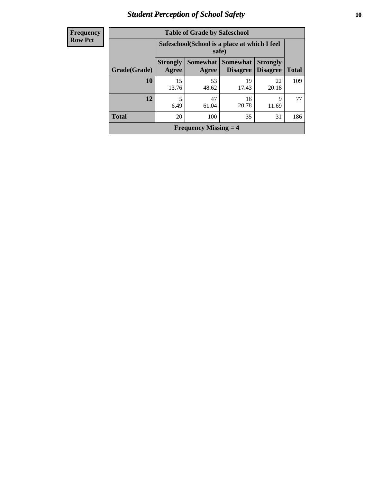## *Student Perception of School Safety* **10**

| <b>Frequency</b> |
|------------------|
| <b>Row Pct</b>   |

| <b>Table of Grade by Safeschool</b>       |                                                                                                                                      |                                                        |             |             |     |  |  |
|-------------------------------------------|--------------------------------------------------------------------------------------------------------------------------------------|--------------------------------------------------------|-------------|-------------|-----|--|--|
|                                           |                                                                                                                                      | Safeschool (School is a place at which I feel<br>safe) |             |             |     |  |  |
| Grade(Grade)                              | <b>Strongly</b><br><b>Somewhat</b><br><b>Strongly</b><br>Somewhat  <br><b>Disagree</b><br><b>Total</b><br>Agree<br>Disagree<br>Agree |                                                        |             |             |     |  |  |
| 10                                        | 15<br>13.76                                                                                                                          | 53<br>48.62                                            | 19<br>17.43 | 22<br>20.18 | 109 |  |  |
| 12                                        | 5<br>6.49                                                                                                                            | 47<br>61.04                                            | 16<br>20.78 | 9<br>11.69  | 77  |  |  |
| <b>Total</b><br>100<br>20<br>35<br>31     |                                                                                                                                      |                                                        |             |             |     |  |  |
| <b>Frequency Missing <math>=</math> 4</b> |                                                                                                                                      |                                                        |             |             |     |  |  |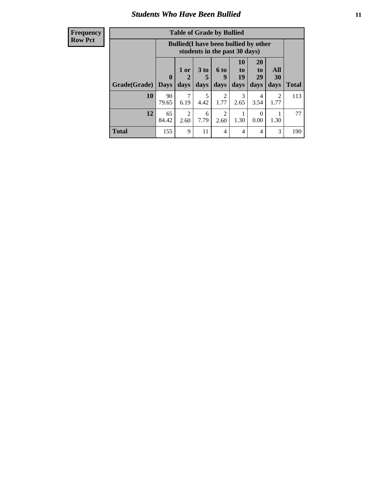#### *Students Who Have Been Bullied* **11**

#### **Frequency Row Pct**

| <b>Table of Grade by Bullied</b> |                                                                                                                                                                                              |                                                                               |           |                        |           |                  |                        |     |
|----------------------------------|----------------------------------------------------------------------------------------------------------------------------------------------------------------------------------------------|-------------------------------------------------------------------------------|-----------|------------------------|-----------|------------------|------------------------|-----|
|                                  |                                                                                                                                                                                              | <b>Bullied</b> (I have been bullied by other<br>students in the past 30 days) |           |                        |           |                  |                        |     |
| Grade(Grade)                     | 10<br><b>20</b><br>3 <sub>to</sub><br>All<br>6 to<br>1 or<br>to<br>to<br>19<br>29<br>$\bf{0}$<br>30<br>$\mathbf{2}$<br>9<br>5<br>days<br>days<br><b>Days</b><br>days<br>days<br>days<br>days |                                                                               |           |                        |           |                  | <b>Total</b>           |     |
| 10                               | 90<br>79.65                                                                                                                                                                                  | 7<br>6.19                                                                     | 5<br>4.42 | 2<br>1.77              | 3<br>2.65 | 4<br>3.54        | $\mathfrak{D}$<br>1.77 | 113 |
| 12                               | 65<br>84.42                                                                                                                                                                                  | $\overline{2}$<br>2.60                                                        | 6<br>7.79 | $\overline{2}$<br>2.60 | 1.30      | $\theta$<br>0.00 | 1.30                   | 77  |
| <b>Total</b>                     | 155                                                                                                                                                                                          | 9                                                                             | 11        | 4                      | 4         | 4                | 3                      | 190 |

 $\blacksquare$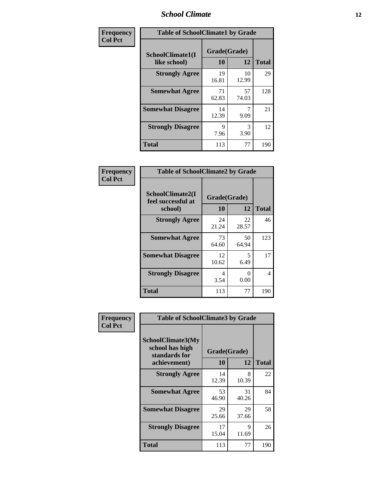#### *School Climate* **12**

| Frequency      | <b>Table of SchoolClimate1 by Grade</b> |                    |             |              |  |
|----------------|-----------------------------------------|--------------------|-------------|--------------|--|
| <b>Col Pct</b> | SchoolClimate1(I<br>like school)        | Grade(Grade)<br>10 | 12          | <b>Total</b> |  |
|                | <b>Strongly Agree</b>                   | 19<br>16.81        | 10<br>12.99 | 29           |  |
|                | <b>Somewhat Agree</b>                   | 71<br>62.83        | 57<br>74.03 | 128          |  |
|                | <b>Somewhat Disagree</b>                | 14<br>12.39        | 9.09        | 21           |  |
|                | <b>Strongly Disagree</b>                | 9<br>7.96          | 3<br>3.90   | 12           |  |
|                | <b>Total</b>                            | 113                | 77          | 190          |  |

| <b>Frequency</b> |  |
|------------------|--|
| <b>Col Pct</b>   |  |

| <b>Table of SchoolClimate2 by Grade</b>           |                    |                           |              |  |  |
|---------------------------------------------------|--------------------|---------------------------|--------------|--|--|
| SchoolClimate2(I<br>feel successful at<br>school) | Grade(Grade)<br>10 | 12                        | <b>Total</b> |  |  |
| <b>Strongly Agree</b>                             | 24<br>21.24        | 22<br>28.57               | 46           |  |  |
| <b>Somewhat Agree</b>                             | 73<br>64.60        | 50<br>64.94               | 123          |  |  |
| <b>Somewhat Disagree</b>                          | 12<br>10.62        | 5<br>6.49                 | 17           |  |  |
| <b>Strongly Disagree</b>                          | 4<br>3.54          | $\mathbf{\Omega}$<br>0.00 | 4            |  |  |
| <b>Total</b>                                      | 113                | 77                        | 190          |  |  |

| Frequency      | <b>Table of SchoolClimate3 by Grade</b>                      |              |             |              |
|----------------|--------------------------------------------------------------|--------------|-------------|--------------|
| <b>Col Pct</b> | <b>SchoolClimate3(My</b><br>school has high<br>standards for | Grade(Grade) |             |              |
|                | achievement)                                                 | <b>10</b>    | 12          | <b>Total</b> |
|                | <b>Strongly Agree</b>                                        | 14<br>12.39  | 8<br>10.39  | 22           |
|                | <b>Somewhat Agree</b>                                        | 53<br>46.90  | 31<br>40.26 | 84           |
|                | <b>Somewhat Disagree</b>                                     | 29<br>25.66  | 29<br>37.66 | 58           |
|                | <b>Strongly Disagree</b>                                     | 17<br>15.04  | 9<br>11.69  | 26           |
|                | Total                                                        | 113          | 77          | 190          |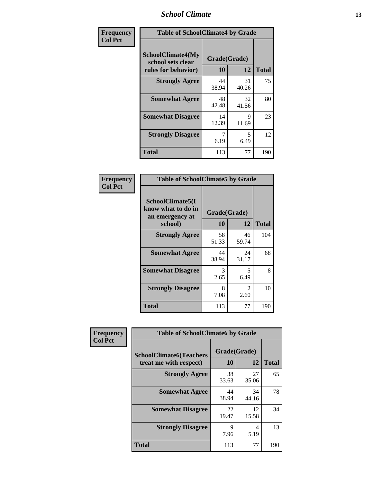#### *School Climate* **13**

| Frequency      | <b>Table of SchoolClimate4 by Grade</b>                              |                    |             |              |
|----------------|----------------------------------------------------------------------|--------------------|-------------|--------------|
| <b>Col Pct</b> | <b>SchoolClimate4(My</b><br>school sets clear<br>rules for behavior) | Grade(Grade)<br>10 | 12          | <b>Total</b> |
|                | <b>Strongly Agree</b>                                                | 44<br>38.94        | 31<br>40.26 | 75           |
|                | <b>Somewhat Agree</b>                                                | 48<br>42.48        | 32<br>41.56 | 80           |
|                | <b>Somewhat Disagree</b>                                             | 14<br>12.39        | 9<br>11.69  | 23           |
|                | <b>Strongly Disagree</b>                                             | 7<br>6.19          | 5<br>6.49   | 12           |
|                | <b>Total</b>                                                         | 113                | 77          | 190          |

#### **Frequency Col Pct**

| <b>Table of SchoolClimate5 by Grade</b>                   |              |                        |              |  |  |
|-----------------------------------------------------------|--------------|------------------------|--------------|--|--|
| SchoolClimate5(I<br>know what to do in<br>an emergency at | Grade(Grade) |                        |              |  |  |
| school)                                                   | 10           | 12                     | <b>Total</b> |  |  |
| <b>Strongly Agree</b>                                     | 58<br>51.33  | 46<br>59.74            | 104          |  |  |
| <b>Somewhat Agree</b>                                     | 44<br>38.94  | 24<br>31.17            | 68           |  |  |
| <b>Somewhat Disagree</b>                                  | 3<br>2.65    | 5<br>6.49              | 8            |  |  |
| <b>Strongly Disagree</b>                                  | 8<br>7.08    | $\mathfrak{D}$<br>2.60 | 10           |  |  |
| <b>Total</b>                                              | 113          | 77                     | 190          |  |  |

| Frequency      |                                                          | <b>Table of SchoolClimate6 by Grade</b> |             |              |  |
|----------------|----------------------------------------------------------|-----------------------------------------|-------------|--------------|--|
| <b>Col Pct</b> | <b>SchoolClimate6(Teachers</b><br>treat me with respect) | Grade(Grade)<br><b>10</b>               | 12          | <b>Total</b> |  |
|                | <b>Strongly Agree</b>                                    | 38<br>33.63                             | 27<br>35.06 | 65           |  |
|                | <b>Somewhat Agree</b>                                    | 44<br>38.94                             | 34<br>44.16 | 78           |  |
|                | <b>Somewhat Disagree</b>                                 | 22<br>19.47                             | 12<br>15.58 | 34           |  |
|                | <b>Strongly Disagree</b>                                 | Q<br>7.96                               | 4<br>5.19   | 13           |  |
|                | <b>Total</b>                                             | 113                                     | 77          | 190          |  |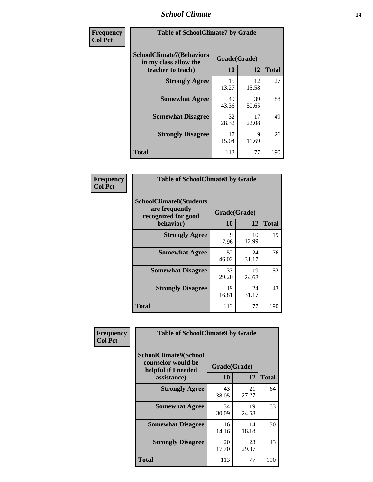#### *School Climate* **14**

| Frequency      | <b>Table of SchoolClimate7 by Grade</b>                                       |                           |                      |              |
|----------------|-------------------------------------------------------------------------------|---------------------------|----------------------|--------------|
| <b>Col Pct</b> | <b>SchoolClimate7(Behaviors</b><br>in my class allow the<br>teacher to teach) | Grade(Grade)<br><b>10</b> | 12                   | <b>Total</b> |
|                | <b>Strongly Agree</b>                                                         | 15<br>13.27               | 12<br>15.58          | 27           |
|                | <b>Somewhat Agree</b>                                                         | 49<br>43.36               | 39<br>50.65          | 88           |
|                | <b>Somewhat Disagree</b>                                                      | 32<br>28.32               | 17<br>22.08          | 49           |
|                | <b>Strongly Disagree</b>                                                      | 17<br>15.04               | $\mathbf Q$<br>11.69 | 26           |
|                | <b>Total</b>                                                                  | 113                       | 77                   | 190          |

| Frequency      | <b>Table of SchoolClimate8 by Grade</b>                                              |                    |             |              |
|----------------|--------------------------------------------------------------------------------------|--------------------|-------------|--------------|
| <b>Col Pct</b> | <b>SchoolClimate8(Students</b><br>are frequently<br>recognized for good<br>behavior) | Grade(Grade)<br>10 | 12          | <b>Total</b> |
|                | <b>Strongly Agree</b>                                                                | 9<br>7.96          | 10<br>12.99 | 19           |
|                | <b>Somewhat Agree</b>                                                                | 52<br>46.02        | 24<br>31.17 | 76           |
|                | <b>Somewhat Disagree</b>                                                             | 33<br>29.20        | 19<br>24.68 | 52           |
|                | <b>Strongly Disagree</b>                                                             | 19<br>16.81        | 24<br>31.17 | 43           |
|                | <b>Total</b>                                                                         | 113                | 77          | 190          |

| Frequency      | <b>Table of SchoolClimate9 by Grade</b>                                           |                    |             |              |
|----------------|-----------------------------------------------------------------------------------|--------------------|-------------|--------------|
| <b>Col Pct</b> | SchoolClimate9(School<br>counselor would be<br>helpful if I needed<br>assistance) | Grade(Grade)<br>10 | 12          | <b>Total</b> |
|                | <b>Strongly Agree</b>                                                             | 43<br>38.05        | 21<br>27.27 | 64           |
|                | <b>Somewhat Agree</b>                                                             | 34<br>30.09        | 19<br>24.68 | 53           |
|                | <b>Somewhat Disagree</b>                                                          | 16<br>14.16        | 14<br>18.18 | 30           |
|                | <b>Strongly Disagree</b>                                                          | 20<br>17.70        | 23<br>29.87 | 43           |
|                | Total                                                                             | 113                | 77          | 190          |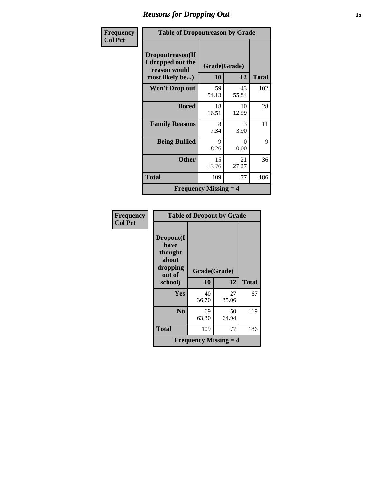# *Reasons for Dropping Out* **15**

| Frequency      | <b>Table of Dropoutreason by Grade</b>                                   |                                           |             |              |
|----------------|--------------------------------------------------------------------------|-------------------------------------------|-------------|--------------|
| <b>Col Pct</b> | Dropoutreason(If<br>I dropped out the<br>reason would<br>most likely be) | Grade(Grade)<br><b>10</b>                 | 12          | <b>Total</b> |
|                | <b>Won't Drop out</b>                                                    | 59<br>54.13                               | 43<br>55.84 | 102          |
|                | <b>Bored</b>                                                             | 18<br>16.51                               | 10<br>12.99 | 28           |
|                | <b>Family Reasons</b>                                                    | 8<br>7.34                                 | 3<br>3.90   | 11           |
|                | <b>Being Bullied</b>                                                     | 9<br>8.26                                 | 0<br>0.00   | 9            |
|                | <b>Other</b>                                                             | 15<br>13.76                               | 21<br>27.27 | 36           |
|                | Total                                                                    | 109                                       | 77          | 186          |
|                |                                                                          | <b>Frequency Missing <math>=</math> 4</b> |             |              |

| <b>Frequency</b><br><b>Col Pct</b> | <b>Table of Dropout by Grade</b>                            |                                           |             |              |
|------------------------------------|-------------------------------------------------------------|-------------------------------------------|-------------|--------------|
|                                    | Dropout(I<br>have<br>thought<br>about<br>dropping<br>out of | Grade(Grade)                              |             |              |
|                                    | school)                                                     | 10                                        | 12          | <b>Total</b> |
|                                    | Yes                                                         | 40<br>36.70                               | 27<br>35.06 | 67           |
|                                    | N <sub>0</sub>                                              | 69<br>63.30                               | 50<br>64.94 | 119          |
|                                    | <b>Total</b>                                                | 109                                       | 77          | 186          |
|                                    |                                                             | <b>Frequency Missing <math>=</math> 4</b> |             |              |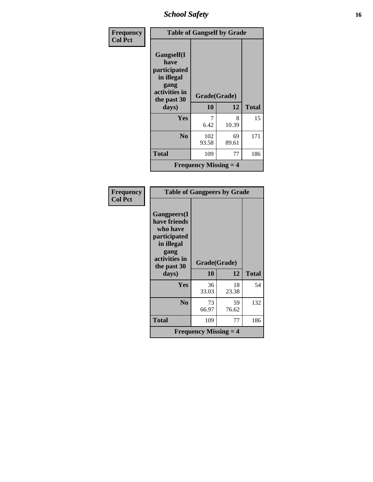*School Safety* **16**

| Frequency      | <b>Table of Gangself by Grade</b>                                                        |                         |             |              |
|----------------|------------------------------------------------------------------------------------------|-------------------------|-------------|--------------|
| <b>Col Pct</b> | Gangself(I<br>have<br>participated<br>in illegal<br>gang<br>activities in<br>the past 30 | Grade(Grade)            |             |              |
|                | days)                                                                                    | 10                      | 12          | <b>Total</b> |
|                | Yes                                                                                      | 6.42                    | 8<br>10.39  | 15           |
|                | N <sub>0</sub>                                                                           | 102<br>93.58            | 69<br>89.61 | 171          |
|                | <b>Total</b>                                                                             | 109                     | 77          | 186          |
|                |                                                                                          | Frequency Missing $=$ 4 |             |              |

| Frequency<br><b>Col Pct</b> | <b>Table of Gangpeers by Grade</b>                                                                                    |                                           |             |              |
|-----------------------------|-----------------------------------------------------------------------------------------------------------------------|-------------------------------------------|-------------|--------------|
|                             | <b>Gangpeers</b> (I<br>have friends<br>who have<br>participated<br>in illegal<br>gang<br>activities in<br>the past 30 | Grade(Grade)                              |             |              |
|                             | days)                                                                                                                 | 10                                        | 12          | <b>Total</b> |
|                             | Yes                                                                                                                   | 36<br>33.03                               | 18<br>23.38 | 54           |
|                             | N <sub>0</sub>                                                                                                        | 73<br>66.97                               | 59<br>76.62 | 132          |
|                             | <b>Total</b>                                                                                                          | 109                                       | 77          | 186          |
|                             |                                                                                                                       | <b>Frequency Missing <math>=</math> 4</b> |             |              |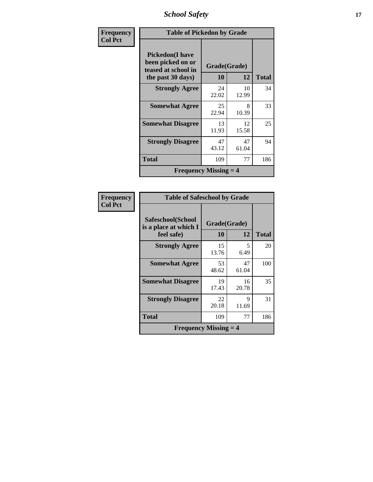*School Safety* **17**

| Frequency      | <b>Table of Pickedon by Grade</b>                                                        |                    |             |              |
|----------------|------------------------------------------------------------------------------------------|--------------------|-------------|--------------|
| <b>Col Pct</b> | <b>Pickedon</b> (I have<br>been picked on or<br>teased at school in<br>the past 30 days) | Grade(Grade)<br>10 | 12          | <b>Total</b> |
|                | <b>Strongly Agree</b>                                                                    | 24<br>22.02        | 10<br>12.99 | 34           |
|                | <b>Somewhat Agree</b>                                                                    | 25<br>22.94        | 8<br>10.39  | 33           |
|                | <b>Somewhat Disagree</b>                                                                 | 13<br>11.93        | 12<br>15.58 | 25           |
|                | <b>Strongly Disagree</b>                                                                 | 47<br>43.12        | 47<br>61.04 | 94           |
|                | Total                                                                                    | 109                | 77          | 186          |
|                | <b>Frequency Missing <math>=</math> 4</b>                                                |                    |             |              |

| Frequency      |                                                          | <b>Table of Safeschool by Grade</b> |             |              |  |  |  |  |
|----------------|----------------------------------------------------------|-------------------------------------|-------------|--------------|--|--|--|--|
| <b>Col Pct</b> | Safeschool(School<br>is a place at which I<br>feel safe) | Grade(Grade)<br><b>10</b>           | 12          | <b>Total</b> |  |  |  |  |
|                | <b>Strongly Agree</b>                                    | 15<br>13.76                         | 5<br>6.49   | 20           |  |  |  |  |
|                | <b>Somewhat Agree</b>                                    | 53<br>48.62                         | 47<br>61.04 | 100          |  |  |  |  |
|                | <b>Somewhat Disagree</b>                                 | 19<br>17.43                         | 16<br>20.78 | 35           |  |  |  |  |
|                | <b>Strongly Disagree</b>                                 | 22<br>20.18                         | 9<br>11.69  | 31           |  |  |  |  |
|                | <b>Total</b>                                             | 109                                 | 77          | 186          |  |  |  |  |
|                | <b>Frequency Missing <math>=</math> 4</b>                |                                     |             |              |  |  |  |  |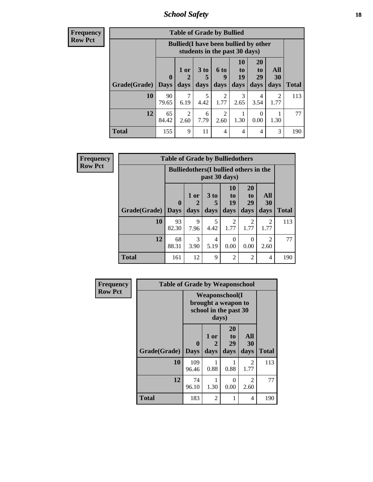*School Safety* **18**

| <b>Frequend</b><br>Row Pct |
|----------------------------|

| cy | <b>Table of Grade by Bullied</b> |                             |                                                                               |              |                              |                        |                               |                          |              |
|----|----------------------------------|-----------------------------|-------------------------------------------------------------------------------|--------------|------------------------------|------------------------|-------------------------------|--------------------------|--------------|
|    |                                  |                             | <b>Bullied</b> (I have been bullied by other<br>students in the past 30 days) |              |                              |                        |                               |                          |              |
|    | Grade(Grade)                     | $\mathbf{0}$<br><b>Days</b> | $1$ or<br>days                                                                | 3 to<br>days | 6 <sub>to</sub><br>9<br>days | 10<br>to<br>19<br>days | <b>20</b><br>to<br>29<br>days | All<br><b>30</b><br>days | <b>Total</b> |
|    | 10                               | 90<br>79.65                 | 6.19                                                                          | 5<br>4.42    | $\overline{2}$<br>1.77       | 3<br>2.65              | 4<br>3.54                     | 2<br>1.77                | 113          |
|    | 12                               | 65<br>84.42                 | $\mathfrak{D}$<br>2.60                                                        | 6<br>7.79    | $\overline{c}$<br>2.60       | 1.30                   | 0<br>0.00                     | 1.30                     | 77           |
|    | <b>Total</b>                     | 155                         | 9                                                                             | 11           | $\overline{4}$               | $\overline{4}$         | $\overline{4}$                | 3                        | 190          |

| <b>Frequency</b> |                     | <b>Table of Grade by Bulliedothers</b> |                                                                |                         |                        |                               |                        |              |  |  |  |
|------------------|---------------------|----------------------------------------|----------------------------------------------------------------|-------------------------|------------------------|-------------------------------|------------------------|--------------|--|--|--|
| <b>Row Pct</b>   |                     |                                        | <b>Bulliedothers</b> (I bullied others in the<br>past 30 days) |                         |                        |                               |                        |              |  |  |  |
|                  | Grade(Grade)   Days | $\bf{0}$                               | 1 or<br>days                                                   | 3 <sub>to</sub><br>days | 10<br>to<br>19<br>days | <b>20</b><br>to<br>29<br>days | All<br>30<br>days      | <b>Total</b> |  |  |  |
|                  | 10                  | 93<br>82.30                            | 9<br>7.96                                                      | 5<br>4.42               | 2<br>1.77              | 2<br>1.77                     | $\overline{2}$<br>1.77 | 113          |  |  |  |
|                  | 12                  | 68<br>88.31                            | $\mathcal{F}$<br>3.90                                          | 4<br>5.19               | $\Omega$<br>0.00       | $\Omega$<br>0.00              | $\mathfrak{D}$<br>2.60 | 77           |  |  |  |
|                  | <b>Total</b>        | 161                                    | 12                                                             | $\mathbf Q$             | $\overline{2}$         | $\overline{2}$                | 4                      | 190          |  |  |  |

| Frequency      | <b>Table of Grade by Weaponschool</b> |                             |                                                                                 |                               |                   |              |  |  |  |
|----------------|---------------------------------------|-----------------------------|---------------------------------------------------------------------------------|-------------------------------|-------------------|--------------|--|--|--|
| <b>Row Pct</b> |                                       |                             | <b>Weaponschool</b> (I<br>brought a weapon to<br>school in the past 30<br>days) |                               |                   |              |  |  |  |
|                | Grade(Grade)                          | $\mathbf{0}$<br><b>Days</b> | 1 or<br>2<br>days                                                               | <b>20</b><br>to<br>29<br>days | All<br>30<br>days | <b>Total</b> |  |  |  |
|                | 10                                    | 109<br>96.46                | 0.88                                                                            | 0.88                          | 2<br>1.77         | 113          |  |  |  |
|                | 12                                    | 74<br>96.10                 | 1.30                                                                            | $\Omega$<br>0.00              | 2<br>2.60         | 77           |  |  |  |
|                | <b>Total</b>                          | 183                         | $\mathfrak{D}$                                                                  |                               | 4                 | 190          |  |  |  |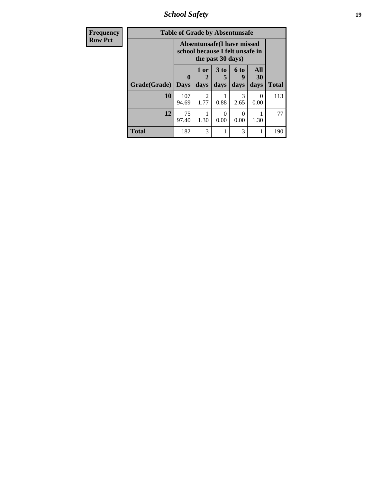*School Safety* **19**

| <b>Frequency</b> | <b>Table of Grade by Absentunsafe</b> |                            |                                                                                           |                         |                   |                   |              |  |
|------------------|---------------------------------------|----------------------------|-------------------------------------------------------------------------------------------|-------------------------|-------------------|-------------------|--------------|--|
| <b>Row Pct</b>   |                                       |                            | <b>Absentunsafe(I have missed</b><br>school because I felt unsafe in<br>the past 30 days) |                         |                   |                   |              |  |
|                  | Grade(Grade)                          | $\mathbf 0$<br><b>Days</b> | 1 or<br>2<br>days                                                                         | 3 <sub>to</sub><br>days | 6 to<br>y<br>days | All<br>30<br>days | <b>Total</b> |  |
|                  | 10                                    | 107<br>94.69               | 2<br>1.77                                                                                 | 0.88                    | 3<br>2.65         | $\theta$<br>0.00  | 113          |  |
|                  | 12                                    | 75<br>97.40                | 1.30                                                                                      | 0<br>0.00               | 0.00              | 1.30              | 77           |  |
|                  | <b>Total</b>                          | 182                        | 3                                                                                         |                         | 3                 |                   | 190          |  |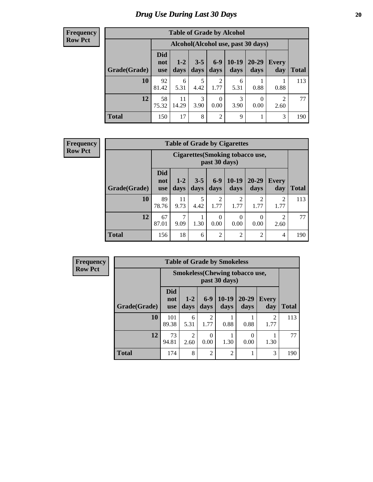## *Drug Use During Last 30 Days* 20

#### **Frequency Row Pct**

| <b>Table of Grade by Alcohol</b> |                                 |               |                 |                        |                 |                                     |              |       |  |
|----------------------------------|---------------------------------|---------------|-----------------|------------------------|-----------------|-------------------------------------|--------------|-------|--|
|                                  |                                 |               |                 |                        |                 | Alcohol (Alcohol use, past 30 days) |              |       |  |
| Grade(Grade)                     | <b>Did</b><br>not<br><b>use</b> | $1-2$<br>days | $3 - 5$<br>days | $6-9$<br>days          | $10-19$<br>days | 20-29<br>days                       | Every<br>day | Total |  |
| 10                               | 92<br>81.42                     | 6<br>5.31     | 5<br>4.42       | $\overline{2}$<br>1.77 | 6<br>5.31       | 0.88                                | 0.88         | 113   |  |
| 12                               | 58<br>75.32                     | 11<br>14.29   | 3<br>3.90       | $\theta$<br>0.00       | 3<br>3.90       | 0<br>0.00                           | 2<br>2.60    | 77    |  |
| <b>Total</b>                     | 150                             | 17            | 8               | $\overline{2}$         | 9               |                                     | 3            | 190   |  |

#### **Frequency Row Pct**

| <b>Table of Grade by Cigarettes</b> |                                 |                                                   |                 |                        |                        |                        |                     |       |  |  |
|-------------------------------------|---------------------------------|---------------------------------------------------|-----------------|------------------------|------------------------|------------------------|---------------------|-------|--|--|
|                                     |                                 | Cigarettes (Smoking tobacco use,<br>past 30 days) |                 |                        |                        |                        |                     |       |  |  |
| Grade(Grade)                        | <b>Did</b><br>not<br><b>use</b> | $1 - 2$<br>days                                   | $3 - 5$<br>days | $6-9$<br>days          | $10-19$<br>days        | $20 - 29$<br>days      | <b>Every</b><br>day | Total |  |  |
| 10                                  | 89<br>78.76                     | 11<br>9.73                                        | 5<br>4.42       | $\overline{2}$<br>1.77 | $\overline{2}$<br>1.77 | $\mathfrak{D}$<br>1.77 | 2<br>1.77           | 113   |  |  |
| 12                                  | 67<br>87.01                     | 7<br>9.09                                         | 1.30            | $\theta$<br>0.00       | 0<br>0.00              | 0<br>0.00              | 2<br>2.60           | 77    |  |  |
| <b>Total</b>                        | 156                             | 18                                                | 6               | $\overline{2}$         | $\overline{2}$         | $\overline{2}$         | 4                   | 190   |  |  |

**Frequency Row Pct**

| <b>Table of Grade by Smokeless</b> |                                 |                                                        |                        |                 |                   |                        |              |  |  |
|------------------------------------|---------------------------------|--------------------------------------------------------|------------------------|-----------------|-------------------|------------------------|--------------|--|--|
|                                    |                                 | <b>Smokeless</b> (Chewing tobaccouse,<br>past 30 days) |                        |                 |                   |                        |              |  |  |
| Grade(Grade)                       | <b>Did</b><br>not<br><b>use</b> | $1 - 2$<br>days                                        | $6-9$<br>days          | $10-19$<br>days | $20 - 29$<br>days | <b>Every</b><br>day    | <b>Total</b> |  |  |
| 10                                 | 101<br>89.38                    | 6<br>5.31                                              | $\overline{c}$<br>1.77 | 0.88            | 0.88              | $\mathfrak{D}$<br>1.77 | 113          |  |  |
| 12                                 | 73<br>94.81                     | $\mathfrak{D}$<br>2.60                                 | 0<br>0.00              | 1.30            | 0.00              | 1.30                   | 77           |  |  |
| <b>Total</b>                       | 174                             | 8                                                      | $\overline{2}$         | $\overline{2}$  | 1                 | 3                      | 190          |  |  |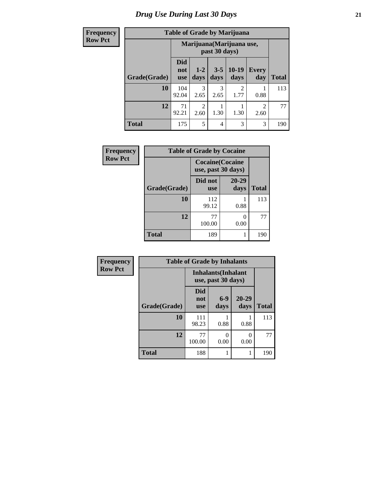## *Drug Use During Last 30 Days* **21**

#### **Frequency Row**

|--|

| $\mathbf{u}$ |              |                                 |                        |                 | Tuble of Oracle by Black |                        |              |
|--------------|--------------|---------------------------------|------------------------|-----------------|--------------------------|------------------------|--------------|
| Pct          |              | Marijuana (Marijuana use,       |                        |                 |                          |                        |              |
|              | Grade(Grade) | <b>Did</b><br>not<br><b>use</b> | $1-2$<br>days          | $3 - 5$<br>days | $10-19$<br>days          | <b>Every</b><br>day    | <b>Total</b> |
|              | 10           | 104<br>92.04                    | 3<br>2.65              | 3<br>2.65       | 2<br>1.77                | 0.88                   | 113          |
|              | 12           | 71<br>92.21                     | $\overline{c}$<br>2.60 | 1.30            | 1.30                     | $\overline{2}$<br>2.60 | 77           |
|              | <b>Total</b> | 175                             | 5                      | 4               | 3                        | 3                      | 190          |

| Frequency      | <b>Table of Grade by Cocaine</b> |                                               |                           |              |
|----------------|----------------------------------|-----------------------------------------------|---------------------------|--------------|
| <b>Row Pct</b> |                                  | <b>Cocaine</b> (Cocaine<br>use, past 30 days) |                           |              |
|                | Grade(Grade)                     | Did not<br><b>use</b>                         | 20-29<br>days             | <b>Total</b> |
|                | 10                               | 112<br>99.12                                  | 0.88                      | 113          |
|                | 12                               | 77<br>100.00                                  | $\mathbf{\Omega}$<br>0.00 | 77           |
|                | <b>Total</b>                     | 189                                           |                           | 190          |

| Frequency      | <b>Table of Grade by Inhalants</b> |                                 |                                                  |                   |              |
|----------------|------------------------------------|---------------------------------|--------------------------------------------------|-------------------|--------------|
| <b>Row Pct</b> |                                    |                                 | <b>Inhalants</b> (Inhalant<br>use, past 30 days) |                   |              |
|                | Grade(Grade)                       | <b>Did</b><br>not<br><b>use</b> | $6-9$<br>days                                    | $20 - 29$<br>days | <b>Total</b> |
|                | 10                                 | 111<br>98.23                    | 0.88                                             | 0.88              | 113          |
|                | 12                                 | 77<br>100.00                    | 0<br>0.00                                        | 0<br>0.00         | 77           |
|                | <b>Total</b>                       | 188                             |                                                  |                   | 190          |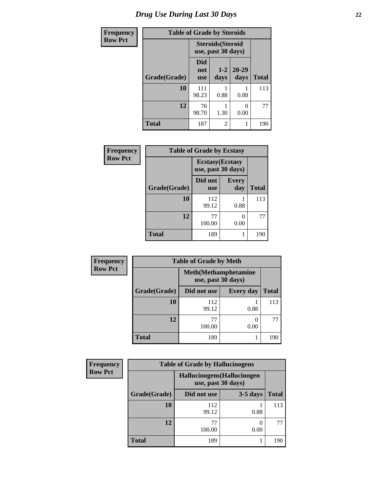| <b>Frequency</b> | <b>Table of Grade by Steroids</b> |                                 |                                                |                   |              |
|------------------|-----------------------------------|---------------------------------|------------------------------------------------|-------------------|--------------|
| <b>Row Pct</b>   |                                   |                                 | <b>Steroids</b> (Steroid<br>use, past 30 days) |                   |              |
|                  | Grade(Grade)                      | <b>Did</b><br>not<br><b>use</b> | $1 - 2$<br>days                                | $20 - 29$<br>days | <b>Total</b> |
|                  | 10                                | 111<br>98.23                    | 0.88                                           | 0.88              | 113          |
|                  | 12                                | 76<br>98.70                     | 1.30                                           | 0.00              | 77           |
|                  | <b>Total</b>                      | 187                             | $\overline{c}$                                 |                   | 190          |

| Frequency      | <b>Table of Grade by Ecstasy</b> |                       |                                               |              |  |
|----------------|----------------------------------|-----------------------|-----------------------------------------------|--------------|--|
| <b>Row Pct</b> |                                  |                       | <b>Ecstasy</b> (Ecstasy<br>use, past 30 days) |              |  |
|                | Grade(Grade)                     | Did not<br><b>use</b> | <b>Every</b><br>day                           | <b>Total</b> |  |
|                | 10                               | 112<br>99.12          | 0.88                                          | 113          |  |
|                | 12                               | 77<br>100.00          | 0.00                                          | 77           |  |
|                | <b>Total</b>                     | 189                   |                                               | 190          |  |

| Frequency      | <b>Table of Grade by Meth</b> |                                                    |                  |              |  |
|----------------|-------------------------------|----------------------------------------------------|------------------|--------------|--|
| <b>Row Pct</b> |                               | <b>Meth</b> (Methamphetamine<br>use, past 30 days) |                  |              |  |
|                | Grade(Grade)                  | Did not use                                        | <b>Every day</b> | <b>Total</b> |  |
|                | 10                            | 112<br>99.12                                       | 0.88             | 113          |  |
|                | 12                            | 77<br>100.00                                       | 0.00             | 77           |  |
|                | <b>Total</b>                  | 189                                                |                  | 190          |  |

| <b>Frequency</b> | <b>Table of Grade by Hallucinogens</b> |                                                   |            |              |
|------------------|----------------------------------------|---------------------------------------------------|------------|--------------|
| <b>Row Pct</b>   |                                        | Hallucinogens (Hallucinogen<br>use, past 30 days) |            |              |
|                  | Grade(Grade)                           | Did not use                                       | $3-5$ days | <b>Total</b> |
|                  | 10                                     | 112<br>99.12                                      | 0.88       | 113          |
|                  | 12                                     | 77<br>100.00                                      | 0.00       | 77           |
|                  | <b>Total</b>                           | 189                                               |            | 190          |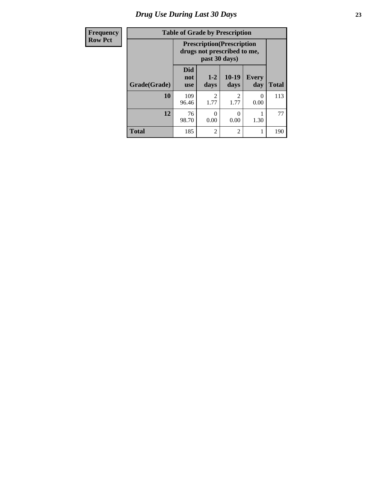# *Drug Use During Last 30 Days* **23**

| Frequency      | <b>Table of Grade by Prescription</b> |                                                                                   |                           |                        |                     |              |
|----------------|---------------------------------------|-----------------------------------------------------------------------------------|---------------------------|------------------------|---------------------|--------------|
| <b>Row Pct</b> |                                       | <b>Prescription</b> (Prescription<br>drugs not prescribed to me,<br>past 30 days) |                           |                        |                     |              |
|                | Grade(Grade)                          | <b>Did</b><br>not<br><b>use</b>                                                   | $1 - 2$<br>days           | $10-19$<br>days        | <b>Every</b><br>day | <b>Total</b> |
|                | 10                                    | 109<br>96.46                                                                      | $\mathfrak{D}$<br>1.77    | $\overline{2}$<br>1.77 | 0<br>0.00           | 113          |
|                | 12                                    | 76<br>98.70                                                                       | $\mathbf{\Omega}$<br>0.00 | 0<br>0.00              | 1.30                | 77           |
|                | <b>Total</b>                          | 185                                                                               | $\overline{c}$            | $\overline{2}$         |                     | 190          |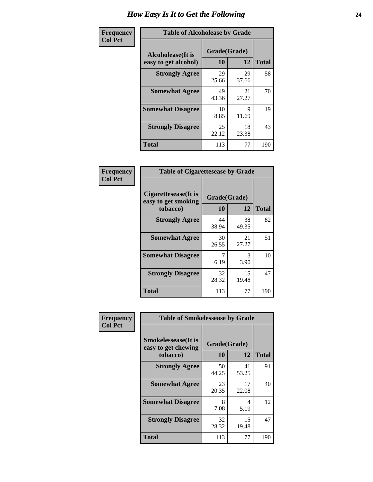| Frequency      | <b>Table of Alcoholease by Grade</b>              |                    |             |              |
|----------------|---------------------------------------------------|--------------------|-------------|--------------|
| <b>Col Pct</b> | <b>Alcoholease</b> (It is<br>easy to get alcohol) | Grade(Grade)<br>10 | 12          | <b>Total</b> |
|                | <b>Strongly Agree</b>                             | 29<br>25.66        | 29<br>37.66 | 58           |
|                | <b>Somewhat Agree</b>                             | 49<br>43.36        | 21<br>27.27 | 70           |
|                | <b>Somewhat Disagree</b>                          | 10<br>8.85         | Q<br>11.69  | 19           |
|                | <b>Strongly Disagree</b>                          | 25<br>22.12        | 18<br>23.38 | 43           |
|                | <b>Total</b>                                      | 113                | 77          | 190          |

| Frequency      | <b>Table of Cigarettesease by Grade</b>                 |                    |             |              |
|----------------|---------------------------------------------------------|--------------------|-------------|--------------|
| <b>Col Pct</b> | Cigarettesease(It is<br>easy to get smoking<br>tobacco) | Grade(Grade)<br>10 | 12          | <b>Total</b> |
|                | <b>Strongly Agree</b>                                   | 44<br>38.94        | 38<br>49.35 | 82           |
|                | <b>Somewhat Agree</b>                                   | 30<br>26.55        | 21<br>27.27 | 51           |
|                | <b>Somewhat Disagree</b>                                | 6.19               | 3<br>3.90   | 10           |
|                | <b>Strongly Disagree</b>                                | 32<br>28.32        | 15<br>19.48 | 47           |
|                | <b>Total</b>                                            | 113                | 77          | 190          |

| Frequency      | <b>Table of Smokelessease by Grade</b>             |              |             |              |  |
|----------------|----------------------------------------------------|--------------|-------------|--------------|--|
| <b>Col Pct</b> | <b>Smokelessease</b> (It is<br>easy to get chewing | Grade(Grade) |             |              |  |
|                | tobacco)                                           | 10           | 12          | <b>Total</b> |  |
|                | <b>Strongly Agree</b>                              | 50<br>44.25  | 41<br>53.25 | 91           |  |
|                | <b>Somewhat Agree</b>                              | 23<br>20.35  | 17<br>22.08 | 40           |  |
|                | <b>Somewhat Disagree</b>                           | 8<br>7.08    | 4<br>5.19   | 12           |  |
|                | <b>Strongly Disagree</b>                           | 32<br>28.32  | 15<br>19.48 | 47           |  |
|                | Total                                              | 113          | 77          | 190          |  |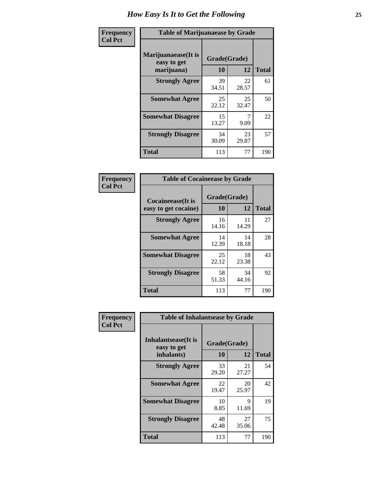| Frequency      | <b>Table of Marijuanaease by Grade</b>           |                    |             |              |  |
|----------------|--------------------------------------------------|--------------------|-------------|--------------|--|
| <b>Col Pct</b> | Marijuanaease(It is<br>easy to get<br>marijuana) | Grade(Grade)<br>10 | 12          | <b>Total</b> |  |
|                | <b>Strongly Agree</b>                            | 39<br>34.51        | 22<br>28.57 | 61           |  |
|                | <b>Somewhat Agree</b>                            | 25<br>22.12        | 25<br>32.47 | 50           |  |
|                | <b>Somewhat Disagree</b>                         | 15<br>13.27        | 7<br>9.09   | 22           |  |
|                | <b>Strongly Disagree</b>                         | 34<br>30.09        | 23<br>29.87 | 57           |  |
|                | <b>Total</b>                                     | 113                | 77          | 190          |  |

#### **Frequency Col Pct**

| <b>Table of Cocaineease by Grade</b>              |                    |              |     |  |  |
|---------------------------------------------------|--------------------|--------------|-----|--|--|
| <b>Cocaineease</b> (It is<br>easy to get cocaine) | Grade(Grade)<br>10 | <b>Total</b> |     |  |  |
| <b>Strongly Agree</b>                             | 16<br>14.16        | 11<br>14.29  | 27  |  |  |
| <b>Somewhat Agree</b>                             | 14<br>12.39        | 14<br>18.18  | 28  |  |  |
| <b>Somewhat Disagree</b>                          | 25<br>22.12        | 18<br>23.38  | 43  |  |  |
| <b>Strongly Disagree</b>                          | 58<br>51.33        | 34<br>44.16  | 92  |  |  |
| <b>Total</b>                                      | 113                | 77           | 190 |  |  |

| Frequency      | <b>Table of Inhalantsease by Grade</b>                   |                    |             |              |  |
|----------------|----------------------------------------------------------|--------------------|-------------|--------------|--|
| <b>Col Pct</b> | <b>Inhalantsease</b> (It is<br>easy to get<br>inhalants) | Grade(Grade)<br>10 | 12          | <b>Total</b> |  |
|                | <b>Strongly Agree</b>                                    | 33<br>29.20        | 21<br>27.27 | 54           |  |
|                | <b>Somewhat Agree</b>                                    | 22<br>19.47        | 20<br>25.97 | 42           |  |
|                | <b>Somewhat Disagree</b>                                 | 10<br>8.85         | 9<br>11.69  | 19           |  |
|                | <b>Strongly Disagree</b>                                 | 48<br>42.48        | 27<br>35.06 | 75           |  |
|                | Total                                                    | 113                | 77          | 190          |  |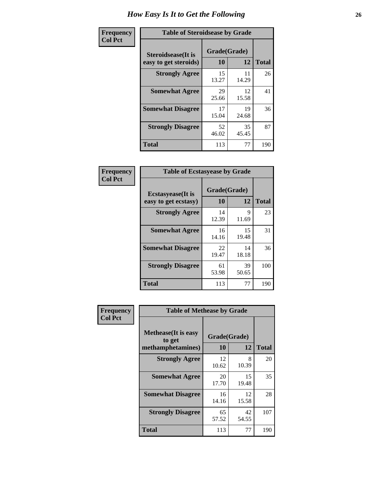| Frequency      |                                                     | <b>Table of Steroidsease by Grade</b> |              |     |  |  |  |  |  |  |  |
|----------------|-----------------------------------------------------|---------------------------------------|--------------|-----|--|--|--|--|--|--|--|
| <b>Col Pct</b> | <b>Steroidsease</b> (It is<br>easy to get steroids) | Grade(Grade)<br>10                    | <b>Total</b> |     |  |  |  |  |  |  |  |
|                | <b>Strongly Agree</b>                               | 15<br>13.27                           | 11<br>14.29  | 26  |  |  |  |  |  |  |  |
|                | <b>Somewhat Agree</b>                               | 29<br>25.66                           | 12<br>15.58  | 41  |  |  |  |  |  |  |  |
|                | <b>Somewhat Disagree</b>                            | 17<br>15.04                           | 19<br>24.68  | 36  |  |  |  |  |  |  |  |
|                | <b>Strongly Disagree</b>                            | 52<br>46.02                           | 35<br>45.45  | 87  |  |  |  |  |  |  |  |
|                | <b>Total</b>                                        | 113                                   | 77           | 190 |  |  |  |  |  |  |  |

| Frequency      |                                                   | <b>Table of Ecstasyease by Grade</b> |              |     |  |  |  |  |  |  |  |
|----------------|---------------------------------------------------|--------------------------------------|--------------|-----|--|--|--|--|--|--|--|
| <b>Col Pct</b> | <b>Ecstasyease</b> (It is<br>easy to get ecstasy) | Grade(Grade)<br>10                   | <b>Total</b> |     |  |  |  |  |  |  |  |
|                | <b>Strongly Agree</b>                             | 14<br>12.39                          | 9<br>11.69   | 23  |  |  |  |  |  |  |  |
|                | <b>Somewhat Agree</b>                             | 16<br>14.16                          | 15<br>19.48  | 31  |  |  |  |  |  |  |  |
|                | <b>Somewhat Disagree</b>                          | 22<br>19.47                          | 14<br>18.18  | 36  |  |  |  |  |  |  |  |
|                | <b>Strongly Disagree</b>                          | 61<br>53.98                          | 39<br>50.65  | 100 |  |  |  |  |  |  |  |
|                | Total                                             | 113                                  | 77           | 190 |  |  |  |  |  |  |  |

| Frequency      | <b>Table of Methease by Grade</b>     |                    |             |              |
|----------------|---------------------------------------|--------------------|-------------|--------------|
| <b>Col Pct</b> | <b>Methease</b> (It is easy<br>to get | Grade(Grade)<br>10 | 12          | <b>Total</b> |
|                | methamphetamines)                     |                    |             |              |
|                | <b>Strongly Agree</b>                 | 12<br>10.62        | 8<br>10.39  | 20           |
|                | <b>Somewhat Agree</b>                 | 20<br>17.70        | 15<br>19.48 | 35           |
|                | <b>Somewhat Disagree</b>              | 16<br>14.16        | 12<br>15.58 | 28           |
|                | <b>Strongly Disagree</b>              | 65<br>57.52        | 42<br>54.55 | 107          |
|                | <b>Total</b>                          | 113                | 77          | 190          |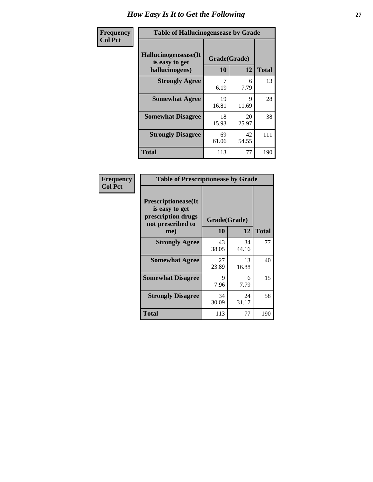| <b>Frequency</b> | <b>Table of Hallucinogensease by Grade</b>               |                    |             |              |  |  |  |  |  |
|------------------|----------------------------------------------------------|--------------------|-------------|--------------|--|--|--|--|--|
| <b>Col Pct</b>   | Hallucinogensease(It<br>is easy to get<br>hallucinogens) | Grade(Grade)<br>10 | 12          | <b>Total</b> |  |  |  |  |  |
|                  | <b>Strongly Agree</b>                                    | 6.19               | 6<br>7.79   | 13           |  |  |  |  |  |
|                  | <b>Somewhat Agree</b>                                    | 19<br>16.81        | 9<br>11.69  | 28           |  |  |  |  |  |
|                  | <b>Somewhat Disagree</b>                                 | 18<br>15.93        | 20<br>25.97 | 38           |  |  |  |  |  |
|                  | <b>Strongly Disagree</b>                                 | 69<br>61.06        | 42<br>54.55 | 111          |  |  |  |  |  |
|                  | <b>Total</b>                                             | 113                | 77          | 190          |  |  |  |  |  |

| Frequency<br>Col Pct |
|----------------------|
|                      |

| <b>Table of Prescriptionease by Grade</b>                                                |              |             |              |  |  |  |  |  |  |
|------------------------------------------------------------------------------------------|--------------|-------------|--------------|--|--|--|--|--|--|
| <b>Prescriptionease</b> (It<br>is easy to get<br>prescription drugs<br>not prescribed to | Grade(Grade) |             |              |  |  |  |  |  |  |
| me)                                                                                      | 10           | 12          | <b>Total</b> |  |  |  |  |  |  |
| <b>Strongly Agree</b>                                                                    | 43<br>38.05  | 34<br>44.16 | 77           |  |  |  |  |  |  |
| <b>Somewhat Agree</b>                                                                    | 27<br>23.89  | 13<br>16.88 | 40           |  |  |  |  |  |  |
| <b>Somewhat Disagree</b>                                                                 | Q<br>7.96    | 6<br>7.79   | 15           |  |  |  |  |  |  |
| <b>Strongly Disagree</b>                                                                 | 34<br>30.09  | 24<br>31.17 | 58           |  |  |  |  |  |  |
| Total                                                                                    | 113          | 77          | 190          |  |  |  |  |  |  |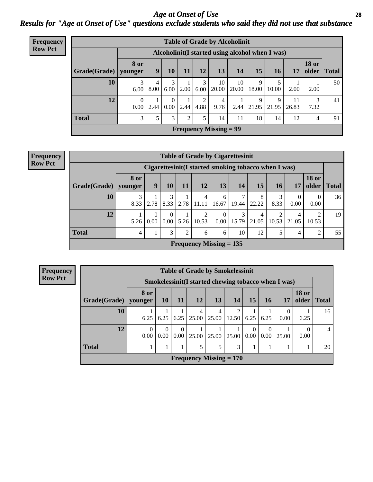*Age at Onset of Use* **28** *Results for "Age at Onset of Use" questions exclude students who said they did not use that substance*

| Frequency      | <b>Table of Grade by Alcoholinit</b> |                                                  |           |                      |      |           |                               |             |            |            |             |                       |              |
|----------------|--------------------------------------|--------------------------------------------------|-----------|----------------------|------|-----------|-------------------------------|-------------|------------|------------|-------------|-----------------------|--------------|
| <b>Row Pct</b> |                                      | Alcoholinit (I started using alcohol when I was) |           |                      |      |           |                               |             |            |            |             |                       |              |
|                | Grade(Grade)                         | <b>8 or</b><br>younger                           | 9         | 10                   | 11   | 12        | 13                            | 14          | 15         | 16         | 17          | <b>18 or</b><br>older | <b>Total</b> |
|                | 10                                   | 3<br>6.00                                        | 4<br>8.00 | 3<br>6.00            | 2.00 | 3<br>6.00 | 10<br>20.00                   | 10<br>20.00 | 9<br>18.00 | 10.00      | 2.00        | 2.00                  | 50           |
|                | 12                                   | $\Omega$<br>0.00                                 | 2.44      | $\Omega$<br>$0.00\,$ | 2.44 | ↑<br>4.88 | 4<br>9.76                     | 2.44        | 9<br>21.95 | 9<br>21.95 | 11<br>26.83 | 3<br>7.32             | 41           |
|                | <b>Total</b>                         | $\mathfrak{Z}$                                   | 5         | 3                    | 2    | 5         | 14                            | 11          | 18         | 14         | 12          | 4                     | 91           |
|                |                                      |                                                  |           |                      |      |           | <b>Frequency Missing = 99</b> |             |            |            |             |                       |              |

#### **Frequency Row Pct**

|              | <b>Table of Grade by Cigarettesinit</b> |                                                      |               |      |                           |                  |            |            |           |            |                       |              |  |
|--------------|-----------------------------------------|------------------------------------------------------|---------------|------|---------------------------|------------------|------------|------------|-----------|------------|-----------------------|--------------|--|
|              |                                         | Cigarettesinit(I started smoking tobacco when I was) |               |      |                           |                  |            |            |           |            |                       |              |  |
| Grade(Grade) | 8 or<br>younger                         | 9                                                    | 10            | 11   | 12                        | 13               | 14         | 15         | 16        | 17         | <b>18 or</b><br>older | <b>Total</b> |  |
| 10           | 3<br>8.33                               | 2.78                                                 | 8.33          | 2.78 | 11.11                     | 6<br>16.67       | 19.44      | 8<br>22.22 | 3<br>8.33 | 0<br>0.00  | 0<br>0.00             | 36           |  |
| 12           | 5.26                                    | 0<br>0.00                                            | $0.00\degree$ | 5.26 | ∍<br>10.53                | $\theta$<br>0.00 | 3<br>15.79 | 4<br>21.05 | 10.53     | 4<br>21.05 | ↑<br>10.53            | 19           |  |
| <b>Total</b> | 4                                       |                                                      | 3             | 2    | 6                         | 6                | 10         | 12         |           | 4          | $\overline{2}$        | 55           |  |
|              |                                         |                                                      |               |      | Frequency Missing $= 135$ |                  |            |            |           |            |                       |              |  |

**Frequency Row Pct**

|              | <b>Table of Grade by Smokelessinit</b> |                                                      |                  |                           |            |            |           |                  |       |                       |              |  |
|--------------|----------------------------------------|------------------------------------------------------|------------------|---------------------------|------------|------------|-----------|------------------|-------|-----------------------|--------------|--|
|              |                                        | Smokelessinit (I started chewing tobacco when I was) |                  |                           |            |            |           |                  |       |                       |              |  |
| Grade(Grade) | 8 or<br>younger                        | <b>10</b>                                            | 11               | <b>12</b>                 | 13         | <b>14</b>  | <b>15</b> | <b>16</b>        | 17    | <b>18 or</b><br>older | <b>Total</b> |  |
| 10           | 6.25                                   | 6.25                                                 | 6.25             | 4<br>25.00                | 4<br>25.00 | 2<br>12.50 | 6.25      | 6.25             | 0.00  | 6.25                  | 16           |  |
| 12           | 0<br>0.00                              | $\theta$<br>0.00                                     | $\Omega$<br>0.00 | 25.00                     | 25.00      | 25.00      | 0<br>0.00 | $\Omega$<br>0.00 | 25.00 | 0.00                  | 4            |  |
| <b>Total</b> |                                        |                                                      |                  | 5                         | 5          | 3          |           |                  |       |                       | 20           |  |
|              |                                        |                                                      |                  | Frequency Missing $= 170$ |            |            |           |                  |       |                       |              |  |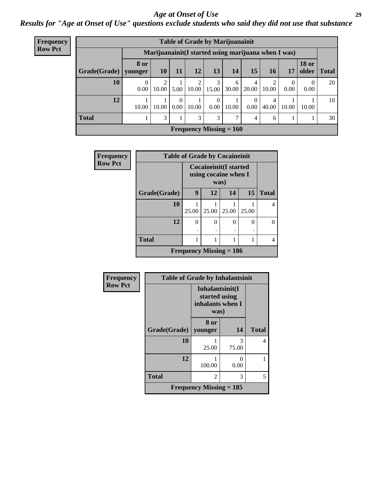#### *Age at Onset of Use* **29**

*Results for "Age at Onset of Use" questions exclude students who said they did not use that substance*

| Frequency      |                                                      | <b>Table of Grade by Marijuanainit</b> |           |                  |            |                      |                                |                  |                         |           |                       |              |  |
|----------------|------------------------------------------------------|----------------------------------------|-----------|------------------|------------|----------------------|--------------------------------|------------------|-------------------------|-----------|-----------------------|--------------|--|
| <b>Row Pct</b> | Marijuanainit (I started using marijuana when I was) |                                        |           |                  |            |                      |                                |                  |                         |           |                       |              |  |
|                | Grade(Grade)   younger                               | 8 or                                   | <b>10</b> | 11               | 12         | 13                   | 14                             | 15               | <b>16</b>               | 17        | <b>18 or</b><br>older | <b>Total</b> |  |
|                | 10                                                   | 0<br>0.00                              | 10.00     | 5.00             | 2<br>10.00 | 3<br>15.00           | 6<br>30.00                     | 4<br>20.00       | $\mathfrak{D}$<br>10.00 | 0<br>0.00 | $\Omega$<br>0.00      | 20           |  |
|                | 12                                                   | 10.00                                  | 10.00     | $\Omega$<br>0.00 | 10.00      | $\Omega$<br>$0.00\,$ | 10.00                          | $\Omega$<br>0.00 | 4<br>40.00              | 10.00     | 10.00                 | 10           |  |
|                | <b>Total</b>                                         |                                        | 3         |                  | 3          | 3                    | 7                              | 4                | 6                       |           |                       | 30           |  |
|                |                                                      |                                        |           |                  |            |                      | <b>Frequency Missing = 160</b> |                  |                         |           |                       |              |  |

| <b>Frequency</b> | <b>Table of Grade by Cocaineinit</b> |       |                                                              |       |       |              |  |  |  |  |  |
|------------------|--------------------------------------|-------|--------------------------------------------------------------|-------|-------|--------------|--|--|--|--|--|
| <b>Row Pct</b>   |                                      |       | <b>Cocaineinit(I started</b><br>using cocaine when I<br>was) |       |       |              |  |  |  |  |  |
|                  | Grade(Grade)                         | 9     | 12                                                           | 14    | 15    | <b>Total</b> |  |  |  |  |  |
|                  | 10                                   | 25.00 | 25.00                                                        | 25.00 | 25.00 |              |  |  |  |  |  |
|                  | 12                                   | 0     | 0                                                            | 0     | 0     |              |  |  |  |  |  |
|                  | <b>Total</b>                         |       |                                                              |       | 1     |              |  |  |  |  |  |
|                  |                                      |       | Frequency Missing $= 186$                                    |       |       |              |  |  |  |  |  |

| Frequency      | <b>Table of Grade by Inhalantsinit</b> |                                                              |            |              |
|----------------|----------------------------------------|--------------------------------------------------------------|------------|--------------|
| <b>Row Pct</b> |                                        | Inhalantsinit(I<br>started using<br>inhalants when I<br>was) |            |              |
|                | Grade(Grade)                           | 8 or<br>younger                                              | 14         | <b>Total</b> |
|                | 10                                     | 25.00                                                        | 3<br>75.00 | 4            |
|                | 12                                     | 100.00                                                       | ∩<br>0.00  |              |
|                | <b>Total</b>                           | 2                                                            | 3          | 5            |
|                |                                        | Frequency Missing $= 185$                                    |            |              |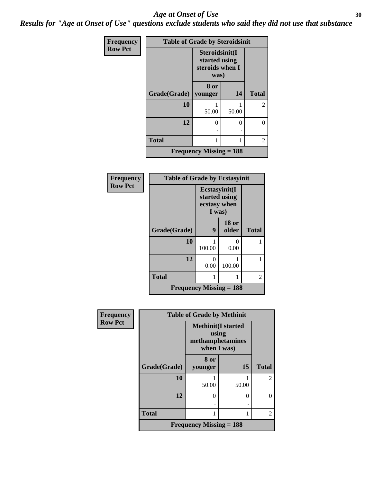#### Age at Onset of Use **30**

*Results for "Age at Onset of Use" questions exclude students who said they did not use that substance*

| Frequency      | <b>Table of Grade by Steroidsinit</b> |                                                            |       |                |
|----------------|---------------------------------------|------------------------------------------------------------|-------|----------------|
| <b>Row Pct</b> |                                       | Steroidsinit(I<br>started using<br>steroids when I<br>was) |       |                |
|                | Grade(Grade)                          | 8 or<br>younger                                            | 14    | <b>Total</b>   |
|                | 10                                    | 50.00                                                      | 50.00 | 2              |
|                | 12                                    | 0                                                          | 0     | 0              |
|                | <b>Total</b>                          | 1                                                          |       | $\overline{2}$ |
|                |                                       | <b>Frequency Missing = 188</b>                             |       |                |

| <b>Frequency</b> | <b>Table of Grade by Ecstasyinit</b> |                                                          |                       |              |
|------------------|--------------------------------------|----------------------------------------------------------|-----------------------|--------------|
| <b>Row Pct</b>   |                                      | Ecstasyinit(I<br>started using<br>ecstasy when<br>I was) |                       |              |
|                  | Grade(Grade)                         | 9                                                        | <b>18 or</b><br>older | <b>Total</b> |
|                  | 10                                   | 100.00                                                   | Ω<br>0.00             |              |
|                  | 12                                   | 0<br>0.00                                                | 100.00                |              |
|                  | <b>Total</b>                         |                                                          |                       | 2            |
|                  | Frequency Missing $= 188$            |                                                          |                       |              |

| <b>Frequency</b> | <b>Table of Grade by Methinit</b> |                                                                       |       |                |
|------------------|-----------------------------------|-----------------------------------------------------------------------|-------|----------------|
| <b>Row Pct</b>   |                                   | <b>Methinit(I started</b><br>using<br>methamphetamines<br>when I was) |       |                |
|                  | Grade(Grade)                      | 8 or<br>younger                                                       | 15    | <b>Total</b>   |
|                  | 10                                | 50.00                                                                 | 50.00 | $\mathfrak{D}$ |
|                  | 12                                | 0                                                                     | 0     | 0              |
|                  | <b>Total</b>                      |                                                                       |       | $\overline{2}$ |
|                  |                                   | <b>Frequency Missing = 188</b>                                        |       |                |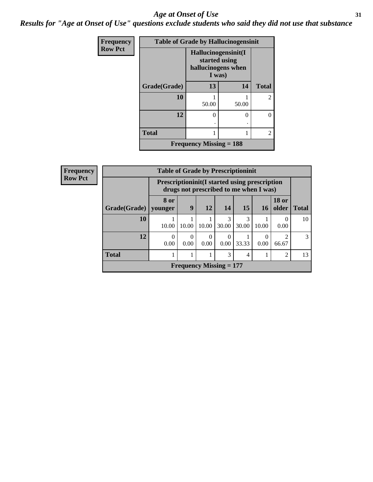#### *Age at Onset of Use* **31**

*Results for "Age at Onset of Use" questions exclude students who said they did not use that substance*

| Frequency      | <b>Table of Grade by Hallucinogensinit</b> |                                                                      |       |                |  |
|----------------|--------------------------------------------|----------------------------------------------------------------------|-------|----------------|--|
| <b>Row Pct</b> |                                            | Hallucinogensinit(I<br>started using<br>hallucinogens when<br>I was) |       |                |  |
|                | Grade(Grade)                               | 13                                                                   | 14    | <b>Total</b>   |  |
|                | 10                                         | 50.00                                                                | 50.00 | $\overline{2}$ |  |
|                | 12                                         | $\Omega$                                                             | 0     | 0              |  |
|                | <b>Total</b>                               |                                                                      |       | $\overline{2}$ |  |
|                |                                            | <b>Frequency Missing = 188</b>                                       |       |                |  |

| <b>Frequency</b> |              | <b>Table of Grade by Prescriptioninit</b> |                                                                                                 |                                |            |                 |           |                         |              |
|------------------|--------------|-------------------------------------------|-------------------------------------------------------------------------------------------------|--------------------------------|------------|-----------------|-----------|-------------------------|--------------|
| <b>Row Pct</b>   |              |                                           | <b>Prescriptioninit (I started using prescription</b><br>drugs not prescribed to me when I was) |                                |            |                 |           |                         |              |
|                  | Grade(Grade) | 8 or<br>vounger                           | 9                                                                                               | <b>12</b>                      | 14         | 15 <sup>1</sup> | <b>16</b> | <b>18 or</b><br>older   | <b>Total</b> |
|                  | 10           | 10.00                                     | 10.00                                                                                           | 10.00                          | 3<br>30.00 | 3<br>30.00      | 10.00     | $\Omega$<br>0.00        | 10           |
|                  | 12           | 0.00                                      | $\Omega$<br>0.00                                                                                | $\theta$<br>0.00               | 0<br>0.00  | 33.33           | 0.00      | $\mathfrak{D}$<br>66.67 | 3            |
|                  | <b>Total</b> |                                           |                                                                                                 |                                | 3          | 4               |           | 2                       | 13           |
|                  |              |                                           |                                                                                                 | <b>Frequency Missing = 177</b> |            |                 |           |                         |              |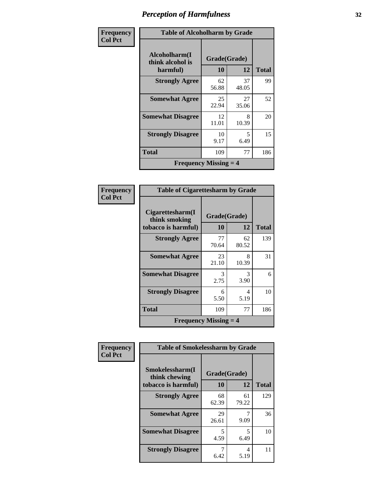| Frequency      | <b>Table of Alcoholharm by Grade</b>      |              |             |              |
|----------------|-------------------------------------------|--------------|-------------|--------------|
| <b>Col Pct</b> | Alcoholharm(I<br>think alcohol is         | Grade(Grade) |             |              |
|                | harmful)                                  | 10           | 12          | <b>Total</b> |
|                | <b>Strongly Agree</b>                     | 62<br>56.88  | 37<br>48.05 | 99           |
|                | <b>Somewhat Agree</b>                     | 25<br>22.94  | 27<br>35.06 | 52           |
|                | <b>Somewhat Disagree</b>                  | 12<br>11.01  | 8<br>10.39  | 20           |
|                | <b>Strongly Disagree</b>                  | 10<br>9.17   | 5<br>6.49   | 15           |
|                | <b>Total</b>                              | 109          | 77          | 186          |
|                | <b>Frequency Missing <math>=</math> 4</b> |              |             |              |

#### **Frequency Col Pct**

| <b>Table of Cigarettesharm by Grade</b>                  |                    |             |       |  |  |
|----------------------------------------------------------|--------------------|-------------|-------|--|--|
| Cigarettesharm(I<br>think smoking<br>tobacco is harmful) | Grade(Grade)<br>10 | 12          | Total |  |  |
| <b>Strongly Agree</b>                                    | 77<br>70.64        | 62<br>80.52 | 139   |  |  |
| <b>Somewhat Agree</b>                                    | 23<br>21.10        | 8<br>10.39  | 31    |  |  |
| <b>Somewhat Disagree</b>                                 | 3<br>2.75          | 3<br>3.90   | 6     |  |  |
| <b>Strongly Disagree</b>                                 | 6<br>5.50          | 4<br>5.19   | 10    |  |  |
| Total                                                    | 109                | 77          | 186   |  |  |
| <b>Frequency Missing <math>=</math> 4</b>                |                    |             |       |  |  |

| <b>Frequency</b> | <b>Table of Smokelessharm by Grade</b>                  |                    |             |              |
|------------------|---------------------------------------------------------|--------------------|-------------|--------------|
| <b>Col Pct</b>   | Smokelessharm(I<br>think chewing<br>tobacco is harmful) | Grade(Grade)<br>10 | 12          | <b>Total</b> |
|                  | <b>Strongly Agree</b>                                   | 68<br>62.39        | 61<br>79.22 | 129          |
|                  | <b>Somewhat Agree</b>                                   | 29<br>26.61        | 9.09        | 36           |
|                  | <b>Somewhat Disagree</b>                                | 5<br>4.59          | 5<br>6.49   | 10           |
|                  | <b>Strongly Disagree</b>                                | 6.42               | 4<br>5.19   | 11           |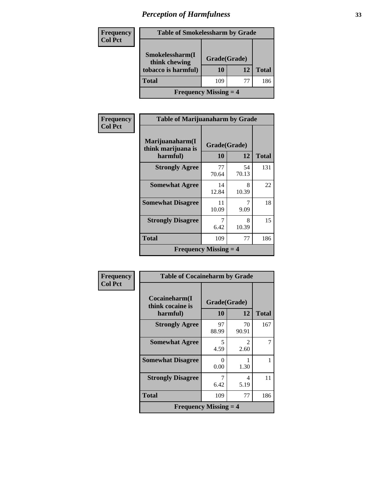| <b>Frequency</b> | <b>Table of Smokelessharm by Grade</b>                  |                    |    |              |  |
|------------------|---------------------------------------------------------|--------------------|----|--------------|--|
| <b>Col Pct</b>   | Smokelessharm(I<br>think chewing<br>tobacco is harmful) | Grade(Grade)<br>10 | 12 | <b>Total</b> |  |
|                  | <b>Total</b>                                            | 109                | 77 | 186          |  |
|                  | <b>Frequency Missing <math>=</math> 4</b>               |                    |    |              |  |

| Frequency      | <b>Table of Marijuanaharm by Grade</b>            |                    |             |              |
|----------------|---------------------------------------------------|--------------------|-------------|--------------|
| <b>Col Pct</b> | Marijuanaharm(I<br>think marijuana is<br>harmful) | Grade(Grade)<br>10 | 12          | <b>Total</b> |
|                | <b>Strongly Agree</b>                             | 77<br>70.64        | 54<br>70.13 | 131          |
|                | <b>Somewhat Agree</b>                             | 14<br>12.84        | 8<br>10.39  | 22           |
|                | <b>Somewhat Disagree</b>                          | 11<br>10.09        | 7<br>9.09   | 18           |
|                | <b>Strongly Disagree</b>                          | 7<br>6.42          | 8<br>10.39  | 15           |
|                | <b>Total</b>                                      | 109                | 77          | 186          |
|                | <b>Frequency Missing <math>=</math> 4</b>         |                    |             |              |

| Frequency      | <b>Table of Cocaineharm by Grade</b>      |              |                                     |              |
|----------------|-------------------------------------------|--------------|-------------------------------------|--------------|
| <b>Col Pct</b> | Cocaineharm(I)<br>think cocaine is        | Grade(Grade) |                                     |              |
|                | harmful)                                  | 10           | 12                                  | <b>Total</b> |
|                | <b>Strongly Agree</b>                     | 97<br>88.99  | 70<br>90.91                         | 167          |
|                | <b>Somewhat Agree</b>                     | 5<br>4.59    | $\mathcal{D}_{\mathcal{L}}$<br>2.60 | 7            |
|                | <b>Somewhat Disagree</b>                  | ∩<br>0.00    | 1.30                                |              |
|                | <b>Strongly Disagree</b>                  | 7<br>6.42    | 4<br>5.19                           | 11           |
|                | <b>Total</b>                              | 109          | 77                                  | 186          |
|                | <b>Frequency Missing <math>=</math> 4</b> |              |                                     |              |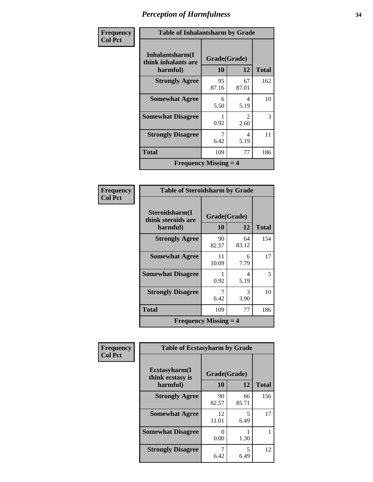| Frequency      | <b>Table of Inhalantsharm by Grade</b>    |              |                        |              |
|----------------|-------------------------------------------|--------------|------------------------|--------------|
| <b>Col Pct</b> | Inhalantsharm(I)<br>think inhalants are   | Grade(Grade) |                        |              |
|                | harmful)                                  | 10           | 12                     | <b>Total</b> |
|                | <b>Strongly Agree</b>                     | 95<br>87.16  | 67<br>87.01            | 162          |
|                | <b>Somewhat Agree</b>                     | 6<br>5.50    | 4<br>5.19              | 10           |
|                | <b>Somewhat Disagree</b>                  | 0.92         | $\mathfrak{D}$<br>2.60 | 3            |
|                | <b>Strongly Disagree</b>                  | 7<br>6.42    | 4<br>5.19              | 11           |
|                | <b>Total</b>                              | 109          | 77                     | 186          |
|                | <b>Frequency Missing <math>=</math> 4</b> |              |                        |              |

#### **Frequency Col Pct**

| <b>Table of Steroidsharm by Grade</b>            |                    |             |     |  |  |
|--------------------------------------------------|--------------------|-------------|-----|--|--|
| Steroidsharm(I<br>think steroids are<br>harmful) | Grade(Grade)<br>10 | Total       |     |  |  |
| <b>Strongly Agree</b>                            | 90<br>82.57        | 64<br>83.12 | 154 |  |  |
| <b>Somewhat Agree</b>                            | 11<br>10.09        | 6<br>7.79   | 17  |  |  |
| <b>Somewhat Disagree</b>                         | 1<br>0.92          | 4<br>5.19   | 5   |  |  |
| <b>Strongly Disagree</b>                         | 7<br>6.42          | 3<br>3.90   | 10  |  |  |
| <b>Total</b>                                     | 109                | 77          | 186 |  |  |
| <b>Frequency Missing <math>=</math> 4</b>        |                    |             |     |  |  |

| Frequency      | <b>Table of Ecstasyharm by Grade</b>          |                    |             |              |
|----------------|-----------------------------------------------|--------------------|-------------|--------------|
| <b>Col Pct</b> | Ecstasyharm(I<br>think ecstasy is<br>harmful) | Grade(Grade)<br>10 | 12          | <b>Total</b> |
|                | <b>Strongly Agree</b>                         | 90<br>82.57        | 66<br>85.71 | 156          |
|                | <b>Somewhat Agree</b>                         | 12<br>11.01        | 5<br>6.49   | 17           |
|                | <b>Somewhat Disagree</b>                      | 0.00               | 1.30        |              |
|                | <b>Strongly Disagree</b>                      | 7<br>6.42          | 5<br>6.49   | 12           |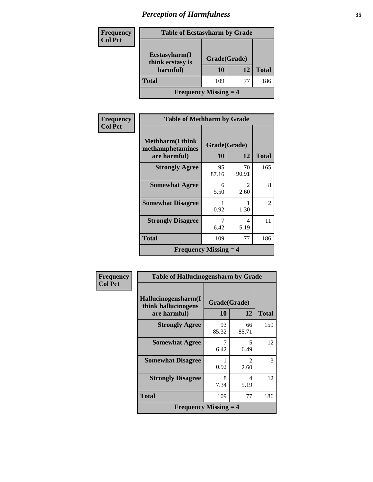| <b>Frequency</b> | <b>Table of Ecstasyharm by Grade</b>          |              |    |              |
|------------------|-----------------------------------------------|--------------|----|--------------|
| <b>Col Pct</b>   | Ecstasyharm(I<br>think ecstasy is<br>harmful) | Grade(Grade) |    |              |
|                  |                                               | 10           | 12 | <b>Total</b> |
|                  | <b>Total</b>                                  | 109          | 77 | 186          |
|                  | <b>Frequency Missing <math>=</math> 4</b>     |              |    |              |

| Frequency      | <b>Table of Methharm by Grade</b>                            |                    |                       |              |
|----------------|--------------------------------------------------------------|--------------------|-----------------------|--------------|
| <b>Col Pct</b> | <b>Methharm</b> (I think<br>methamphetamines<br>are harmful) | Grade(Grade)<br>10 | 12                    | <b>Total</b> |
|                | <b>Strongly Agree</b>                                        | 95<br>87.16        | 70<br>90.91           | 165          |
|                | <b>Somewhat Agree</b>                                        | 6<br>5.50          | $\mathcal{L}$<br>2.60 | 8            |
|                | <b>Somewhat Disagree</b>                                     | 0.92               | 1.30                  | 2            |
|                | <b>Strongly Disagree</b>                                     | 7<br>6.42          | 4<br>5.19             | 11           |
|                | <b>Total</b>                                                 | 109                | 77                    | 186          |
|                | <b>Frequency Missing <math>=</math> 4</b>                    |                    |                       |              |

| Frequency      | <b>Table of Hallucinogensharm by Grade</b>                 |             |                               |              |
|----------------|------------------------------------------------------------|-------------|-------------------------------|--------------|
| <b>Col Pct</b> | Hallucinogensharm(I<br>Grade(Grade)<br>think hallucinogens |             |                               |              |
|                | are harmful)                                               | 10          | 12                            | <b>Total</b> |
|                | <b>Strongly Agree</b>                                      | 93<br>85.32 | 66<br>85.71                   | 159          |
|                | <b>Somewhat Agree</b>                                      | 6.42        | 5<br>6.49                     | 12           |
|                | <b>Somewhat Disagree</b>                                   | 0.92        | $\mathcal{D}_{\cdot}$<br>2.60 | 3            |
|                | <b>Strongly Disagree</b>                                   | 8<br>7.34   | 4<br>5.19                     | 12           |
|                | <b>Total</b>                                               | 109         | 77                            | 186          |
|                | <b>Frequency Missing <math>=</math> 4</b>                  |             |                               |              |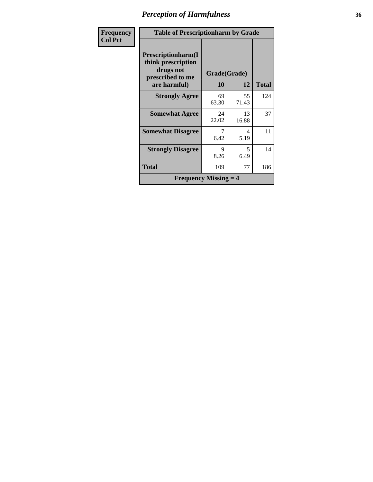| Frequency      | <b>Table of Prescriptionharm by Grade</b>                                         |              |             |              |
|----------------|-----------------------------------------------------------------------------------|--------------|-------------|--------------|
| <b>Col Pct</b> | <b>Prescriptionharm(I)</b><br>think prescription<br>drugs not<br>prescribed to me | Grade(Grade) |             |              |
|                | are harmful)                                                                      | 10           | 12          | <b>Total</b> |
|                | <b>Strongly Agree</b>                                                             | 69<br>63.30  | 55<br>71.43 | 124          |
|                | <b>Somewhat Agree</b>                                                             | 24<br>22.02  | 13<br>16.88 | 37           |
|                | <b>Somewhat Disagree</b>                                                          | 7<br>6.42    | 4<br>5.19   | 11           |
|                | <b>Strongly Disagree</b>                                                          | 9<br>8.26    | 5<br>6.49   | 14           |
|                | <b>Total</b>                                                                      | 109          | 77          | 186          |
|                | <b>Frequency Missing <math>=</math> 4</b>                                         |              |             |              |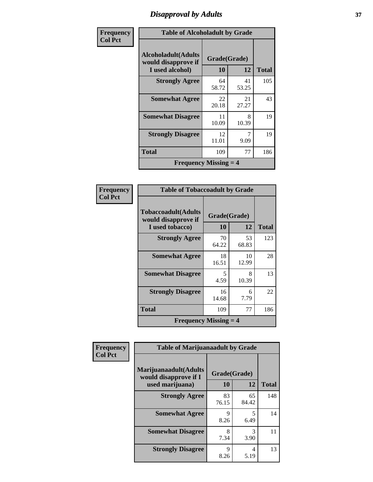## *Disapproval by Adults* **37**

| Frequency      |                                                                       | <b>Table of Alcoholadult by Grade</b> |             |              |  |
|----------------|-----------------------------------------------------------------------|---------------------------------------|-------------|--------------|--|
| <b>Col Pct</b> | <b>Alcoholadult</b> (Adults<br>would disapprove if<br>I used alcohol) | Grade(Grade)<br>10                    | 12          | <b>Total</b> |  |
|                | <b>Strongly Agree</b>                                                 | 64<br>58.72                           | 41<br>53.25 | 105          |  |
|                | <b>Somewhat Agree</b>                                                 | 22<br>20.18                           | 21<br>27.27 | 43           |  |
|                | <b>Somewhat Disagree</b>                                              | 11<br>10.09                           | 8<br>10.39  | 19           |  |
|                | <b>Strongly Disagree</b>                                              | 12<br>11.01                           | 9.09        | 19           |  |
|                | Total                                                                 | 109                                   | 77          | 186          |  |
|                | <b>Frequency Missing <math>=</math> 4</b>                             |                                       |             |              |  |

| Frequency      | <b>Table of Tobaccoadult by Grade</b>                         |                    |             |              |
|----------------|---------------------------------------------------------------|--------------------|-------------|--------------|
| <b>Col Pct</b> | Tobaccoadult(Adults<br>would disapprove if<br>I used tobacco) | Grade(Grade)<br>10 | 12          | <b>Total</b> |
|                | <b>Strongly Agree</b>                                         | 70<br>64.22        | 53<br>68.83 | 123          |
|                | <b>Somewhat Agree</b>                                         | 18<br>16.51        | 10<br>12.99 | 28           |
|                | <b>Somewhat Disagree</b>                                      | 5<br>4.59          | 8<br>10.39  | 13           |
|                | <b>Strongly Disagree</b>                                      | 16<br>14.68        | 6<br>7.79   | 22           |
|                | Total                                                         | 109                | 77          | 186          |
|                | <b>Frequency Missing <math>=</math> 4</b>                     |                    |             |              |

| Frequency      | <b>Table of Marijuanaadult by Grade</b>                           |                    |             |              |
|----------------|-------------------------------------------------------------------|--------------------|-------------|--------------|
| <b>Col Pct</b> | Marijuanaadult(Adults<br>would disapprove if I<br>used marijuana) | Grade(Grade)<br>10 | 12          | <b>Total</b> |
|                | <b>Strongly Agree</b>                                             | 83<br>76.15        | 65<br>84.42 | 148          |
|                | <b>Somewhat Agree</b>                                             | 9<br>8.26          | 5<br>6.49   | 14           |
|                | <b>Somewhat Disagree</b>                                          | 8<br>7.34          | 3<br>3.90   | 11           |
|                | <b>Strongly Disagree</b>                                          | 9<br>8.26          | 4<br>5.19   | 13           |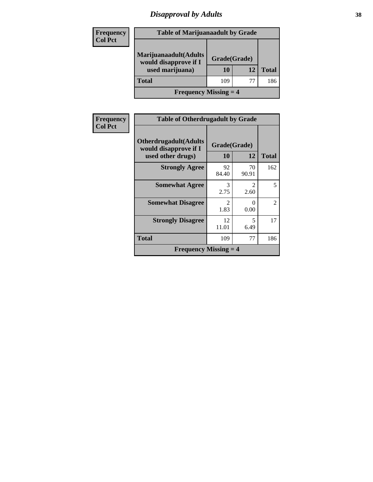## *Disapproval by Adults* **38**

| <b>Frequency</b> | <b>Table of Marijuanaadult by Grade</b>        |              |    |              |  |
|------------------|------------------------------------------------|--------------|----|--------------|--|
| <b>Col Pct</b>   |                                                |              |    |              |  |
|                  | Marijuanaadult(Adults<br>would disapprove if I | Grade(Grade) |    |              |  |
|                  | used marijuana)                                | 10           | 12 | <b>Total</b> |  |
|                  | <b>Total</b>                                   | 109          | 77 | 186          |  |
|                  | <b>Frequency Missing <math>=</math> 4</b>      |              |    |              |  |

| <b>Frequency</b> | <b>Table of Otherdrugadult by Grade</b>                                     |                        |                        |                |
|------------------|-----------------------------------------------------------------------------|------------------------|------------------------|----------------|
| <b>Col Pct</b>   | <b>Otherdrugadult</b> (Adults<br>would disapprove if I<br>used other drugs) | Grade(Grade)<br>10     | 12                     | <b>Total</b>   |
|                  | <b>Strongly Agree</b>                                                       | 92<br>84.40            | 70<br>90.91            | 162            |
|                  | <b>Somewhat Agree</b>                                                       | 3<br>2.75              | $\mathfrak{D}$<br>2.60 | 5              |
|                  | <b>Somewhat Disagree</b>                                                    | $\mathfrak{D}$<br>1.83 | $\Omega$<br>0.00       | $\mathfrak{D}$ |
|                  | <b>Strongly Disagree</b>                                                    | 12<br>11.01            | 5<br>6.49              | 17             |
|                  | <b>Total</b>                                                                | 109                    | 77                     | 186            |
|                  | <b>Frequency Missing <math>=</math> 4</b>                                   |                        |                        |                |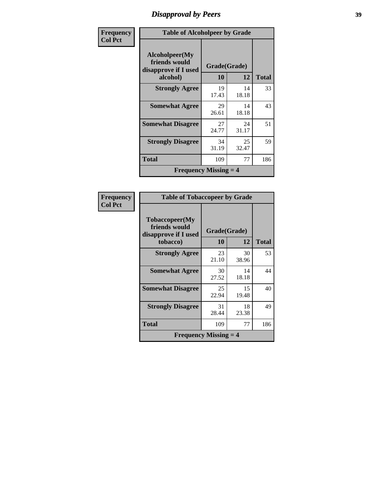## *Disapproval by Peers* **39**

| <b>Frequency</b> | <b>Table of Alcoholpeer by Grade</b>                                |                    |             |              |
|------------------|---------------------------------------------------------------------|--------------------|-------------|--------------|
| <b>Col Pct</b>   | Alcoholpeer(My<br>friends would<br>disapprove if I used<br>alcohol) | Grade(Grade)<br>10 | 12          | <b>Total</b> |
|                  | <b>Strongly Agree</b>                                               | 19<br>17.43        | 14<br>18.18 | 33           |
|                  | <b>Somewhat Agree</b>                                               | 29<br>26.61        | 14<br>18.18 | 43           |
|                  | <b>Somewhat Disagree</b>                                            | 27<br>24.77        | 24<br>31.17 | 51           |
|                  | <b>Strongly Disagree</b>                                            | 34<br>31.19        | 25<br>32.47 | 59           |
|                  | <b>Total</b>                                                        | 109                | 77          | 186          |
|                  | <b>Frequency Missing <math>=</math> 4</b>                           |                    |             |              |

| Frequency      | <b>Table of Tobaccopeer by Grade</b>                                |                    |             |              |
|----------------|---------------------------------------------------------------------|--------------------|-------------|--------------|
| <b>Col Pct</b> | Tobaccopeer(My<br>friends would<br>disapprove if I used<br>tobacco) | Grade(Grade)<br>10 | 12          | <b>Total</b> |
|                | <b>Strongly Agree</b>                                               | 23<br>21.10        | 30<br>38.96 | 53           |
|                | <b>Somewhat Agree</b>                                               | 30<br>27.52        | 14<br>18.18 | 44           |
|                | <b>Somewhat Disagree</b>                                            | 25<br>22.94        | 15<br>19.48 | 40           |
|                | <b>Strongly Disagree</b>                                            | 31<br>28.44        | 18<br>23.38 | 49           |
|                | <b>Total</b>                                                        | 109                | 77          | 186          |
|                | <b>Frequency Missing <math>=</math> 4</b>                           |                    |             |              |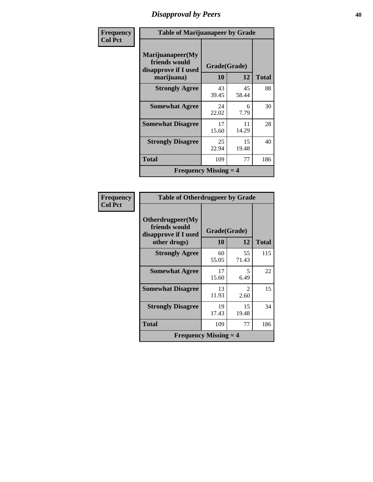## *Disapproval by Peers* **40**

| Frequency      | <b>Table of Marijuanapeer by Grade</b>                                  |                    |             |              |
|----------------|-------------------------------------------------------------------------|--------------------|-------------|--------------|
| <b>Col Pct</b> | Marijuanapeer(My<br>friends would<br>disapprove if I used<br>marijuana) | Grade(Grade)<br>10 | 12          | <b>Total</b> |
|                | <b>Strongly Agree</b>                                                   | 43<br>39.45        | 45<br>58.44 | 88           |
|                | <b>Somewhat Agree</b>                                                   | 24<br>22.02        | 6<br>7.79   | 30           |
|                | <b>Somewhat Disagree</b>                                                | 17<br>15.60        | 11<br>14.29 | 28           |
|                | <b>Strongly Disagree</b>                                                | 25<br>22.94        | 15<br>19.48 | 40           |
|                | <b>Total</b>                                                            | 109                | 77          | 186          |
|                | <b>Frequency Missing <math>=</math> 4</b>                               |                    |             |              |

| Frequency      | <b>Table of Otherdrugpeer by Grade</b>                                    |                    |                       |              |
|----------------|---------------------------------------------------------------------------|--------------------|-----------------------|--------------|
| <b>Col Pct</b> | Otherdrugpeer(My<br>friends would<br>disapprove if I used<br>other drugs) | Grade(Grade)<br>10 | 12                    | <b>Total</b> |
|                | <b>Strongly Agree</b>                                                     | 60<br>55.05        | 55<br>71.43           | 115          |
|                | <b>Somewhat Agree</b>                                                     | 17<br>15.60        | 5<br>6.49             | 22           |
|                | <b>Somewhat Disagree</b>                                                  | 13<br>11.93        | $\mathcal{L}$<br>2.60 | 15           |
|                | <b>Strongly Disagree</b>                                                  | 19<br>17.43        | 15<br>19.48           | 34           |
|                | <b>Total</b>                                                              | 109                | 77                    | 186          |
|                | <b>Frequency Missing <math>=</math> 4</b>                                 |                    |                       |              |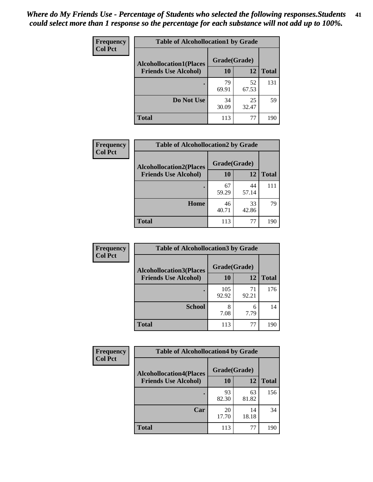| Frequency      | <b>Table of Alcohollocation1 by Grade</b> |              |             |              |
|----------------|-------------------------------------------|--------------|-------------|--------------|
| <b>Col Pct</b> | <b>Alcohollocation1(Places</b>            | Grade(Grade) |             |              |
|                | <b>Friends Use Alcohol)</b>               | 10           | 12          | <b>Total</b> |
|                |                                           | 79<br>69.91  | 52<br>67.53 | 131          |
|                | Do Not Use                                | 34<br>30.09  | 25<br>32.47 | 59           |
|                | <b>Total</b>                              | 113          | 77          | 190          |

| Frequency      | <b>Table of Alcohollocation2 by Grade</b>                     |                    |             |              |
|----------------|---------------------------------------------------------------|--------------------|-------------|--------------|
| <b>Col Pct</b> | <b>Alcohollocation2(Places</b><br><b>Friends Use Alcohol)</b> | Grade(Grade)<br>10 | 12          | <b>Total</b> |
|                |                                                               |                    |             |              |
|                |                                                               | 67<br>59.29        | 44<br>57.14 | 111          |
|                | Home                                                          | 46<br>40.71        | 33<br>42.86 | 79           |
|                | <b>Total</b>                                                  | 113                | 77          | 190          |

| Frequency<br><b>Col Pct</b> | <b>Table of Alcohollocation 3 by Grade</b>                    |                    |             |              |
|-----------------------------|---------------------------------------------------------------|--------------------|-------------|--------------|
|                             | <b>Alcohollocation3(Places</b><br><b>Friends Use Alcohol)</b> | Grade(Grade)<br>10 | 12          | <b>Total</b> |
|                             |                                                               | 105<br>92.92       | 71<br>92.21 | 176          |
|                             | <b>School</b>                                                 | 8<br>7.08          | 6<br>7.79   | 14           |
|                             | <b>Total</b>                                                  | 113                | 77          | 190          |

| <b>Frequency</b> | <b>Table of Alcohollocation4 by Grade</b> |              |             |              |  |
|------------------|-------------------------------------------|--------------|-------------|--------------|--|
| <b>Col Pct</b>   | <b>Alcohollocation4(Places</b>            | Grade(Grade) |             |              |  |
|                  | <b>Friends Use Alcohol)</b>               | 10           | 12          | <b>Total</b> |  |
|                  |                                           | 93<br>82.30  | 63<br>81.82 | 156          |  |
|                  | Car                                       | 20<br>17.70  | 14<br>18.18 | 34           |  |
|                  | <b>Total</b>                              | 113          | 77          | 190          |  |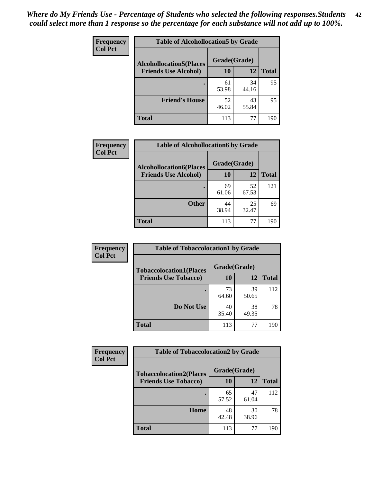| Frequency<br><b>Col Pct</b> | <b>Table of Alcohollocation5 by Grade</b>      |             |             |              |  |
|-----------------------------|------------------------------------------------|-------------|-------------|--------------|--|
|                             | Grade(Grade)<br><b>Alcohollocation5(Places</b> |             |             |              |  |
|                             | <b>Friends Use Alcohol)</b>                    | 10          | 12          | <b>Total</b> |  |
|                             |                                                | 61<br>53.98 | 34<br>44.16 | 95           |  |
|                             | <b>Friend's House</b>                          | 52<br>46.02 | 43<br>55.84 | 95           |  |
|                             | <b>Total</b>                                   | 113         | 77          | 190          |  |

| <b>Frequency</b> | <b>Table of Alcohollocation6 by Grade</b> |              |             |              |
|------------------|-------------------------------------------|--------------|-------------|--------------|
| <b>Col Pct</b>   | <b>Alcohollocation6(Places</b>            | Grade(Grade) |             |              |
|                  | <b>Friends Use Alcohol)</b>               | 10           | 12          | <b>Total</b> |
|                  |                                           | 69<br>61.06  | 52<br>67.53 | 121          |
|                  | <b>Other</b>                              | 44<br>38.94  | 25<br>32.47 | 69           |
|                  | <b>Total</b>                              | 113          | 77          | 190          |

| Frequency      | <b>Table of Tobaccolocation1 by Grade</b> |              |             |              |
|----------------|-------------------------------------------|--------------|-------------|--------------|
| <b>Col Pct</b> | <b>Tobaccolocation1(Places</b>            | Grade(Grade) |             |              |
|                | <b>Friends Use Tobacco)</b>               | 10           | <b>12</b>   | <b>Total</b> |
|                |                                           | 73<br>64.60  | 39<br>50.65 | 112          |
|                | Do Not Use                                | 40<br>35.40  | 38<br>49.35 | 78           |
|                | <b>Total</b>                              | 113          | 77          | 190          |

| <b>Frequency</b> | <b>Table of Tobaccolocation2 by Grade</b> |              |             |              |  |
|------------------|-------------------------------------------|--------------|-------------|--------------|--|
| <b>Col Pct</b>   | <b>Tobaccolocation2(Places</b>            | Grade(Grade) |             |              |  |
|                  | <b>Friends Use Tobacco)</b>               | 10           | 12          | <b>Total</b> |  |
|                  |                                           | 65<br>57.52  | 47<br>61.04 | 112          |  |
|                  | Home                                      | 48<br>42.48  | 30<br>38.96 | 78           |  |
|                  | <b>Total</b>                              | 113          | 77          | 190          |  |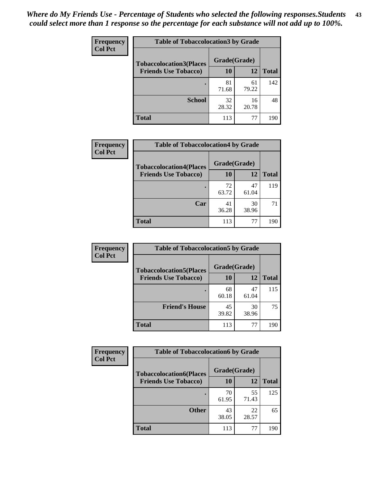| Frequency      | <b>Table of Tobaccolocation 3 by Grade</b> |              |             |              |  |
|----------------|--------------------------------------------|--------------|-------------|--------------|--|
| <b>Col Pct</b> | <b>Tobaccolocation3(Places</b>             | Grade(Grade) |             |              |  |
|                | <b>Friends Use Tobacco)</b>                | 10           | <b>12</b>   | <b>Total</b> |  |
|                |                                            | 81<br>71.68  | 61<br>79.22 | 142          |  |
|                | <b>School</b>                              | 32<br>28.32  | 16<br>20.78 | 48           |  |
|                | <b>Total</b>                               | 113          | 77          | 190          |  |

| <b>Frequency</b> | <b>Table of Tobaccolocation4 by Grade</b> |              |             |              |
|------------------|-------------------------------------------|--------------|-------------|--------------|
| <b>Col Pct</b>   | <b>Tobaccolocation4(Places</b>            | Grade(Grade) |             |              |
|                  | <b>Friends Use Tobacco)</b>               | 10           | 12          | <b>Total</b> |
|                  |                                           | 72<br>63.72  | 47<br>61.04 | 119          |
|                  | Car                                       | 41<br>36.28  | 30<br>38.96 | 71           |
|                  | <b>Total</b>                              | 113          | 77          | 190          |

| Frequency      | <b>Table of Tobaccolocation5 by Grade</b> |              |             |              |
|----------------|-------------------------------------------|--------------|-------------|--------------|
| <b>Col Pct</b> | <b>Tobaccolocation5(Places</b>            | Grade(Grade) |             |              |
|                | <b>Friends Use Tobacco)</b>               | 10           | <b>12</b>   | <b>Total</b> |
|                |                                           | 68<br>60.18  | 47<br>61.04 | 115          |
|                | <b>Friend's House</b>                     | 45<br>39.82  | 30<br>38.96 | 75           |
|                | <b>Total</b>                              | 113          | 77          | 190          |

| <b>Frequency</b> | <b>Table of Tobaccolocation6 by Grade</b> |              |             |              |  |
|------------------|-------------------------------------------|--------------|-------------|--------------|--|
| <b>Col Pct</b>   | <b>Tobaccolocation6(Places</b>            | Grade(Grade) |             |              |  |
|                  | <b>Friends Use Tobacco)</b>               | 10           | 12          | <b>Total</b> |  |
|                  |                                           | 70<br>61.95  | 55<br>71.43 | 125          |  |
|                  | <b>Other</b>                              | 43<br>38.05  | 22<br>28.57 | 65           |  |
|                  | <b>Total</b>                              | 113          | 77          | 190          |  |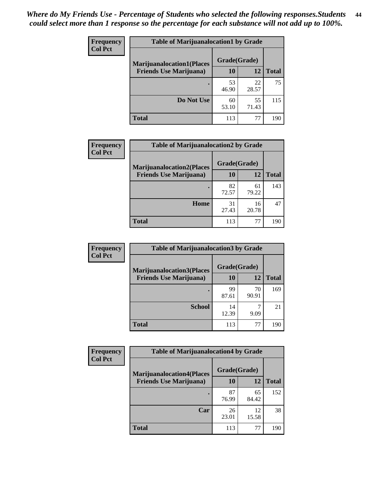| <b>Frequency</b> | <b>Table of Marijuanalocation1 by Grade</b> |              |             |              |
|------------------|---------------------------------------------|--------------|-------------|--------------|
| <b>Col Pct</b>   | <b>Marijuanalocation1(Places</b>            | Grade(Grade) |             |              |
|                  | <b>Friends Use Marijuana</b> )              | 10           | 12          | <b>Total</b> |
|                  |                                             | 53<br>46.90  | 22<br>28.57 | 75           |
|                  | Do Not Use                                  | 60<br>53.10  | 55<br>71.43 | 115          |
|                  | <b>Total</b>                                | 113          | 77          | 190          |

| <b>Frequency</b> | <b>Table of Marijuanalocation2 by Grade</b>                        |                    |             |              |
|------------------|--------------------------------------------------------------------|--------------------|-------------|--------------|
| <b>Col Pct</b>   | <b>Marijuanalocation2(Places</b><br><b>Friends Use Marijuana</b> ) | Grade(Grade)<br>10 | 12          | <b>Total</b> |
|                  |                                                                    | 82<br>72.57        | 61<br>79.22 | 143          |
|                  | Home                                                               | 31<br>27.43        | 16<br>20.78 | 47           |
|                  | <b>Total</b>                                                       | 113                | 77          | 190          |

| Frequency      | <b>Table of Marijuanalocation3 by Grade</b> |              |             |              |
|----------------|---------------------------------------------|--------------|-------------|--------------|
| <b>Col Pct</b> | <b>Marijuanalocation3</b> (Places           | Grade(Grade) |             |              |
|                | <b>Friends Use Marijuana</b> )              | <b>10</b>    | 12          | <b>Total</b> |
|                |                                             | 99<br>87.61  | 70<br>90.91 | 169          |
|                | <b>School</b>                               | 14<br>12.39  | 9.09        | 21           |
|                | <b>Total</b>                                | 113          | 77          | 190          |

| <b>Frequency</b> | <b>Table of Marijuanalocation4 by Grade</b> |              |             |              |
|------------------|---------------------------------------------|--------------|-------------|--------------|
| <b>Col Pct</b>   | <b>Marijuanalocation4(Places</b>            | Grade(Grade) |             |              |
|                  | <b>Friends Use Marijuana</b> )              | <b>10</b>    | 12          | <b>Total</b> |
|                  |                                             | 87<br>76.99  | 65<br>84.42 | 152          |
|                  | Car                                         | 26<br>23.01  | 12<br>15.58 | 38           |
|                  | <b>Total</b>                                | 113          | 77          | 190          |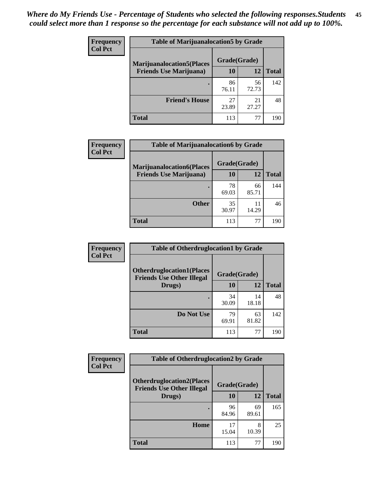| <b>Frequency</b> | <b>Table of Marijuanalocation5 by Grade</b> |              |             |              |
|------------------|---------------------------------------------|--------------|-------------|--------------|
| <b>Col Pct</b>   | <b>Marijuanalocation5</b> (Places           | Grade(Grade) |             |              |
|                  | <b>Friends Use Marijuana</b> )              | 10           | 12          | <b>Total</b> |
|                  |                                             | 86<br>76.11  | 56<br>72.73 | 142          |
|                  | <b>Friend's House</b>                       | 27<br>23.89  | 21<br>27.27 | 48           |
|                  | <b>Total</b>                                | 113          | 77          | 190          |

| <b>Frequency</b> | <b>Table of Marijuanalocation6 by Grade</b> |              |             |              |
|------------------|---------------------------------------------|--------------|-------------|--------------|
| <b>Col Pct</b>   | <b>Marijuanalocation6(Places</b>            | Grade(Grade) |             |              |
|                  | <b>Friends Use Marijuana</b> )              | 10           | 12          | <b>Total</b> |
|                  |                                             | 78<br>69.03  | 66<br>85.71 | 144          |
|                  | <b>Other</b>                                | 35<br>30.97  | 11<br>14.29 | 46           |
|                  | <b>Total</b>                                | 113          | 77          | 190          |

| <b>Frequency</b> | <b>Table of Otherdruglocation1 by Grade</b>                          |              |             |              |
|------------------|----------------------------------------------------------------------|--------------|-------------|--------------|
| <b>Col Pct</b>   | <b>Otherdruglocation1(Places</b><br><b>Friends Use Other Illegal</b> | Grade(Grade) |             |              |
|                  | Drugs)                                                               | 10           | 12          | <b>Total</b> |
|                  |                                                                      | 34<br>30.09  | 14<br>18.18 | 48           |
|                  | Do Not Use                                                           | 79<br>69.91  | 63<br>81.82 | 142          |
|                  | <b>Total</b>                                                         | 113          | 77          | 190          |

| <b>Frequency</b> | <b>Table of Otherdruglocation2 by Grade</b>                          |              |             |              |
|------------------|----------------------------------------------------------------------|--------------|-------------|--------------|
| <b>Col Pct</b>   | <b>Otherdruglocation2(Places</b><br><b>Friends Use Other Illegal</b> | Grade(Grade) |             |              |
|                  | Drugs)                                                               | <b>10</b>    | 12          | <b>Total</b> |
|                  |                                                                      | 96<br>84.96  | 69<br>89.61 | 165          |
|                  | Home                                                                 | 17<br>15.04  | 8<br>10.39  | 25           |
|                  | <b>Total</b>                                                         | 113          | 77          | 190          |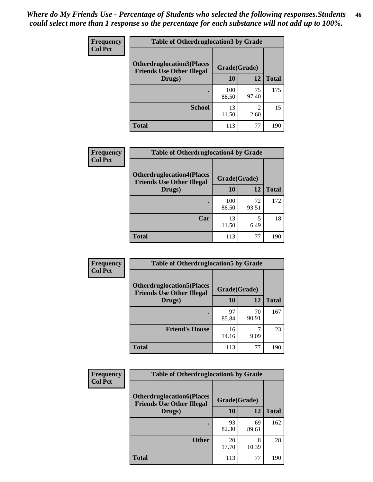| <b>Frequency</b> | <b>Table of Otherdruglocation3 by Grade</b>                           |              |                        |              |
|------------------|-----------------------------------------------------------------------|--------------|------------------------|--------------|
| <b>Col Pct</b>   | <b>Otherdruglocation3(Places)</b><br><b>Friends Use Other Illegal</b> | Grade(Grade) |                        |              |
|                  | Drugs)                                                                | 10           | 12                     | <b>Total</b> |
|                  |                                                                       | 100<br>88.50 | 75<br>97.40            | 175          |
|                  | <b>School</b>                                                         | 13<br>11.50  | $\mathfrak{D}$<br>2.60 | 15           |
|                  | Total                                                                 | 113          | 77                     | 190          |

| Frequency      | <b>Table of Otherdruglocation4 by Grade</b>                          |              |             |              |
|----------------|----------------------------------------------------------------------|--------------|-------------|--------------|
| <b>Col Pct</b> | <b>Otherdruglocation4(Places</b><br><b>Friends Use Other Illegal</b> | Grade(Grade) |             |              |
|                | Drugs)                                                               | 10           | 12          | <b>Total</b> |
|                |                                                                      | 100<br>88.50 | 72<br>93.51 | 172          |
|                | Car                                                                  | 13<br>11.50  | 6.49        | 18           |
|                | <b>Total</b>                                                         | 113          | 77          | 190          |

| <b>Frequency</b> | <b>Table of Otherdruglocation5 by Grade</b>                          |              |             |              |
|------------------|----------------------------------------------------------------------|--------------|-------------|--------------|
| <b>Col Pct</b>   | <b>Otherdruglocation5(Places</b><br><b>Friends Use Other Illegal</b> | Grade(Grade) |             |              |
|                  | Drugs)                                                               | <b>10</b>    | 12          | <b>Total</b> |
|                  |                                                                      | 97<br>85.84  | 70<br>90.91 | 167          |
|                  | <b>Friend's House</b>                                                | 16<br>14.16  | 9.09        | 23           |
|                  | <b>Total</b>                                                         | 113          | 77          | 190          |

| Frequency      | <b>Table of Otherdruglocation6 by Grade</b>                          |              |             |              |
|----------------|----------------------------------------------------------------------|--------------|-------------|--------------|
| <b>Col Pct</b> | <b>Otherdruglocation6(Places</b><br><b>Friends Use Other Illegal</b> | Grade(Grade) |             |              |
|                | Drugs)                                                               | 10           | 12          | <b>Total</b> |
|                |                                                                      | 93<br>82.30  | 69<br>89.61 | 162          |
|                | <b>Other</b>                                                         | 20<br>17.70  | 8<br>10.39  | 28           |
|                | <b>Total</b>                                                         | 113          | 77          | 190          |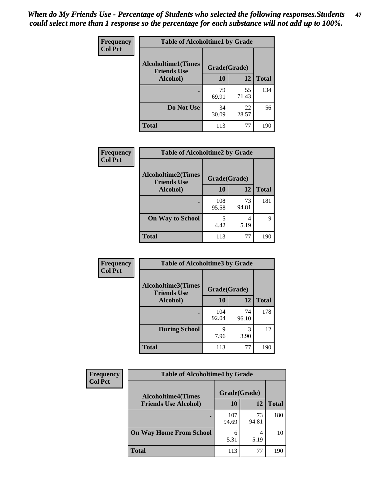| Frequency      | <b>Table of Alcoholtime1 by Grade</b>                           |             |             |              |
|----------------|-----------------------------------------------------------------|-------------|-------------|--------------|
| <b>Col Pct</b> | <b>Alcoholtime1(Times</b><br>Grade(Grade)<br><b>Friends Use</b> |             |             |              |
|                | Alcohol)                                                        | 10          | 12          | <b>Total</b> |
|                |                                                                 | 79<br>69.91 | 55<br>71.43 | 134          |
|                | Do Not Use                                                      | 34<br>30.09 | 22<br>28.57 | 56           |
|                | <b>Total</b>                                                    | 113         | 77          | 190          |

| Frequency      |                                                 | <b>Table of Alcoholtime2 by Grade</b> |             |              |  |
|----------------|-------------------------------------------------|---------------------------------------|-------------|--------------|--|
| <b>Col Pct</b> | <b>Alcoholtime2(Times</b><br><b>Friends Use</b> | Grade(Grade)                          |             |              |  |
|                | Alcohol)                                        | 10                                    | 12          | <b>Total</b> |  |
|                |                                                 | 108<br>95.58                          | 73<br>94.81 | 181          |  |
|                | <b>On Way to School</b>                         | 4.42                                  | 4<br>5.19   | Q            |  |
|                | <b>Total</b>                                    | 113                                   | 77          | 190          |  |

| Frequency      | <b>Table of Alcoholtime3 by Grade</b>           |              |             |              |
|----------------|-------------------------------------------------|--------------|-------------|--------------|
| <b>Col Pct</b> | <b>Alcoholtime3(Times</b><br><b>Friends Use</b> | Grade(Grade) |             |              |
|                | Alcohol)                                        | 10           | 12          | <b>Total</b> |
|                |                                                 | 104<br>92.04 | 74<br>96.10 | 178          |
|                | <b>During School</b>                            | 9<br>7.96    | 3<br>3.90   | 12           |
|                | <b>Total</b>                                    | 113          | 77          | 190          |

| <b>Frequency</b><br><b>Col Pct</b> | <b>Table of Alcoholtime4 by Grade</b> |              |             |              |
|------------------------------------|---------------------------------------|--------------|-------------|--------------|
|                                    | <b>Alcoholtime4(Times</b>             | Grade(Grade) |             |              |
|                                    | <b>Friends Use Alcohol)</b>           | 10           | 12          | <b>Total</b> |
|                                    |                                       | 107<br>94.69 | 73<br>94.81 | 180          |
|                                    | <b>On Way Home From School</b>        | 6<br>5.31    | 4<br>5.19   | 10           |
|                                    | <b>Total</b>                          | 113          | 77          | 190          |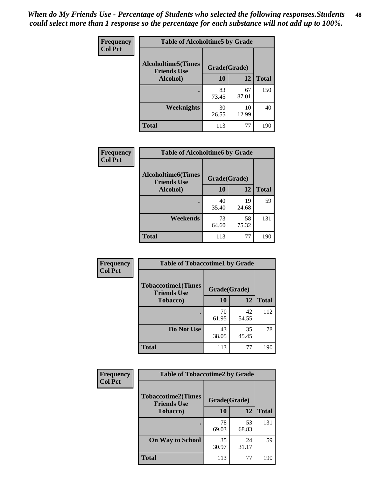*When do My Friends Use - Percentage of Students who selected the following responses.Students could select more than 1 response so the percentage for each substance will not add up to 100%.* **48**

| <b>Frequency</b> | <b>Table of Alcoholtime5 by Grade</b>           |              |             |              |
|------------------|-------------------------------------------------|--------------|-------------|--------------|
| <b>Col Pct</b>   | <b>Alcoholtime5(Times</b><br><b>Friends Use</b> | Grade(Grade) |             |              |
|                  | Alcohol)                                        | 10           | 12          | <b>Total</b> |
|                  |                                                 | 83<br>73.45  | 67<br>87.01 | 150          |
|                  | Weeknights                                      | 30<br>26.55  | 10<br>12.99 | 40           |
|                  | <b>Total</b>                                    | 113          | 77          | 190          |

| Frequency      | <b>Table of Alcoholtime6 by Grade</b>           |              |             |              |
|----------------|-------------------------------------------------|--------------|-------------|--------------|
| <b>Col Pct</b> | <b>Alcoholtime6(Times</b><br><b>Friends Use</b> | Grade(Grade) |             |              |
|                | Alcohol)                                        | 10           | 12          | <b>Total</b> |
|                |                                                 | 40<br>35.40  | 19<br>24.68 | 59           |
|                | Weekends                                        | 73<br>64.60  | 58<br>75.32 | 131          |
|                | <b>Total</b>                                    | 113          | 77          | 190          |

| Frequency      | <b>Table of Tobaccotime1 by Grade</b>           |              |             |              |  |
|----------------|-------------------------------------------------|--------------|-------------|--------------|--|
| <b>Col Pct</b> | <b>Tobaccotime1(Times</b><br><b>Friends Use</b> | Grade(Grade) |             |              |  |
|                | <b>Tobacco</b> )                                | 10           | 12          | <b>Total</b> |  |
|                | ٠                                               | 70<br>61.95  | 42<br>54.55 | 112          |  |
|                | Do Not Use                                      | 43<br>38.05  | 35<br>45.45 | 78           |  |
|                | <b>Total</b>                                    | 113          | 77          | 190          |  |

| <b>Frequency</b> | <b>Table of Tobaccotime2 by Grade</b>           |              |             |              |
|------------------|-------------------------------------------------|--------------|-------------|--------------|
| <b>Col Pct</b>   | <b>Tobaccotime2(Times</b><br><b>Friends Use</b> | Grade(Grade) |             |              |
|                  | <b>Tobacco</b> )                                | 10           | 12          | <b>Total</b> |
|                  |                                                 | 78<br>69.03  | 53<br>68.83 | 131          |
|                  | <b>On Way to School</b>                         | 35<br>30.97  | 24<br>31.17 | 59           |
|                  | <b>Total</b>                                    | 113          | 77          | 190          |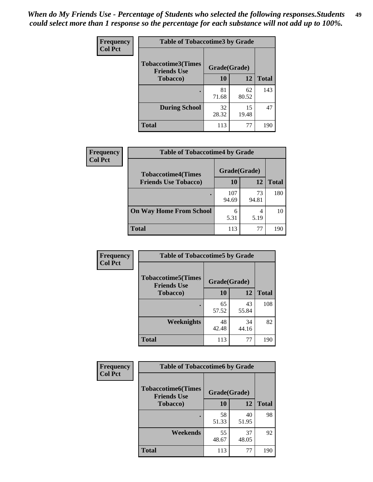*When do My Friends Use - Percentage of Students who selected the following responses.Students could select more than 1 response so the percentage for each substance will not add up to 100%.* **49**

| <b>Frequency</b> | <b>Table of Tobaccotime3 by Grade</b>           |              |             |              |
|------------------|-------------------------------------------------|--------------|-------------|--------------|
| <b>Col Pct</b>   | <b>Tobaccotime3(Times</b><br><b>Friends Use</b> | Grade(Grade) |             |              |
|                  | <b>Tobacco</b> )                                | 10           | 12          | <b>Total</b> |
|                  |                                                 | 81<br>71.68  | 62<br>80.52 | 143          |
|                  | <b>During School</b>                            | 32<br>28.32  | 15<br>19.48 | 47           |
|                  | <b>Total</b>                                    | 113          | 77          | 190          |

| Frequency<br><b>Col Pct</b> | <b>Table of Tobaccotime4 by Grade</b> |              |             |              |  |
|-----------------------------|---------------------------------------|--------------|-------------|--------------|--|
|                             | <b>Tobaccotime4(Times</b>             | Grade(Grade) |             |              |  |
|                             | <b>Friends Use Tobacco)</b>           | 10           | 12          | <b>Total</b> |  |
|                             |                                       | 107<br>94.69 | 73<br>94.81 | 180          |  |
|                             | <b>On Way Home From School</b>        | 6<br>5.31    | 5.19        | 10           |  |
|                             | <b>Total</b>                          | 113          | 77          | 190          |  |

| <b>Frequency</b> | <b>Table of Tobaccotime5 by Grade</b>            |              |             |              |
|------------------|--------------------------------------------------|--------------|-------------|--------------|
| <b>Col Pct</b>   | <b>Tobaccotime5</b> (Times<br><b>Friends Use</b> | Grade(Grade) |             |              |
|                  | Tobacco)                                         | 10           | 12          | <b>Total</b> |
|                  | ٠                                                | 65<br>57.52  | 43<br>55.84 | 108          |
|                  | <b>Weeknights</b>                                | 48<br>42.48  | 34<br>44.16 | 82           |
|                  | <b>Total</b>                                     | 113          | 77          | 190          |

| Frequency      | <b>Table of Tobaccotime6 by Grade</b>           |              |             |              |
|----------------|-------------------------------------------------|--------------|-------------|--------------|
| <b>Col Pct</b> | <b>Tobaccotime6(Times</b><br><b>Friends Use</b> | Grade(Grade) |             |              |
|                | <b>Tobacco</b> )                                | 10           | 12          | <b>Total</b> |
|                |                                                 | 58<br>51.33  | 40<br>51.95 | 98           |
|                | Weekends                                        | 55<br>48.67  | 37<br>48.05 | 92           |
|                | <b>Total</b>                                    | 113          | 77          | 190          |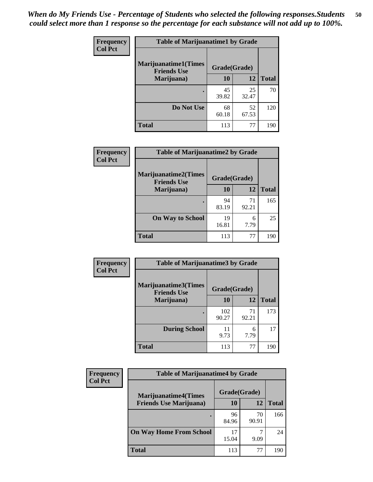| Frequency      | <b>Table of Marijuanatime1 by Grade</b>           |              |             |              |
|----------------|---------------------------------------------------|--------------|-------------|--------------|
| <b>Col Pct</b> | <b>Marijuanatime1(Times</b><br><b>Friends Use</b> | Grade(Grade) |             |              |
|                | Marijuana)                                        | 10           | 12          | <b>Total</b> |
|                |                                                   | 45<br>39.82  | 25<br>32.47 | 70           |
|                | Do Not Use                                        | 68<br>60.18  | 52<br>67.53 | 120          |
|                | <b>Total</b>                                      | 113          | 77          | 190          |

| Frequency      | <b>Table of Marijuanatime2 by Grade</b>           |              |             |              |  |  |
|----------------|---------------------------------------------------|--------------|-------------|--------------|--|--|
| <b>Col Pct</b> | <b>Marijuanatime2(Times</b><br><b>Friends Use</b> | Grade(Grade) |             |              |  |  |
|                | Marijuana)                                        | 10           | 12          | <b>Total</b> |  |  |
|                |                                                   | 94<br>83.19  | 71<br>92.21 | 165          |  |  |
|                | <b>On Way to School</b>                           | 19<br>16.81  | 6<br>7.79   | 25           |  |  |
|                | <b>Total</b>                                      | 113          | 77          | 190          |  |  |

| Frequency<br><b>Col Pct</b> | <b>Table of Marijuanatime3 by Grade</b>    |              |             |              |
|-----------------------------|--------------------------------------------|--------------|-------------|--------------|
|                             | Marijuanatime3(Times<br><b>Friends Use</b> | Grade(Grade) |             |              |
|                             | Marijuana)                                 | 10           | 12          | <b>Total</b> |
|                             |                                            | 102<br>90.27 | 71<br>92.21 | 173          |
|                             | <b>During School</b>                       | 9.73         | 6<br>7.79   | 17           |
|                             | Total                                      | 113          | 77          | 190          |

| <b>Frequency</b> | <b>Table of Marijuanatime4 by Grade</b> |              |             |              |
|------------------|-----------------------------------------|--------------|-------------|--------------|
| <b>Col Pct</b>   | <b>Marijuanatime4</b> (Times            | Grade(Grade) |             |              |
|                  | <b>Friends Use Marijuana</b> )          | 10           | 12          | <b>Total</b> |
|                  |                                         | 96<br>84.96  | 70<br>90.91 | 166          |
|                  | <b>On Way Home From School</b>          | 17<br>15.04  | 9.09        | 24           |
|                  | <b>Total</b>                            | 113          | 77          | 190          |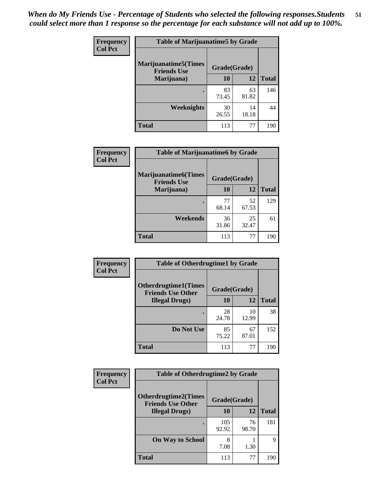| Frequency      | <b>Table of Marijuanatime5 by Grade</b>            |              |             |              |
|----------------|----------------------------------------------------|--------------|-------------|--------------|
| <b>Col Pct</b> | <b>Marijuanatime5</b> (Times<br><b>Friends Use</b> | Grade(Grade) |             |              |
|                | Marijuana)                                         | 10           | 12          | <b>Total</b> |
|                |                                                    | 83<br>73.45  | 63<br>81.82 | 146          |
|                | Weeknights                                         | 30<br>26.55  | 14<br>18.18 | 44           |
|                | <b>Total</b>                                       | 113          | 77          | 190          |

| <b>Frequency</b> | <b>Table of Marijuanatime6 by Grade</b>            |              |             |              |  |  |
|------------------|----------------------------------------------------|--------------|-------------|--------------|--|--|
| <b>Col Pct</b>   | <b>Marijuanatime6</b> (Times<br><b>Friends Use</b> | Grade(Grade) |             |              |  |  |
|                  | Marijuana)                                         | 10           | 12          | <b>Total</b> |  |  |
|                  |                                                    | 77<br>68.14  | 52<br>67.53 | 129          |  |  |
|                  | Weekends                                           | 36<br>31.86  | 25<br>32.47 | 61           |  |  |
|                  | <b>Total</b>                                       | 113          | 77          | 190          |  |  |

| <b>Frequency</b> | <b>Table of Otherdrugtime1 by Grade</b>                  |              |             |              |
|------------------|----------------------------------------------------------|--------------|-------------|--------------|
| <b>Col Pct</b>   | <b>Otherdrugtime1</b> (Times<br><b>Friends Use Other</b> | Grade(Grade) |             |              |
|                  | <b>Illegal Drugs</b> )                                   | 10           | 12          | <b>Total</b> |
|                  |                                                          | 28<br>24.78  | 10<br>12.99 | 38           |
|                  | Do Not Use                                               | 85<br>75.22  | 67<br>87.01 | 152          |
|                  | <b>Total</b>                                             | 113          | 77          | 190          |

| Frequency<br><b>Col Pct</b> | <b>Table of Otherdrugtime2 by Grade</b>                 |              |             |              |
|-----------------------------|---------------------------------------------------------|--------------|-------------|--------------|
|                             | <b>Otherdrugtime2(Times</b><br><b>Friends Use Other</b> | Grade(Grade) |             |              |
|                             | <b>Illegal Drugs</b> )                                  | 10           | 12          | <b>Total</b> |
|                             |                                                         | 105<br>92.92 | 76<br>98.70 | 181          |
|                             | <b>On Way to School</b>                                 | 8<br>7.08    | 1.30        | 9            |
|                             | Total                                                   | 113          | 77          | 190          |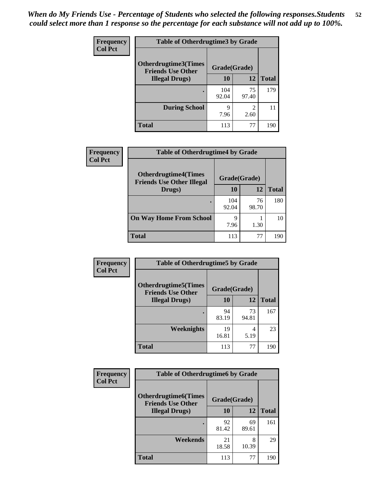| <b>Frequency</b> | <b>Table of Otherdrugtime3 by Grade</b>          |              |                                                                                                                                                                         |              |
|------------------|--------------------------------------------------|--------------|-------------------------------------------------------------------------------------------------------------------------------------------------------------------------|--------------|
| <b>Col Pct</b>   | Otherdrugtime3(Times<br><b>Friends Use Other</b> | Grade(Grade) |                                                                                                                                                                         |              |
|                  | <b>Illegal Drugs</b> )                           | 10           | 12                                                                                                                                                                      | <b>Total</b> |
|                  |                                                  | 104<br>92.04 | 75<br>97.40                                                                                                                                                             | 179          |
|                  | <b>During School</b>                             | 9<br>7.96    | $\mathcal{D}_{\mathcal{A}}^{\mathcal{A}}(\mathcal{A})=\mathcal{D}_{\mathcal{A}}^{\mathcal{A}}(\mathcal{A})\mathcal{D}_{\mathcal{A}}^{\mathcal{A}}(\mathcal{A})$<br>2.60 | 11           |
|                  | Total                                            | 113          | 77                                                                                                                                                                      | 190          |

| Frequency      | <b>Table of Otherdrugtime4 by Grade</b>                         |              |             |              |
|----------------|-----------------------------------------------------------------|--------------|-------------|--------------|
| <b>Col Pct</b> | <b>Otherdrugtime4(Times</b><br><b>Friends Use Other Illegal</b> | Grade(Grade) |             |              |
|                | Drugs)                                                          | 10           | 12          | <b>Total</b> |
|                | ٠                                                               | 104<br>92.04 | 76<br>98.70 | 180          |
|                | <b>On Way Home From School</b>                                  | 9<br>7.96    | 1.30        | 10           |
|                | <b>Total</b>                                                    | 113          | 77          | 190          |

| <b>Frequency</b> | <b>Table of Otherdrugtime5 by Grade</b>                  |              |             |              |
|------------------|----------------------------------------------------------|--------------|-------------|--------------|
| <b>Col Pct</b>   | <b>Otherdrugtime5</b> (Times<br><b>Friends Use Other</b> | Grade(Grade) |             |              |
|                  | <b>Illegal Drugs</b> )                                   | 10           | 12          | <b>Total</b> |
|                  |                                                          | 94<br>83.19  | 73<br>94.81 | 167          |
|                  | Weeknights                                               | 19<br>16.81  | 4<br>5.19   | 23           |
|                  | Total                                                    | 113          | 77          | 190          |

| <b>Frequency</b> | <b>Table of Otherdrugtime6 by Grade</b>                 |              |             |              |
|------------------|---------------------------------------------------------|--------------|-------------|--------------|
| <b>Col Pct</b>   | <b>Otherdrugtime6(Times</b><br><b>Friends Use Other</b> | Grade(Grade) |             |              |
|                  | <b>Illegal Drugs</b> )                                  | 10           | 12          | <b>Total</b> |
|                  |                                                         | 92<br>81.42  | 69<br>89.61 | 161          |
|                  | Weekends                                                | 21<br>18.58  | 8<br>10.39  | 29           |
|                  | <b>Total</b>                                            | 113          | 77          | 190          |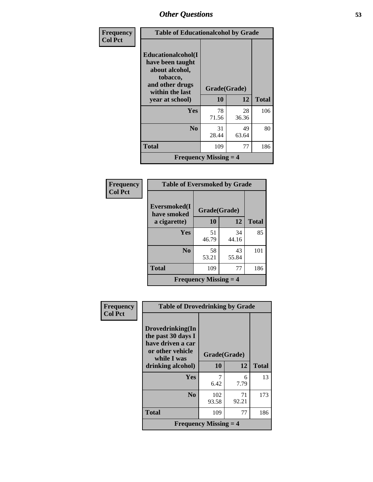| Frequency      | <b>Table of Educationalcohol by Grade</b>                                                                  |              |             |              |
|----------------|------------------------------------------------------------------------------------------------------------|--------------|-------------|--------------|
| <b>Col Pct</b> | Educationalcohol(I<br>have been taught<br>about alcohol,<br>tobacco,<br>and other drugs<br>within the last | Grade(Grade) |             |              |
|                | year at school)                                                                                            | 10           | 12          | <b>Total</b> |
|                | Yes                                                                                                        | 78<br>71.56  | 28<br>36.36 | 106          |
|                | N <sub>0</sub>                                                                                             | 31<br>28.44  | 49<br>63.64 | 80           |
|                | <b>Total</b>                                                                                               | 109          | 77          | 186          |
|                | <b>Frequency Missing <math>=</math> 4</b>                                                                  |              |             |              |

| Frequency<br>Col Pct |
|----------------------|
|                      |

| <b>Table of Eversmoked by Grade</b>         |                    |             |              |  |  |
|---------------------------------------------|--------------------|-------------|--------------|--|--|
| Eversmoked(I<br>have smoked<br>a cigarette) | Grade(Grade)<br>10 | 12          | <b>Total</b> |  |  |
| Yes                                         | 51<br>46.79        | 34<br>44.16 | 85           |  |  |
| N <sub>0</sub>                              | 58<br>53.21        | 43<br>55.84 | 101          |  |  |
| <b>Total</b>                                | 109                | 77          | 186          |  |  |
| <b>Frequency Missing <math>=</math> 4</b>   |                    |             |              |  |  |

| Frequency      | <b>Table of Drovedrinking by Grade</b>                                                         |                                           |             |              |
|----------------|------------------------------------------------------------------------------------------------|-------------------------------------------|-------------|--------------|
| <b>Col Pct</b> | Drovedrinking(In<br>the past 30 days I<br>have driven a car<br>or other vehicle<br>while I was | Grade(Grade)                              |             |              |
|                | drinking alcohol)                                                                              | 10                                        | 12          | <b>Total</b> |
|                | <b>Yes</b>                                                                                     | 7<br>6.42                                 | 6<br>7.79   | 13           |
|                | N <sub>0</sub>                                                                                 | 102<br>93.58                              | 71<br>92.21 | 173          |
|                | <b>Total</b>                                                                                   | 109                                       | 77          | 186          |
|                |                                                                                                | <b>Frequency Missing <math>=</math> 4</b> |             |              |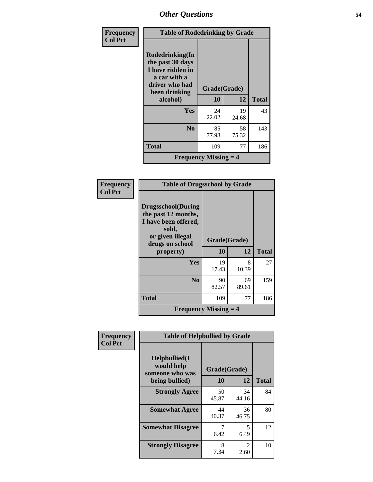| Frequency      | <b>Table of Rodedrinking by Grade</b>                                                                      |                                           |             |              |  |
|----------------|------------------------------------------------------------------------------------------------------------|-------------------------------------------|-------------|--------------|--|
| <b>Col Pct</b> | Rodedrinking(In<br>the past 30 days<br>I have ridden in<br>a car with a<br>driver who had<br>been drinking | Grade(Grade)                              |             |              |  |
|                | alcohol)                                                                                                   | 10                                        | 12          | <b>Total</b> |  |
|                | <b>Yes</b>                                                                                                 | 24<br>22.02                               | 19<br>24.68 | 43           |  |
|                | N <sub>0</sub>                                                                                             | 85<br>77.98                               | 58<br>75.32 | 143          |  |
|                | <b>Total</b>                                                                                               | 109                                       | 77          | 186          |  |
|                |                                                                                                            | <b>Frequency Missing <math>=</math> 4</b> |             |              |  |

| Frequency<br><b>Col Pct</b> |                                                                                                                           | <b>Table of Drugsschool by Grade</b> |             |              |  |  |  |
|-----------------------------|---------------------------------------------------------------------------------------------------------------------------|--------------------------------------|-------------|--------------|--|--|--|
|                             | <b>Drugsschool</b> (During<br>the past 12 months,<br>I have been offered,<br>sold,<br>or given illegal<br>drugs on school | Grade(Grade)                         |             |              |  |  |  |
|                             | property)                                                                                                                 | <b>10</b>                            | 12          | <b>Total</b> |  |  |  |
|                             | <b>Yes</b>                                                                                                                | 19<br>17.43                          | 8<br>10.39  | 27           |  |  |  |
|                             | N <sub>0</sub>                                                                                                            | 90<br>82.57                          | 69<br>89.61 | 159          |  |  |  |
|                             | <b>Total</b>                                                                                                              | 109                                  | 77          | 186          |  |  |  |
|                             | <b>Frequency Missing <math>=</math> 4</b>                                                                                 |                                      |             |              |  |  |  |

| Frequency      |                                                | <b>Table of Helpbullied by Grade</b> |                                     |              |  |  |  |
|----------------|------------------------------------------------|--------------------------------------|-------------------------------------|--------------|--|--|--|
| <b>Col Pct</b> | Helpbullied(I<br>would help<br>someone who was | Grade(Grade)                         |                                     |              |  |  |  |
|                | being bullied)                                 | 10                                   | 12                                  | <b>Total</b> |  |  |  |
|                | <b>Strongly Agree</b>                          | 50<br>45.87                          | 34<br>44.16                         | 84           |  |  |  |
|                | <b>Somewhat Agree</b>                          | 44<br>40.37                          | 36<br>46.75                         | 80           |  |  |  |
|                | <b>Somewhat Disagree</b>                       | 7<br>6.42                            | 5<br>6.49                           | 12           |  |  |  |
|                | <b>Strongly Disagree</b>                       | 8<br>7.34                            | $\mathcal{D}_{\mathcal{L}}$<br>2.60 | 10           |  |  |  |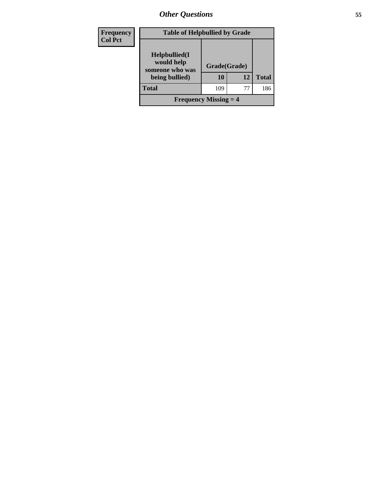| <b>Frequency</b><br><b>Col Pct</b> |                                                                  | <b>Table of Helpbullied by Grade</b> |    |              |  |  |
|------------------------------------|------------------------------------------------------------------|--------------------------------------|----|--------------|--|--|
|                                    | Helpbullied(I<br>would help<br>someone who was<br>being bullied) | Grade(Grade)<br>10                   | 12 | <b>Total</b> |  |  |
|                                    | <b>Total</b>                                                     | 109                                  | 77 | 186          |  |  |
|                                    | <b>Frequency Missing <math>=</math> 4</b>                        |                                      |    |              |  |  |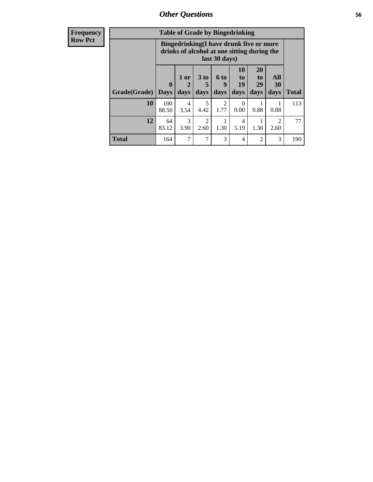| Frequency      | <b>Table of Grade by Bingedrinking</b> |                                                                                                         |                        |                              |                                     |                               |                        |                          |              |
|----------------|----------------------------------------|---------------------------------------------------------------------------------------------------------|------------------------|------------------------------|-------------------------------------|-------------------------------|------------------------|--------------------------|--------------|
| <b>Row Pct</b> |                                        | Bingedrinking(I have drunk five or more<br>drinks of alcohol at one sitting during the<br>last 30 days) |                        |                              |                                     |                               |                        |                          |              |
|                | <b>Grade</b> (Grade) Days              | $\boldsymbol{0}$                                                                                        | $1$ or<br>days         | 3 <sub>to</sub><br>5<br>days | 6 <sub>to</sub><br>9<br>days        | <b>10</b><br>to<br>19<br>days | 20<br>to<br>29<br>days | <b>All</b><br>30<br>days | <b>Total</b> |
|                | 10                                     | 100<br>88.50                                                                                            | $\overline{4}$<br>3.54 | 5<br>4.42                    | $\mathcal{D}_{\mathcal{L}}$<br>1.77 | $\Omega$<br>0.00              | 0.88                   | 0.88                     | 113          |
|                | 12                                     | 64<br>83.12                                                                                             | 3<br>3.90              | $\mathfrak{D}$<br>2.60       | 1.30                                | 4<br>5.19                     | 1.30                   | $\mathfrak{D}$<br>2.60   | 77           |
|                | <b>Total</b>                           | 164                                                                                                     | 7                      | 7                            | 3                                   | 4                             | $\overline{2}$         | 3                        | 190          |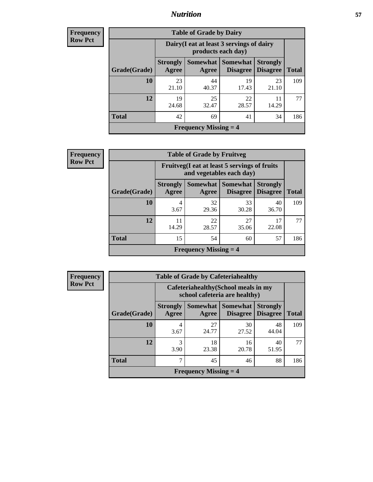## *Nutrition* **57**

| Frequency |
|-----------|
| Row Pct   |

| <b>Table of Grade by Dairy</b>            |                          |                                                                 |                                   |                                    |              |  |
|-------------------------------------------|--------------------------|-----------------------------------------------------------------|-----------------------------------|------------------------------------|--------------|--|
|                                           |                          | Dairy (I eat at least 3 servings of dairy<br>products each day) |                                   |                                    |              |  |
| Grade(Grade)                              | <b>Strongly</b><br>Agree | Agree                                                           | Somewhat   Somewhat  <br>Disagree | <b>Strongly</b><br><b>Disagree</b> | <b>Total</b> |  |
| 10                                        | 23<br>21.10              | 44<br>40.37                                                     | 19<br>17.43                       | 23<br>21.10                        | 109          |  |
| 12                                        | 19<br>24.68              | 25<br>32.47                                                     | 22<br>28.57                       | 11<br>14.29                        | 77           |  |
| <b>Total</b>                              | 42                       | 69                                                              | 41                                | 34                                 | 186          |  |
| <b>Frequency Missing <math>=</math> 4</b> |                          |                                                                 |                                   |                                    |              |  |

| <b>Frequency</b> |  |
|------------------|--|
| <b>Row Pct</b>   |  |

| $\overline{\textbf{c}\textbf{v}}$ | <b>Table of Grade by Fruitveg</b> |                                           |                                                                          |                                    |                                    |              |  |  |
|-----------------------------------|-----------------------------------|-------------------------------------------|--------------------------------------------------------------------------|------------------------------------|------------------------------------|--------------|--|--|
|                                   |                                   |                                           | Fruitveg(I eat at least 5 servings of fruits<br>and vegetables each day) |                                    |                                    |              |  |  |
|                                   | Grade(Grade)                      | <b>Strongly</b><br>Agree                  | <b>Somewhat</b><br>Agree                                                 | <b>Somewhat</b><br><b>Disagree</b> | <b>Strongly</b><br><b>Disagree</b> | <b>Total</b> |  |  |
|                                   | 10                                | 4<br>3.67                                 | 32<br>29.36                                                              | 33<br>30.28                        | 40<br>36.70                        | 109          |  |  |
|                                   | 12                                | 11<br>14.29                               | 22<br>28.57                                                              | 27<br>35.06                        | 17<br>22.08                        | 77           |  |  |
|                                   | <b>Total</b>                      | 15                                        | 54                                                                       | 60                                 | 57                                 | 186          |  |  |
|                                   |                                   | <b>Frequency Missing <math>=</math> 4</b> |                                                                          |                                    |                                    |              |  |  |

**Frequency Row Pct**

| <b>Table of Grade by Cafeteriahealthy</b> |                          |                                                                       |                                    |                                    |              |  |
|-------------------------------------------|--------------------------|-----------------------------------------------------------------------|------------------------------------|------------------------------------|--------------|--|
|                                           |                          | Cafeteriahealthy (School meals in my<br>school cafeteria are healthy) |                                    |                                    |              |  |
| Grade(Grade)                              | <b>Strongly</b><br>Agree | Somewhat  <br>Agree                                                   | <b>Somewhat</b><br><b>Disagree</b> | <b>Strongly</b><br><b>Disagree</b> | <b>Total</b> |  |
| 10                                        | 4<br>3.67                | 27<br>24.77                                                           | 30<br>27.52                        | 48<br>44.04                        | 109          |  |
| 12                                        | 3<br>3.90                | 18<br>23.38                                                           | 16<br>20.78                        | 40<br>51.95                        | 77           |  |
| <b>Total</b>                              | 7                        | 45                                                                    | 46                                 | 88                                 | 186          |  |
| <b>Frequency Missing <math>=</math> 4</b> |                          |                                                                       |                                    |                                    |              |  |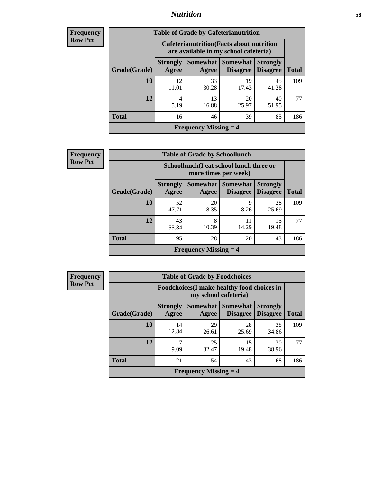## *Nutrition* **58**

| <b>Frequency</b> |
|------------------|
| Row Pct          |

| <b>Table of Grade by Cafeterianutrition</b> |                                                                                           |                     |                                    |                                    |              |  |  |
|---------------------------------------------|-------------------------------------------------------------------------------------------|---------------------|------------------------------------|------------------------------------|--------------|--|--|
|                                             | <b>Cafeterianutrition</b> (Facts about nutrition<br>are available in my school cafeteria) |                     |                                    |                                    |              |  |  |
| Grade(Grade)                                | <b>Strongly</b><br>Agree                                                                  | Somewhat  <br>Agree | <b>Somewhat</b><br><b>Disagree</b> | <b>Strongly</b><br><b>Disagree</b> | <b>Total</b> |  |  |
| 10                                          | 12<br>11.01                                                                               | 33<br>30.28         | 19<br>17.43                        | 45<br>41.28                        | 109          |  |  |
| 12                                          | 4<br>5.19                                                                                 | 13<br>16.88         | 20<br>25.97                        | 40<br>51.95                        | 77           |  |  |
| <b>Total</b>                                | 16                                                                                        | 46                  | 39                                 | 85                                 | 186          |  |  |
| <b>Frequency Missing <math>=</math> 4</b>   |                                                                                           |                     |                                    |                                    |              |  |  |

| <b>Frequency</b> |
|------------------|
| <b>Row Pct</b>   |

| $\overline{\text{cy}}$ | <b>Table of Grade by Schoollunch</b> |                          |                                                                 |                             |                                    |              |  |  |
|------------------------|--------------------------------------|--------------------------|-----------------------------------------------------------------|-----------------------------|------------------------------------|--------------|--|--|
| Д.                     |                                      |                          | Schoollunch(I eat school lunch three or<br>more times per week) |                             |                                    |              |  |  |
|                        | Grade(Grade)                         | <b>Strongly</b><br>Agree | Somewhat  <br>Agree                                             | <b>Somewhat</b><br>Disagree | <b>Strongly</b><br><b>Disagree</b> | <b>Total</b> |  |  |
|                        | 10                                   | 52<br>47.71              | 20<br>18.35                                                     | q<br>8.26                   | 28<br>25.69                        | 109          |  |  |
|                        | 12                                   | 43<br>55.84              | 8<br>10.39                                                      | 11<br>14.29                 | 15<br>19.48                        | 77           |  |  |
|                        | <b>Total</b>                         | 95                       | 28                                                              | 20                          | 43                                 | 186          |  |  |
|                        |                                      |                          | <b>Frequency Missing <math>=</math> 4</b>                       |                             |                                    |              |  |  |

**Frequency Row Pct**

| <b>Table of Grade by Foodchoices</b>      |                          |                                                                            |                                          |                                    |              |  |
|-------------------------------------------|--------------------------|----------------------------------------------------------------------------|------------------------------------------|------------------------------------|--------------|--|
|                                           |                          | <b>Foodchoices</b> (I make healthy food choices in<br>my school cafeteria) |                                          |                                    |              |  |
| Grade(Grade)                              | <b>Strongly</b><br>Agree | Agree                                                                      | Somewhat   Somewhat  <br><b>Disagree</b> | <b>Strongly</b><br><b>Disagree</b> | <b>Total</b> |  |
| 10                                        | 14<br>12.84              | 29<br>26.61                                                                | 28<br>25.69                              | 38<br>34.86                        | 109          |  |
| 12                                        | 7<br>9.09                | 25<br>32.47                                                                | 15<br>19.48                              | 30<br>38.96                        | 77           |  |
| <b>Total</b>                              | 21                       | 54                                                                         | 43                                       | 68                                 | 186          |  |
| <b>Frequency Missing <math>=</math> 4</b> |                          |                                                                            |                                          |                                    |              |  |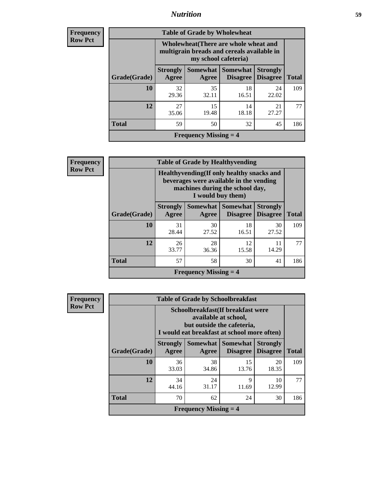## *Nutrition* **59**

| <b>Frequency</b><br>Row Pct |
|-----------------------------|
|                             |

| <b>Table of Grade by Wholewheat</b> |                          |                                                                                                             |                                   |                                    |              |  |
|-------------------------------------|--------------------------|-------------------------------------------------------------------------------------------------------------|-----------------------------------|------------------------------------|--------------|--|
|                                     |                          | Wholewheat (There are whole wheat and<br>multigrain breads and cereals available in<br>my school cafeteria) |                                   |                                    |              |  |
| Grade(Grade)                        | <b>Strongly</b><br>Agree | Agree                                                                                                       | Somewhat   Somewhat  <br>Disagree | <b>Strongly</b><br><b>Disagree</b> | <b>Total</b> |  |
| 10                                  | 32<br>29.36              | 35<br>32.11                                                                                                 | 18<br>16.51                       | 24<br>22.02                        | 109          |  |
| 12                                  | 27<br>35.06              | 15<br>19.48                                                                                                 | 14<br>18.18                       | 21<br>27.27                        | 77           |  |
| <b>Total</b>                        | 59                       | 50                                                                                                          | 32                                | 45                                 | 186          |  |
| <b>Frequency Missing = 4</b>        |                          |                                                                                                             |                                   |                                    |              |  |

| <b>Frequency</b> |
|------------------|
| <b>Row Pct</b>   |

|              |                              | <b>Table of Grade by Healthyvending</b><br>Healthyvending (If only healthy snacks and<br>beverages were available in the vending<br>machines during the school day,<br>I would buy them) |                                          |                                    |              |  |  |
|--------------|------------------------------|------------------------------------------------------------------------------------------------------------------------------------------------------------------------------------------|------------------------------------------|------------------------------------|--------------|--|--|
| Grade(Grade) | <b>Strongly</b><br>Agree     | Agree                                                                                                                                                                                    | Somewhat   Somewhat  <br><b>Disagree</b> | <b>Strongly</b><br><b>Disagree</b> | <b>Total</b> |  |  |
| 10           | 31<br>28.44                  | 30<br>27.52                                                                                                                                                                              | 18<br>16.51                              | 30<br>27.52                        | 109          |  |  |
| 12           | 26<br>33.77                  | 28<br>36.36                                                                                                                                                                              | 12<br>15.58                              | 11<br>14.29                        | 77           |  |  |
| <b>Total</b> | 57                           | 58                                                                                                                                                                                       | 30                                       | 41                                 | 186          |  |  |
|              | <b>Frequency Missing = 4</b> |                                                                                                                                                                                          |                                          |                                    |              |  |  |

| <b>Frequency</b> |
|------------------|
| <b>Row Pct</b>   |

| <b>Table of Grade by Schoolbreakfast</b>  |                                                                                                                                        |             |                                        |                                    |              |  |
|-------------------------------------------|----------------------------------------------------------------------------------------------------------------------------------------|-------------|----------------------------------------|------------------------------------|--------------|--|
|                                           | Schoolbreakfast(If breakfast were<br>available at school,<br>but outside the cafeteria,<br>I would eat breakfast at school more often) |             |                                        |                                    |              |  |
| Grade(Grade)                              | <b>Strongly</b><br>Agree                                                                                                               | Agree       | Somewhat   Somewhat<br><b>Disagree</b> | <b>Strongly</b><br><b>Disagree</b> | <b>Total</b> |  |
| 10                                        | 36<br>33.03                                                                                                                            | 38<br>34.86 | 15<br>13.76                            | 20<br>18.35                        | 109          |  |
| 12                                        | 34<br>44.16                                                                                                                            | 24<br>31.17 | 9<br>11.69                             | 10<br>12.99                        | 77           |  |
| <b>Total</b>                              | 70                                                                                                                                     | 62          | 24                                     | 30                                 | 186          |  |
| <b>Frequency Missing <math>=</math> 4</b> |                                                                                                                                        |             |                                        |                                    |              |  |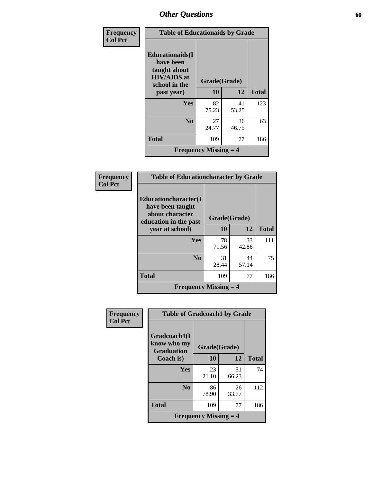| Frequency      | <b>Table of Educationaids by Grade</b>                                                                    |                                           |             |              |  |  |
|----------------|-----------------------------------------------------------------------------------------------------------|-------------------------------------------|-------------|--------------|--|--|
| <b>Col Pct</b> | <b>Educationaids</b> (I<br>have been<br>taught about<br><b>HIV/AIDS</b> at<br>school in the<br>past year) | Grade(Grade)<br>10                        | 12          | <b>Total</b> |  |  |
|                | Yes                                                                                                       | 82<br>75.23                               | 41<br>53.25 | 123          |  |  |
|                | N <sub>0</sub>                                                                                            | 27<br>24.77                               | 36<br>46.75 | 63           |  |  |
|                | <b>Total</b>                                                                                              | 109                                       | 77          | 186          |  |  |
|                |                                                                                                           | <b>Frequency Missing <math>=</math> 4</b> |             |              |  |  |

| Frequency      | <b>Table of Educationcharacter by Grade</b>                                                  |              |             |              |  |
|----------------|----------------------------------------------------------------------------------------------|--------------|-------------|--------------|--|
| <b>Col Pct</b> | <b>Educationcharacter</b> (I<br>have been taught<br>about character<br>education in the past | Grade(Grade) |             |              |  |
|                | year at school)                                                                              | 10           | 12          | <b>Total</b> |  |
|                | Yes                                                                                          | 78<br>71.56  | 33<br>42.86 | 111          |  |
|                | N <sub>0</sub>                                                                               | 31<br>28.44  | 44<br>57.14 | 75           |  |
|                | <b>Total</b>                                                                                 | 109          | 77          | 186          |  |
|                | <b>Frequency Missing <math>=</math> 4</b>                                                    |              |             |              |  |

| <b>Frequency</b> | <b>Table of Gradcoach1 by Grade</b>              |                                           |             |              |
|------------------|--------------------------------------------------|-------------------------------------------|-------------|--------------|
| <b>Col Pct</b>   | Gradcoach1(I<br>know who my<br><b>Graduation</b> | Grade(Grade)                              |             |              |
|                  | Coach is)                                        | 10                                        | 12          | <b>Total</b> |
|                  | Yes                                              | 23<br>21.10                               | 51<br>66.23 | 74           |
|                  | N <sub>0</sub>                                   | 86<br>78.90                               | 26<br>33.77 | 112          |
|                  | <b>Total</b>                                     | 109                                       | 77          | 186          |
|                  |                                                  | <b>Frequency Missing <math>=</math> 4</b> |             |              |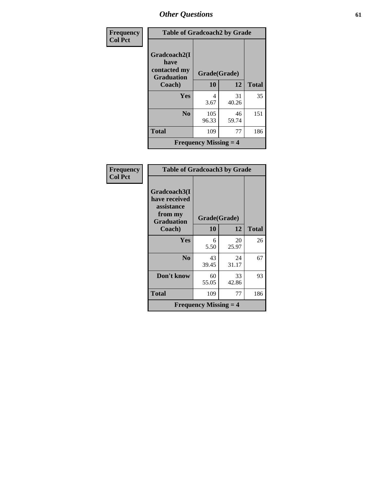| Frequency      | <b>Table of Gradcoach2 by Grade</b>                       |                                           |             |              |
|----------------|-----------------------------------------------------------|-------------------------------------------|-------------|--------------|
| <b>Col Pct</b> | Gradcoach2(I<br>have<br>contacted my<br><b>Graduation</b> | Grade(Grade)                              |             |              |
|                | Coach)                                                    | 10                                        | 12          | <b>Total</b> |
|                | Yes                                                       | 4<br>3.67                                 | 31<br>40.26 | 35           |
|                | N <sub>0</sub>                                            | 105<br>96.33                              | 46<br>59.74 | 151          |
|                | <b>Total</b>                                              | 109                                       | 77          | 186          |
|                |                                                           | <b>Frequency Missing <math>=</math> 4</b> |             |              |

| Frequency      | <b>Table of Gradcoach3 by Grade</b>                                         |                                           |             |              |
|----------------|-----------------------------------------------------------------------------|-------------------------------------------|-------------|--------------|
| <b>Col Pct</b> | Gradcoach3(I<br>have received<br>assistance<br>from my<br><b>Graduation</b> | Grade(Grade)                              |             |              |
|                | Coach)                                                                      | 10                                        | 12          | <b>Total</b> |
|                | Yes                                                                         | 6<br>5.50                                 | 20<br>25.97 | 26           |
|                | N <sub>0</sub>                                                              | 43<br>39.45                               | 24<br>31.17 | 67           |
|                | Don't know                                                                  | 60<br>55.05                               | 33<br>42.86 | 93           |
|                | Total                                                                       | 109                                       | 77          | 186          |
|                |                                                                             | <b>Frequency Missing <math>=</math> 4</b> |             |              |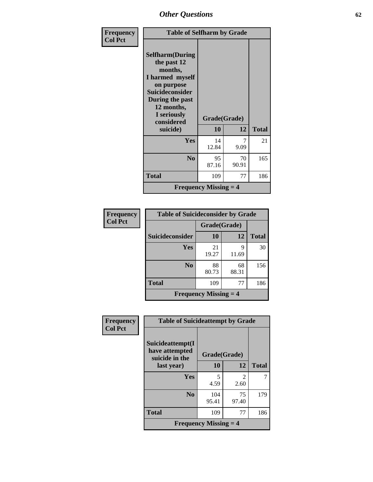| Frequency      | <b>Table of Selfharm by Grade</b>                                                                                                                                                      |                                           |             |              |
|----------------|----------------------------------------------------------------------------------------------------------------------------------------------------------------------------------------|-------------------------------------------|-------------|--------------|
| <b>Col Pct</b> | <b>Selfharm</b> (During<br>the past 12<br>months,<br>I harmed myself<br>on purpose<br><b>Suicideconsider</b><br>During the past<br>12 months,<br>I seriously<br>considered<br>suicide) | Grade(Grade)<br><b>10</b>                 | 12          | <b>Total</b> |
|                | Yes                                                                                                                                                                                    | 14<br>12.84                               | 9.09        | 21           |
|                | N <sub>0</sub>                                                                                                                                                                         | 95<br>87.16                               | 70<br>90.91 | 165          |
|                | <b>Total</b>                                                                                                                                                                           | 109                                       | 77          | 186          |
|                |                                                                                                                                                                                        | <b>Frequency Missing <math>=</math> 4</b> |             |              |

| Frequency      | <b>Table of Suicideconsider by Grade</b> |                                           |             |              |  |
|----------------|------------------------------------------|-------------------------------------------|-------------|--------------|--|
| <b>Col Pct</b> |                                          | Grade(Grade)                              |             |              |  |
|                | Suicideconsider                          | 10                                        | 12          | <b>Total</b> |  |
|                | Yes                                      | 21<br>19.27                               | 9<br>11.69  | 30           |  |
|                | N <sub>0</sub>                           | 88<br>80.73                               | 68<br>88.31 | 156          |  |
|                | <b>Total</b>                             | 109                                       | 77          | 186          |  |
|                |                                          | <b>Frequency Missing <math>=</math> 4</b> |             |              |  |

| Frequency<br><b>Col Pct</b> | <b>Table of Suicideattempt by Grade</b>              |                                           |                        |              |
|-----------------------------|------------------------------------------------------|-------------------------------------------|------------------------|--------------|
|                             | Suicideattempt(I<br>have attempted<br>suicide in the |                                           | Grade(Grade)           |              |
|                             | last year)                                           | 10                                        | 12                     | <b>Total</b> |
|                             | Yes                                                  | 5<br>4.59                                 | $\mathfrak{D}$<br>2.60 |              |
|                             | N <sub>0</sub>                                       | 104<br>95.41                              | 75<br>97.40            | 179          |
|                             | <b>Total</b>                                         | 109                                       | 77                     | 186          |
|                             |                                                      | <b>Frequency Missing <math>=</math> 4</b> |                        |              |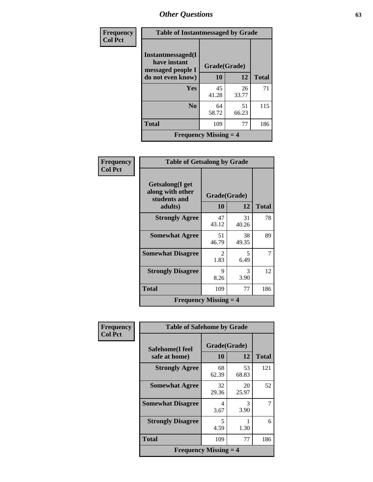| Frequency      | <b>Table of Instantmessaged by Grade</b>               |              |             |              |
|----------------|--------------------------------------------------------|--------------|-------------|--------------|
| <b>Col Pct</b> | Instantmessaged(I<br>have instant<br>messaged people I | Grade(Grade) |             |              |
|                | do not even know)                                      | 10           | 12          | <b>Total</b> |
|                | Yes                                                    | 45<br>41.28  | 26<br>33.77 | 71           |
|                | N <sub>0</sub>                                         | 64<br>58.72  | 51<br>66.23 | 115          |
|                | <b>Total</b>                                           | 109          | 77          | 186          |
|                | <b>Frequency Missing <math>=</math> 4</b>              |              |             |              |

| Frequency      | <b>Table of Getsalong by Grade</b>                             |                    |             |              |
|----------------|----------------------------------------------------------------|--------------------|-------------|--------------|
| <b>Col Pct</b> | Getsalong(I get<br>along with other<br>students and<br>adults) | Grade(Grade)<br>10 | 12          | <b>Total</b> |
|                | <b>Strongly Agree</b>                                          | 47<br>43.12        | 31<br>40.26 | 78           |
|                | <b>Somewhat Agree</b>                                          | 51<br>46.79        | 38<br>49.35 | 89           |
|                | <b>Somewhat Disagree</b>                                       | 2<br>1.83          | 5<br>6.49   |              |
|                | <b>Strongly Disagree</b>                                       | 9<br>8.26          | 3<br>3.90   | 12           |
|                | <b>Total</b>                                                   | 109                | 77          | 186          |
|                | <b>Frequency Missing <math>=</math> 4</b>                      |                    |             |              |

| Frequency      | <b>Table of Safehome by Grade</b>         |                           |             |              |
|----------------|-------------------------------------------|---------------------------|-------------|--------------|
| <b>Col Pct</b> | Safehome(I feel<br>safe at home)          | Grade(Grade)<br><b>10</b> | 12          | <b>Total</b> |
|                | <b>Strongly Agree</b>                     | 68<br>62.39               | 53<br>68.83 | 121          |
|                | <b>Somewhat Agree</b>                     | 32<br>29.36               | 20<br>25.97 | 52           |
|                | <b>Somewhat Disagree</b>                  | 4<br>3.67                 | 3<br>3.90   | 7            |
|                | <b>Strongly Disagree</b>                  | 5<br>4.59                 | 1.30        | 6            |
|                | <b>Total</b>                              | 109                       | 77          | 186          |
|                | <b>Frequency Missing <math>=</math> 4</b> |                           |             |              |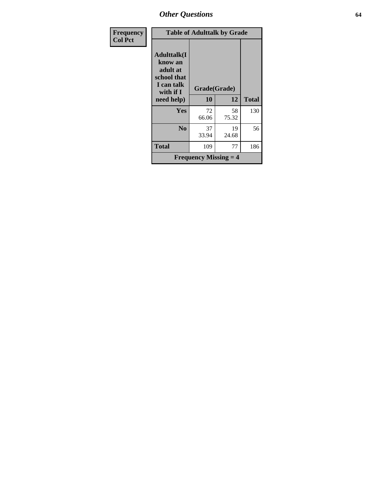| Frequency      |                                                                                     | <b>Table of Adulttalk by Grade</b>        |             |              |  |
|----------------|-------------------------------------------------------------------------------------|-------------------------------------------|-------------|--------------|--|
| <b>Col Pct</b> | <b>Adulttalk(I</b><br>know an<br>adult at<br>school that<br>I can talk<br>with if I | Grade(Grade)                              |             |              |  |
|                | need help)                                                                          | 10                                        | 12          | <b>Total</b> |  |
|                | <b>Yes</b>                                                                          | 72<br>66.06                               | 58<br>75.32 | 130          |  |
|                | No                                                                                  | 37<br>33.94                               | 19<br>24.68 | 56           |  |
|                | <b>Total</b>                                                                        | 109                                       | 77          | 186          |  |
|                |                                                                                     | <b>Frequency Missing <math>=</math> 4</b> |             |              |  |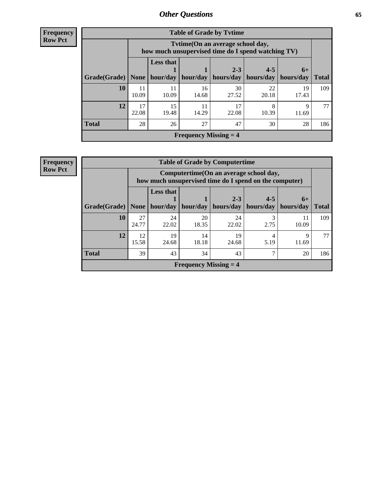| <b>Frequency</b> |  |
|------------------|--|
| <b>Row Pct</b>   |  |

| <b>Table of Grade by Tytime</b> |             |                                                                                         |             |                      |                      |                   |              |
|---------------------------------|-------------|-----------------------------------------------------------------------------------------|-------------|----------------------|----------------------|-------------------|--------------|
|                                 |             | Tvtime (On an average school day,<br>how much unsupervised time do I spend watching TV) |             |                      |                      |                   |              |
| Grade(Grade)                    | None        | <b>Less that</b><br>hour/day                                                            | hour/day    | $2 - 3$<br>hours/day | $4 - 5$<br>hours/day | $6+$<br>hours/day | <b>Total</b> |
| 10                              | 11<br>10.09 | 11<br>10.09                                                                             | 16<br>14.68 | 30<br>27.52          | 22<br>20.18          | 19<br>17.43       | 109          |
| 12                              | 17<br>22.08 | 15<br>19.48                                                                             | 11<br>14.29 | 17<br>22.08          | 8<br>10.39           | Q<br>11.69        | 77           |
| Total                           | 28          | 26                                                                                      | 27          | 47                   | 30                   | 28                | 186          |
| <b>Frequency Missing = 4</b>    |             |                                                                                         |             |                      |                      |                   |              |

| Frequency      | <b>Table of Grade by Computertime</b>                                                             |             |                              |             |                      |                      |                   |              |  |  |
|----------------|---------------------------------------------------------------------------------------------------|-------------|------------------------------|-------------|----------------------|----------------------|-------------------|--------------|--|--|
| <b>Row Pct</b> | Computertime (On an average school day,<br>how much unsupervised time do I spend on the computer) |             |                              |             |                      |                      |                   |              |  |  |
|                | Grade(Grade)   None                                                                               |             | <b>Less that</b><br>hour/day | hour/day    | $2 - 3$<br>hours/day | $4 - 5$<br>hours/day | $6+$<br>hours/day | <b>Total</b> |  |  |
|                | 10                                                                                                | 27<br>24.77 | 24<br>22.02                  | 20<br>18.35 | 24<br>22.02          | 2.75                 | 11<br>10.09       | 109          |  |  |
|                | 12                                                                                                | 12<br>15.58 | 19<br>24.68                  | 14<br>18.18 | 19<br>24.68          | 5.19                 | Q<br>11.69        | 77           |  |  |
|                | <b>Total</b>                                                                                      | 39          | 43                           | 34          | 43                   | 7                    | 20                | 186          |  |  |
|                | <b>Frequency Missing <math>=</math> 4</b>                                                         |             |                              |             |                      |                      |                   |              |  |  |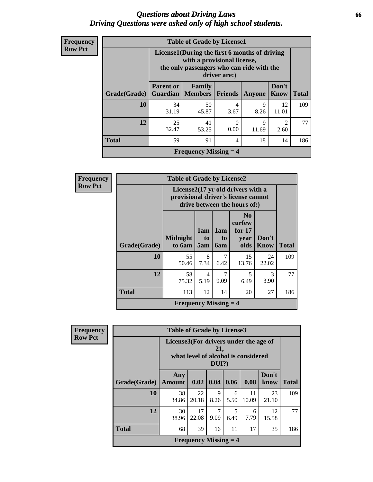### *Questions about Driving Laws* **66** *Driving Questions were asked only of high school students.*

| <b>Frequency</b> |
|------------------|
| <b>Row Pct</b>   |

| <b>Table of Grade by License1</b>         |                                                                                                                                           |                     |           |            |                                     |     |  |  |
|-------------------------------------------|-------------------------------------------------------------------------------------------------------------------------------------------|---------------------|-----------|------------|-------------------------------------|-----|--|--|
|                                           | License1(During the first 6 months of driving<br>with a provisional license,<br>the only passengers who can ride with the<br>driver are:) |                     |           |            |                                     |     |  |  |
| Grade(Grade)                              | Don't<br><b>Parent or</b><br>Family<br><b>Members</b><br><b>Friends</b><br>Know<br><b>Total</b><br>Guardian<br><b>Anyone</b>              |                     |           |            |                                     |     |  |  |
| 10                                        | 34<br>31.19                                                                                                                               | 50<br>45.87         | 4<br>3.67 | 9<br>8.26  | 12<br>11.01                         | 109 |  |  |
| 12                                        | 25<br>32.47                                                                                                                               | 41<br>53.25         | 0<br>0.00 | 9<br>11.69 | $\mathcal{D}_{\mathcal{A}}$<br>2.60 | 77  |  |  |
| <b>Total</b>                              | 59                                                                                                                                        | 91<br>18<br>14<br>4 |           |            |                                     |     |  |  |
| <b>Frequency Missing <math>=</math> 4</b> |                                                                                                                                           |                     |           |            |                                     |     |  |  |

| Frequency      | <b>Table of Grade by License2</b> |                                                                                                          |                  |                  |                                                      |                      |              |  |
|----------------|-----------------------------------|----------------------------------------------------------------------------------------------------------|------------------|------------------|------------------------------------------------------|----------------------|--------------|--|
| <b>Row Pct</b> |                                   | License2(17 yr old drivers with a<br>provisional driver's license cannot<br>drive between the hours of:) |                  |                  |                                                      |                      |              |  |
|                | Grade(Grade)                      | <b>Midnight</b><br>to 6am                                                                                | 1am<br>to<br>5am | 1am<br>to<br>6am | N <sub>0</sub><br>curfew<br>for $17$<br>year<br>olds | Don't<br><b>Know</b> | <b>Total</b> |  |
|                | 10                                | 55<br>50.46                                                                                              | 8<br>7.34        | 7<br>6.42        | 15<br>13.76                                          | 24<br>22.02          | 109          |  |
|                | 12                                | 58<br>75.32                                                                                              | 4<br>5.19        | 7<br>9.09        | 5<br>6.49                                            | 3<br>3.90            | 77           |  |
|                | <b>Total</b>                      | 113                                                                                                      | 12               | 14               | 20                                                   | 27                   | 186          |  |
|                |                                   | <b>Frequency Missing <math>=</math> 4</b>                                                                |                  |                  |                                                      |                      |              |  |

| <b>Frequency</b> |
|------------------|
| <b>Row Pct</b>   |

| <b>Table of Grade by License3</b> |                      |                                                                                                 |           |           |             |               |              |  |  |
|-----------------------------------|----------------------|-------------------------------------------------------------------------------------------------|-----------|-----------|-------------|---------------|--------------|--|--|
|                                   |                      | License3(For drivers under the age of<br>21,<br>what level of alcohol is considered<br>$DUI$ ?) |           |           |             |               |              |  |  |
| Grade(Grade)                      | Any<br><b>Amount</b> | 0.02                                                                                            | 0.04      | 0.06      | 0.08        | Don't<br>know | <b>Total</b> |  |  |
| 10                                | 38<br>34.86          | 22<br>20.18                                                                                     | 9<br>8.26 | 6<br>5.50 | 11<br>10.09 | 23<br>21.10   | 109          |  |  |
| 12                                | 30<br>38.96          | 17<br>22.08                                                                                     | 9.09      | 5<br>6.49 | 6<br>7.79   | 12<br>15.58   | 77           |  |  |
| <b>Total</b>                      | 68                   | 39                                                                                              | 16        | 11        | 17          | 35            | 186          |  |  |
|                                   |                      | <b>Frequency Missing <math>=</math> 4</b>                                                       |           |           |             |               |              |  |  |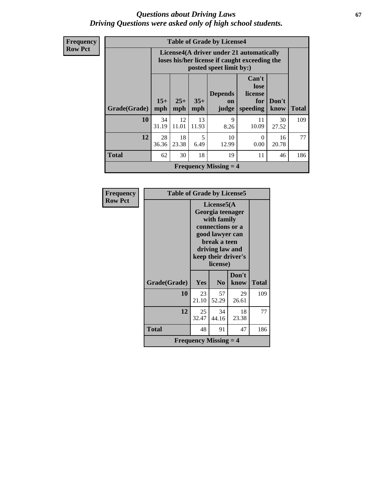### *Questions about Driving Laws* **67** *Driving Questions were asked only of high school students.*

| <b>Frequency</b> |
|------------------|
| <b>Row Pct</b>   |

| <b>Table of Grade by License4</b> |              |                                                                                                                      |              |                                           |                                             |               |              |  |  |
|-----------------------------------|--------------|----------------------------------------------------------------------------------------------------------------------|--------------|-------------------------------------------|---------------------------------------------|---------------|--------------|--|--|
|                                   |              | License4(A driver under 21 automatically<br>loses his/her license if caught exceeding the<br>posted speet limit by:) |              |                                           |                                             |               |              |  |  |
| Grade(Grade)                      | $15+$<br>mph | $25+$<br>mph                                                                                                         | $35+$<br>mph | <b>Depends</b><br>on<br>judge             | Can't<br>lose<br>license<br>for<br>speeding | Don't<br>know | <b>Total</b> |  |  |
| 10                                | 34<br>31.19  | 12<br>11.01                                                                                                          | 13<br>11.93  | 9<br>8.26                                 | 11<br>10.09                                 | 30<br>27.52   | 109          |  |  |
| 12                                | 28<br>36.36  | 18<br>23.38                                                                                                          | 5<br>6.49    | 10<br>12.99                               | $\Omega$<br>0.00                            | 16<br>20.78   | 77           |  |  |
| <b>Total</b>                      | 62           | 30                                                                                                                   | 18           | 19                                        | 11                                          | 46            | 186          |  |  |
|                                   |              |                                                                                                                      |              | <b>Frequency Missing <math>=</math> 4</b> |                                             |               |              |  |  |

| Frequency      | <b>Table of Grade by License5</b>         |                                                                                                                                                             |                |               |              |  |  |
|----------------|-------------------------------------------|-------------------------------------------------------------------------------------------------------------------------------------------------------------|----------------|---------------|--------------|--|--|
| <b>Row Pct</b> |                                           | License5(A)<br>Georgia teenager<br>with family<br>connections or a<br>good lawyer can<br>break a teen<br>driving law and<br>keep their driver's<br>license) |                |               |              |  |  |
|                | Grade(Grade)                              | Yes                                                                                                                                                         | N <sub>0</sub> | Don't<br>know | <b>Total</b> |  |  |
|                | 10                                        | 23<br>21.10                                                                                                                                                 | 57<br>52.29    | 29<br>26.61   | 109          |  |  |
|                | 12                                        | 25<br>32.47                                                                                                                                                 | 34<br>44.16    | 18<br>23.38   | 77           |  |  |
|                | Total                                     | 48                                                                                                                                                          | 91             | 47            | 186          |  |  |
|                | <b>Frequency Missing <math>=</math> 4</b> |                                                                                                                                                             |                |               |              |  |  |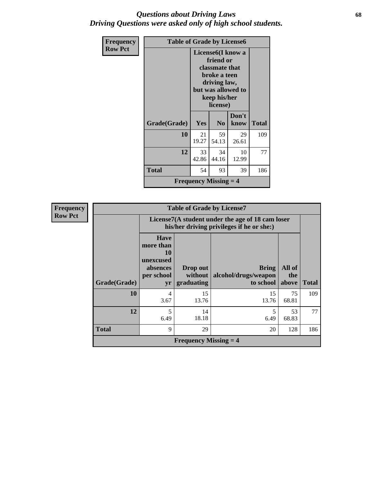### *Questions about Driving Laws* **68** *Driving Questions were asked only of high school students.*

| <b>Frequency</b> | <b>Table of Grade by License6</b>         |                                                                                                                                                 |                |               |       |  |  |
|------------------|-------------------------------------------|-------------------------------------------------------------------------------------------------------------------------------------------------|----------------|---------------|-------|--|--|
| <b>Row Pct</b>   |                                           | License <sub>6</sub> (I know a<br>friend or<br>classmate that<br>broke a teen<br>driving law,<br>but was allowed to<br>keep his/her<br>license) |                |               |       |  |  |
|                  | Grade(Grade)                              | Yes                                                                                                                                             | N <sub>0</sub> | Don't<br>know | Total |  |  |
|                  | 10                                        | 21<br>19.27                                                                                                                                     | 59<br>54.13    | 29<br>26.61   | 109   |  |  |
|                  | 12                                        | 33<br>42.86                                                                                                                                     | 34<br>44.16    | 10<br>12.99   | 77    |  |  |
|                  | <b>Total</b>                              | 54                                                                                                                                              | 93             | 39            | 186   |  |  |
|                  | <b>Frequency Missing <math>=</math> 4</b> |                                                                                                                                                 |                |               |       |  |  |

| <b>Frequency</b> |  |
|------------------|--|
| <b>Row Pct</b>   |  |

| <b>Table of Grade by License7</b> |                                                                             |                                                                                               |                                                   |                        |              |  |  |  |
|-----------------------------------|-----------------------------------------------------------------------------|-----------------------------------------------------------------------------------------------|---------------------------------------------------|------------------------|--------------|--|--|--|
|                                   |                                                                             | License7(A student under the age of 18 cam loser<br>his/her driving privileges if he or she:) |                                                   |                        |              |  |  |  |
| Grade(Grade)                      | <b>Have</b><br>more than<br>10<br>unexcused<br>absences<br>per school<br>yr | Drop out<br>without<br>graduating                                                             | <b>Bring</b><br>alcohol/drugs/weapon<br>to school | All of<br>the<br>above | <b>Total</b> |  |  |  |
| 10                                | 4<br>3.67                                                                   | 15<br>13.76                                                                                   | 15<br>13.76                                       | 75<br>68.81            | 109          |  |  |  |
| 12                                | 5<br>6.49                                                                   | 14<br>18.18                                                                                   | 5<br>6.49                                         | 53<br>68.83            | 77           |  |  |  |
| <b>Total</b>                      | 9                                                                           | 29                                                                                            | 20                                                | 128                    | 186          |  |  |  |
|                                   |                                                                             | <b>Frequency Missing <math>=</math> 4</b>                                                     |                                                   |                        |              |  |  |  |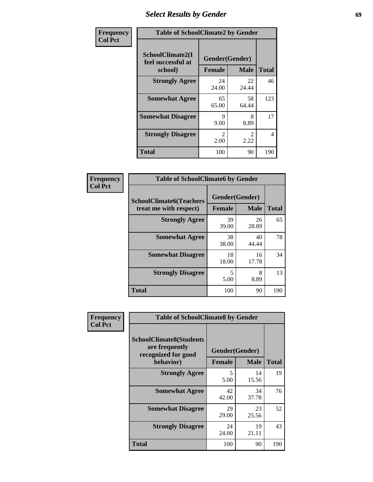## *Select Results by Gender* **69**

| Frequency      | <b>Table of SchoolClimate2 by Gender</b>          |                                 |                       |              |
|----------------|---------------------------------------------------|---------------------------------|-----------------------|--------------|
| <b>Col Pct</b> | SchoolClimate2(I<br>feel successful at<br>school) | Gender(Gender)<br><b>Female</b> | <b>Male</b>           | <b>Total</b> |
|                | <b>Strongly Agree</b>                             | 24<br>24.00                     | 22<br>24.44           | 46           |
|                | <b>Somewhat Agree</b>                             | 65<br>65.00                     | 58<br>64.44           | 123          |
|                | <b>Somewhat Disagree</b>                          | 9<br>9.00                       | 8<br>8.89             | 17           |
|                | <b>Strongly Disagree</b>                          | $\mathfrak{D}$<br>2.00          | $\mathcal{L}$<br>2.22 | 4            |
|                | <b>Total</b>                                      | 100                             | 90                    | 190          |

| <b>Frequency</b> | <b>Table of SchoolClimate6 by Gender</b>                 |                |             |              |  |
|------------------|----------------------------------------------------------|----------------|-------------|--------------|--|
| <b>Col Pct</b>   | <b>SchoolClimate6(Teachers</b><br>treat me with respect) | Gender(Gender) |             |              |  |
|                  |                                                          | <b>Female</b>  | <b>Male</b> | <b>Total</b> |  |
|                  | <b>Strongly Agree</b>                                    | 39<br>39.00    | 26<br>28.89 | 65           |  |
|                  | <b>Somewhat Agree</b>                                    | 38<br>38.00    | 40<br>44.44 | 78           |  |
|                  | <b>Somewhat Disagree</b>                                 | 18<br>18.00    | 16<br>17.78 | 34           |  |
|                  | <b>Strongly Disagree</b>                                 | 5<br>5.00      | 8<br>8.89   | 13           |  |
|                  | <b>Total</b>                                             | 100            | 90          | 190          |  |

| <b>Frequency</b> | <b>Table of SchoolClimate8 by Gender</b>                                             |                                                |             |              |
|------------------|--------------------------------------------------------------------------------------|------------------------------------------------|-------------|--------------|
| <b>Col Pct</b>   | <b>SchoolClimate8(Students</b><br>are frequently<br>recognized for good<br>behavior) | Gender(Gender)<br><b>Female</b><br><b>Male</b> |             | <b>Total</b> |
|                  | <b>Strongly Agree</b>                                                                | 5<br>5.00                                      | 14<br>15.56 | 19           |
|                  | <b>Somewhat Agree</b>                                                                | 42<br>42.00                                    | 34<br>37.78 | 76           |
|                  | <b>Somewhat Disagree</b>                                                             | 29<br>29.00                                    | 23<br>25.56 | 52           |
|                  | <b>Strongly Disagree</b>                                                             | 24<br>24.00                                    | 19<br>21.11 | 43           |
|                  | Total                                                                                | 100                                            | 90          | 190          |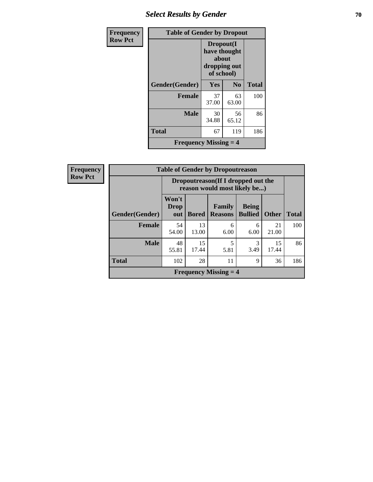## **Select Results by Gender 70**

| Frequency      | <b>Table of Gender by Dropout</b>         |                                                                  |                |              |
|----------------|-------------------------------------------|------------------------------------------------------------------|----------------|--------------|
| <b>Row Pct</b> |                                           | Dropout(I<br>have thought<br>about<br>dropping out<br>of school) |                |              |
|                | Gender(Gender)                            | <b>Yes</b>                                                       | N <sub>0</sub> | <b>Total</b> |
|                | <b>Female</b>                             | 37<br>37.00                                                      | 63<br>63.00    | 100          |
|                | <b>Male</b>                               | 30<br>34.88                                                      | 56<br>65.12    | 86           |
|                | <b>Total</b>                              | 67                                                               | 119            | 186          |
|                | <b>Frequency Missing <math>=</math> 4</b> |                                                                  |                |              |

| <b>Frequency</b> | <b>Table of Gender by Dropoutreason</b>   |                                                                     |              |                          |                                |              |              |
|------------------|-------------------------------------------|---------------------------------------------------------------------|--------------|--------------------------|--------------------------------|--------------|--------------|
| <b>Row Pct</b>   |                                           | Dropoutreason (If I dropped out the<br>reason would most likely be) |              |                          |                                |              |              |
|                  | Gender(Gender)                            | Won't<br><b>Drop</b><br>out                                         | <b>Bored</b> | Family<br><b>Reasons</b> | <b>Being</b><br><b>Bullied</b> | <b>Other</b> | <b>Total</b> |
|                  | <b>Female</b>                             | 54<br>54.00                                                         | 13<br>13.00  | 6<br>6.00                | 6<br>6.00                      | 21<br>21.00  | 100          |
|                  | <b>Male</b>                               | 48<br>55.81                                                         | 15<br>17.44  | 5<br>5.81                | 3<br>3.49                      | 15<br>17.44  | 86           |
|                  | <b>Total</b>                              | 102                                                                 | 28           | 11                       | 9                              | 36           | 186          |
|                  | <b>Frequency Missing <math>=</math> 4</b> |                                                                     |              |                          |                                |              |              |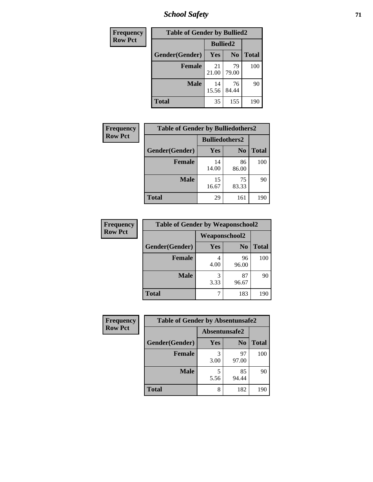*School Safety* **71**

| Frequency      | <b>Table of Gender by Bullied2</b> |                 |                |              |
|----------------|------------------------------------|-----------------|----------------|--------------|
| <b>Row Pct</b> |                                    | <b>Bullied2</b> |                |              |
|                | Gender(Gender)                     | Yes             | N <sub>0</sub> | <b>Total</b> |
|                | <b>Female</b>                      | 21<br>21.00     | 79<br>79.00    | 100          |
|                | <b>Male</b>                        | 14<br>15.56     | 76<br>84.44    | 90           |
|                | <b>Total</b>                       | 35              | 155            | 190          |

| Frequency      | <b>Table of Gender by Bulliedothers2</b> |                       |                |              |
|----------------|------------------------------------------|-----------------------|----------------|--------------|
| <b>Row Pct</b> |                                          | <b>Bulliedothers2</b> |                |              |
|                | Gender(Gender)                           | <b>Yes</b>            | N <sub>0</sub> | <b>Total</b> |
|                | <b>Female</b>                            | 14<br>14.00           | 86<br>86.00    | 100          |
|                | <b>Male</b>                              | 15<br>16.67           | 75<br>83.33    | 90           |
|                | <b>Total</b>                             | 29                    | 161            | 190          |

| Frequency      | <b>Table of Gender by Weaponschool2</b> |                      |                |              |
|----------------|-----------------------------------------|----------------------|----------------|--------------|
| <b>Row Pct</b> |                                         | <b>Weaponschool2</b> |                |              |
|                | Gender(Gender)                          | Yes                  | N <sub>0</sub> | <b>Total</b> |
|                | <b>Female</b>                           | 4.00                 | 96<br>96.00    | 100          |
|                | <b>Male</b>                             | 3<br>3.33            | 87<br>96.67    | 90           |
|                | <b>Total</b>                            |                      | 183            | 190          |

| Frequency      | <b>Table of Gender by Absentunsafe2</b> |               |                |              |
|----------------|-----------------------------------------|---------------|----------------|--------------|
| <b>Row Pct</b> |                                         | Absentunsafe2 |                |              |
|                | Gender(Gender)                          | Yes           | N <sub>0</sub> | <b>Total</b> |
|                | <b>Female</b>                           | 3.00          | 97<br>97.00    | 100          |
|                | <b>Male</b>                             | 5.56          | 85<br>94.44    | 90           |
|                | <b>Total</b>                            | 8             | 182            | 190          |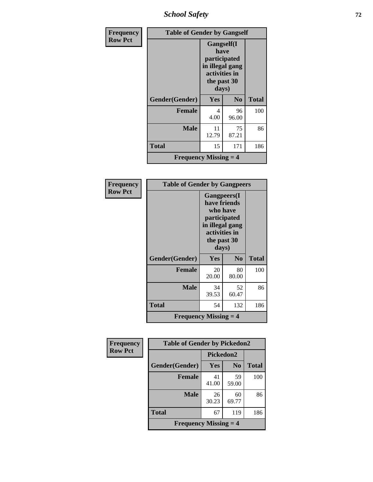*School Safety* **72**

| <b>Frequency</b> | <b>Table of Gender by Gangself</b>        |                                                                                                        |                |              |
|------------------|-------------------------------------------|--------------------------------------------------------------------------------------------------------|----------------|--------------|
| <b>Row Pct</b>   |                                           | <b>Gangself</b> (I<br>have<br>participated<br>in illegal gang<br>activities in<br>the past 30<br>days) |                |              |
|                  | Gender(Gender)                            | Yes                                                                                                    | N <sub>0</sub> | <b>Total</b> |
|                  | <b>Female</b>                             | 4<br>4.00                                                                                              | 96<br>96.00    | 100          |
|                  | <b>Male</b>                               | 11<br>12.79                                                                                            | 75<br>87.21    | 86           |
|                  | <b>Total</b>                              | 15                                                                                                     | 171            | 186          |
|                  | <b>Frequency Missing <math>=</math> 4</b> |                                                                                                        |                |              |

| Frequency      | <b>Table of Gender by Gangpeers</b>       |                                                                                                                             |                |              |
|----------------|-------------------------------------------|-----------------------------------------------------------------------------------------------------------------------------|----------------|--------------|
| <b>Row Pct</b> |                                           | <b>Gangpeers</b> (I<br>have friends<br>who have<br>participated<br>in illegal gang<br>activities in<br>the past 30<br>days) |                |              |
|                | Gender(Gender)                            | Yes                                                                                                                         | N <sub>0</sub> | <b>Total</b> |
|                | <b>Female</b>                             | 20<br>20.00                                                                                                                 | 80<br>80.00    | 100          |
|                | <b>Male</b>                               | 34<br>39.53                                                                                                                 | 52<br>60.47    | 86           |
|                | Total                                     | 54                                                                                                                          | 132            | 186          |
|                | <b>Frequency Missing <math>=</math> 4</b> |                                                                                                                             |                |              |

| Frequency      | <b>Table of Gender by Pickedon2</b>       |             |                |       |
|----------------|-------------------------------------------|-------------|----------------|-------|
| <b>Row Pct</b> |                                           | Pickedon2   |                |       |
|                | Gender(Gender)                            | <b>Yes</b>  | N <sub>0</sub> | Total |
|                | <b>Female</b>                             | 41<br>41.00 | 59<br>59.00    | 100   |
|                | <b>Male</b>                               | 26<br>30.23 | 60<br>69.77    | 86    |
|                | <b>Total</b>                              | 67          | 119            | 186   |
|                | <b>Frequency Missing <math>=</math> 4</b> |             |                |       |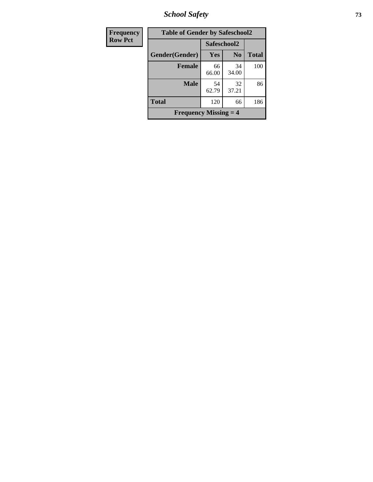*School Safety* **73**

| <b>Frequency</b> | <b>Table of Gender by Safeschool2</b>     |             |                |              |
|------------------|-------------------------------------------|-------------|----------------|--------------|
| <b>Row Pct</b>   |                                           | Safeschool2 |                |              |
|                  | Gender(Gender)                            | Yes         | N <sub>0</sub> | <b>Total</b> |
|                  | <b>Female</b>                             | 66<br>66.00 | 34<br>34.00    | 100          |
|                  | <b>Male</b>                               | 54<br>62.79 | 32<br>37.21    | 86           |
|                  | <b>Total</b>                              | 120         | 66             | 186          |
|                  | <b>Frequency Missing <math>=</math> 4</b> |             |                |              |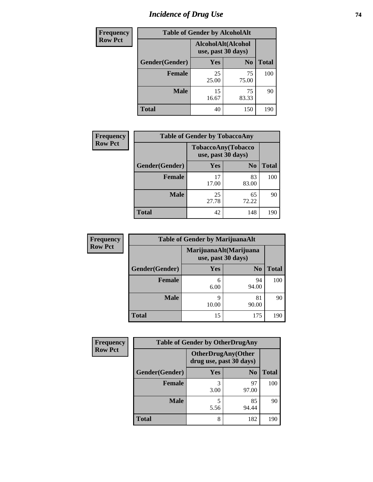# *Incidence of Drug Use* 74

| <b>Frequency</b> | <b>Table of Gender by AlcoholAlt</b> |                                          |                |              |  |
|------------------|--------------------------------------|------------------------------------------|----------------|--------------|--|
| <b>Row Pct</b>   |                                      | AlcoholAlt(Alcohol<br>use, past 30 days) |                |              |  |
|                  | Gender(Gender)                       | <b>Yes</b>                               | N <sub>0</sub> | <b>Total</b> |  |
|                  | <b>Female</b>                        | 25<br>25.00                              | 75<br>75.00    | 100          |  |
|                  | <b>Male</b>                          | 15<br>16.67                              | 75<br>83.33    | 90           |  |
|                  | <b>Total</b>                         | 40                                       | 150            | 190          |  |

| Frequency      | <b>Table of Gender by TobaccoAny</b> |                    |                    |              |  |
|----------------|--------------------------------------|--------------------|--------------------|--------------|--|
| <b>Row Pct</b> |                                      | use, past 30 days) | TobaccoAny(Tobacco |              |  |
|                | Gender(Gender)                       | Yes                | N <sub>0</sub>     | <b>Total</b> |  |
|                | <b>Female</b>                        | 17<br>17.00        | 83<br>83.00        | 100          |  |
|                | <b>Male</b>                          | 25<br>27.78        | 65<br>72.22        | 90           |  |
|                | <b>Total</b>                         | 42                 | 148                | 190          |  |

| <b>Frequency</b> | <b>Table of Gender by MarijuanaAlt</b> |            |                                              |              |
|------------------|----------------------------------------|------------|----------------------------------------------|--------------|
| <b>Row Pct</b>   |                                        |            | MarijuanaAlt(Marijuana<br>use, past 30 days) |              |
|                  | Gender(Gender)                         | <b>Yes</b> | N <sub>0</sub>                               | <b>Total</b> |
|                  | <b>Female</b>                          | 6<br>6.00  | 94<br>94.00                                  | 100          |
|                  | <b>Male</b>                            | 9<br>10.00 | 81<br>90.00                                  | 90           |
|                  | <b>Total</b>                           | 15         | 175                                          | 190          |

| <b>Frequency</b> | <b>Table of Gender by OtherDrugAny</b> |                         |                           |              |
|------------------|----------------------------------------|-------------------------|---------------------------|--------------|
| <b>Row Pct</b>   |                                        | drug use, past 30 days) | <b>OtherDrugAny(Other</b> |              |
|                  | Gender(Gender)                         | <b>Yes</b>              | N <sub>0</sub>            | <b>Total</b> |
|                  | <b>Female</b>                          | 3<br>3.00               | 97<br>97.00               | 100          |
|                  | <b>Male</b>                            | 5<br>5.56               | 85<br>94.44               | 90           |
|                  | <b>Total</b>                           | 8                       | 182                       | 190          |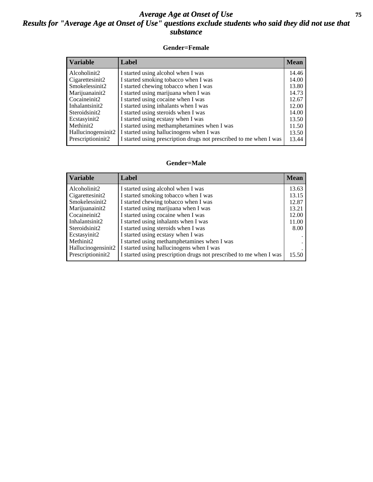### *Average Age at Onset of Use* **75** *Results for "Average Age at Onset of Use" questions exclude students who said they did not use that substance*

### **Gender=Female**

| <b>Variable</b>    | <b>Label</b>                                                       | <b>Mean</b> |
|--------------------|--------------------------------------------------------------------|-------------|
| Alcoholinit2       | I started using alcohol when I was                                 | 14.46       |
| Cigarettesinit2    | I started smoking tobacco when I was                               | 14.00       |
| Smokelessinit2     | I started chewing tobacco when I was                               | 13.80       |
| Marijuanainit2     | I started using marijuana when I was                               | 14.73       |
| Cocaineinit2       | I started using cocaine when I was                                 | 12.67       |
| Inhalantsinit2     | I started using inhalants when I was                               | 12.00       |
| Steroidsinit2      | I started using steroids when I was                                | 14.00       |
| Ecstasyinit2       | I started using ecstasy when I was                                 | 13.50       |
| Methinit2          | I started using methamphetamines when I was                        | 11.50       |
| Hallucinogensinit2 | I started using hallucinogens when I was                           | 13.50       |
| Prescription in t2 | I started using prescription drugs not prescribed to me when I was | 13.44       |

#### **Gender=Male**

| <b>Variable</b>     | Label                                                              | <b>Mean</b> |
|---------------------|--------------------------------------------------------------------|-------------|
| Alcoholinit2        | I started using alcohol when I was                                 | 13.63       |
| Cigarettesinit2     | I started smoking tobacco when I was                               | 13.15       |
| Smokelessinit2      | I started chewing tobacco when I was                               | 12.87       |
| Marijuanainit2      | I started using marijuana when I was                               | 13.21       |
| Cocaineinit2        | I started using cocaine when I was                                 | 12.00       |
| Inhalantsinit2      | I started using inhalants when I was                               | 11.00       |
| Steroidsinit2       | I started using steroids when I was                                | 8.00        |
| Ecstasyinit2        | I started using ecstasy when I was                                 |             |
| Methinit2           | I started using methamphetamines when I was                        |             |
| Hallucinogensinit2  | I started using hallucinogens when I was                           |             |
| Prescription in it2 | I started using prescription drugs not prescribed to me when I was | 15.50       |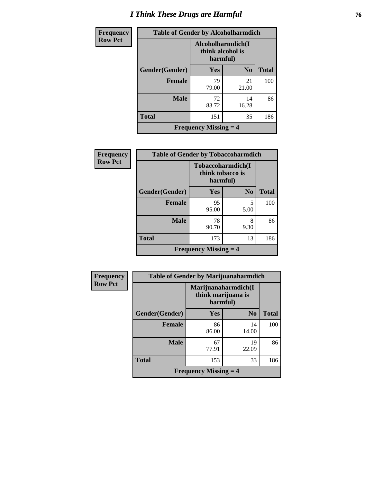### *I Think These Drugs are Harmful* **76**

| Frequency      | <b>Table of Gender by Alcoholharmdich</b> |                                                    |                |              |
|----------------|-------------------------------------------|----------------------------------------------------|----------------|--------------|
| <b>Row Pct</b> |                                           | Alcoholharmdich(I)<br>think alcohol is<br>harmful) |                |              |
|                | <b>Gender</b> (Gender)                    | Yes                                                | N <sub>0</sub> | <b>Total</b> |
|                | <b>Female</b>                             | 79<br>79.00                                        | 21<br>21.00    | 100          |
|                | <b>Male</b>                               | 72<br>83.72                                        | 14<br>16.28    | 86           |
|                | <b>Total</b>                              | 151                                                | 35             | 186          |
|                |                                           | <b>Frequency Missing <math>=</math> 4</b>          |                |              |

| Frequency      | <b>Table of Gender by Tobaccoharmdich</b> |                                                   |                |              |
|----------------|-------------------------------------------|---------------------------------------------------|----------------|--------------|
| <b>Row Pct</b> |                                           | Tobaccoharmdich(I<br>think tobacco is<br>harmful) |                |              |
|                | Gender(Gender)                            | <b>Yes</b>                                        | N <sub>0</sub> | <b>Total</b> |
|                | <b>Female</b>                             | 95<br>95.00                                       | 5<br>5.00      | 100          |
|                | <b>Male</b>                               | 78<br>90.70                                       | 8<br>9.30      | 86           |
|                | <b>Total</b>                              | 173                                               | 13             | 186          |
|                |                                           | <b>Frequency Missing <math>=</math> 4</b>         |                |              |

| <b>Frequency</b> | <b>Table of Gender by Marijuanaharmdich</b> |                                                       |             |              |
|------------------|---------------------------------------------|-------------------------------------------------------|-------------|--------------|
| <b>Row Pct</b>   |                                             | Marijuanaharmdich(I<br>think marijuana is<br>harmful) |             |              |
|                  | Gender(Gender)                              | <b>Yes</b>                                            | $\bf N_0$   | <b>Total</b> |
|                  | <b>Female</b>                               | 86<br>86.00                                           | 14<br>14.00 | 100          |
|                  | <b>Male</b>                                 | 67<br>77.91                                           | 19<br>22.09 | 86           |
|                  | <b>Total</b>                                | 153                                                   | 33          | 186          |
|                  |                                             | <b>Frequency Missing <math>=</math> 4</b>             |             |              |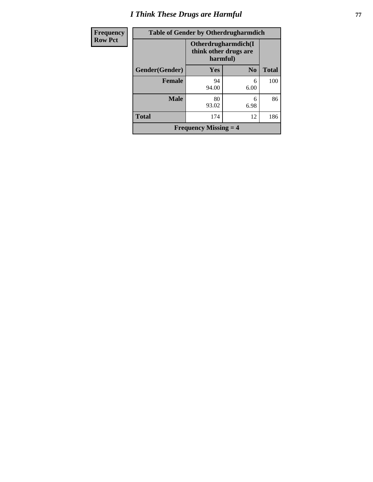# *I Think These Drugs are Harmful* **77**

| <b>Frequency</b> | <b>Table of Gender by Otherdrugharmdich</b> |                                                          |                |              |
|------------------|---------------------------------------------|----------------------------------------------------------|----------------|--------------|
| <b>Row Pct</b>   |                                             | Otherdrugharmdich(I<br>think other drugs are<br>harmful) |                |              |
|                  | Gender(Gender)                              | Yes                                                      | N <sub>o</sub> | <b>Total</b> |
|                  | <b>Female</b>                               | 94<br>94.00                                              | 6<br>6.00      | 100          |
|                  | <b>Male</b>                                 | 80<br>93.02                                              | 6<br>6.98      | 86           |
|                  | <b>Total</b>                                | 174                                                      | 12             | 186          |
|                  |                                             | <b>Frequency Missing <math>=</math> 4</b>                |                |              |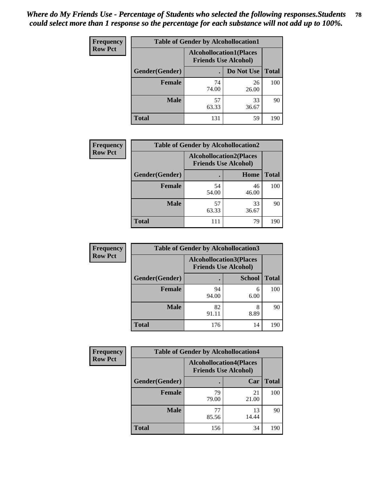| <b>Frequency</b> | <b>Table of Gender by Alcohollocation1</b>                    |             |             |              |
|------------------|---------------------------------------------------------------|-------------|-------------|--------------|
| <b>Row Pct</b>   | <b>Alcohollocation1(Places</b><br><b>Friends Use Alcohol)</b> |             |             |              |
|                  | Gender(Gender)                                                |             | Do Not Use  | <b>Total</b> |
|                  | <b>Female</b>                                                 | 74<br>74.00 | 26<br>26.00 | 100          |
|                  | <b>Male</b>                                                   | 57<br>63.33 | 33<br>36.67 | 90           |
|                  | <b>Total</b>                                                  | 131         | 59          | 190          |

| <b>Frequency</b> | <b>Table of Gender by Alcohollocation2</b> |                                                               |             |              |
|------------------|--------------------------------------------|---------------------------------------------------------------|-------------|--------------|
| <b>Row Pct</b>   |                                            | <b>Alcohollocation2(Places</b><br><b>Friends Use Alcohol)</b> |             |              |
|                  | Gender(Gender)                             |                                                               | Home        | <b>Total</b> |
|                  | <b>Female</b>                              | 54<br>54.00                                                   | 46<br>46.00 | 100          |
|                  | <b>Male</b>                                | 57<br>63.33                                                   | 33<br>36.67 | 90           |
|                  | <b>Total</b>                               | 111                                                           | 79          | 190          |

| Frequency      | <b>Table of Gender by Alcohollocation3</b> |             |                                                               |              |
|----------------|--------------------------------------------|-------------|---------------------------------------------------------------|--------------|
| <b>Row Pct</b> |                                            |             | <b>Alcohollocation3(Places</b><br><b>Friends Use Alcohol)</b> |              |
|                | Gender(Gender)                             |             | <b>School</b>                                                 | <b>Total</b> |
|                | <b>Female</b>                              | 94<br>94.00 | 6<br>6.00                                                     | 100          |
|                | <b>Male</b>                                | 82<br>91.11 | 8<br>8.89                                                     | 90           |
|                | <b>Total</b>                               | 176         | 14                                                            | 190          |

| <b>Frequency</b> | <b>Table of Gender by Alcohollocation4</b> |                                                               |             |              |
|------------------|--------------------------------------------|---------------------------------------------------------------|-------------|--------------|
| <b>Row Pct</b>   |                                            | <b>Alcohollocation4(Places</b><br><b>Friends Use Alcohol)</b> |             |              |
|                  | Gender(Gender)                             |                                                               | Car         | <b>Total</b> |
|                  | <b>Female</b>                              | 79<br>79.00                                                   | 21<br>21.00 | 100          |
|                  | <b>Male</b>                                | 77<br>85.56                                                   | 13<br>14.44 | 90           |
|                  | <b>Total</b>                               | 156                                                           | 34          | 190          |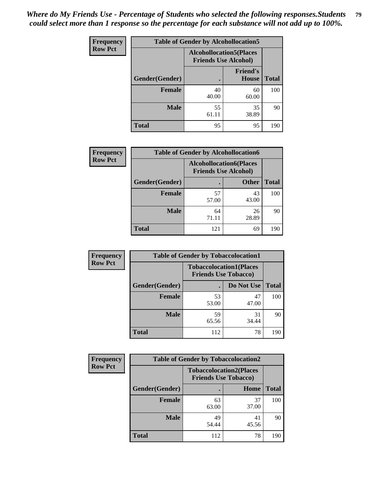| <b>Frequency</b> | <b>Table of Gender by Alcohollocation5</b> |                                                               |                                 |              |
|------------------|--------------------------------------------|---------------------------------------------------------------|---------------------------------|--------------|
| <b>Row Pct</b>   |                                            | <b>Alcohollocation5(Places</b><br><b>Friends Use Alcohol)</b> |                                 |              |
|                  | Gender(Gender)                             |                                                               | <b>Friend's</b><br><b>House</b> | <b>Total</b> |
|                  | <b>Female</b>                              | 40<br>40.00                                                   | 60<br>60.00                     | 100          |
|                  | <b>Male</b>                                | 55<br>61.11                                                   | 35<br>38.89                     | 90           |
|                  | <b>Total</b>                               | 95                                                            | 95                              | 190          |

| <b>Frequency</b> | <b>Table of Gender by Alcohollocation6</b> |                                                               |              |              |  |
|------------------|--------------------------------------------|---------------------------------------------------------------|--------------|--------------|--|
| <b>Row Pct</b>   |                                            | <b>Alcohollocation6(Places</b><br><b>Friends Use Alcohol)</b> |              |              |  |
|                  | Gender(Gender)                             |                                                               | <b>Other</b> | <b>Total</b> |  |
|                  | <b>Female</b>                              | 57<br>57.00                                                   | 43<br>43.00  | 100          |  |
|                  | <b>Male</b>                                | 64<br>71.11                                                   | 26<br>28.89  | 90           |  |
|                  | <b>Total</b>                               | 121                                                           | 69           | 190          |  |

| Frequency      | <b>Table of Gender by Tobaccolocation1</b> |                                                               |             |              |  |
|----------------|--------------------------------------------|---------------------------------------------------------------|-------------|--------------|--|
| <b>Row Pct</b> |                                            | <b>Tobaccolocation1(Places</b><br><b>Friends Use Tobacco)</b> |             |              |  |
|                | Gender(Gender)                             |                                                               | Do Not Use  | <b>Total</b> |  |
|                | Female                                     | 53<br>53.00                                                   | 47<br>47.00 | 100          |  |
|                | <b>Male</b>                                | 59<br>65.56                                                   | 31<br>34.44 | 90           |  |
|                | <b>Total</b>                               | 112                                                           | 78          | 190          |  |

| <b>Frequency</b> | <b>Table of Gender by Tobaccolocation2</b> |                                                               |             |              |
|------------------|--------------------------------------------|---------------------------------------------------------------|-------------|--------------|
| <b>Row Pct</b>   |                                            | <b>Tobaccolocation2(Places</b><br><b>Friends Use Tobacco)</b> |             |              |
|                  | Gender(Gender)                             |                                                               | Home        | <b>Total</b> |
|                  | <b>Female</b>                              | 63<br>63.00                                                   | 37<br>37.00 | 100          |
|                  | <b>Male</b>                                | 49<br>54.44                                                   | 41<br>45.56 | 90           |
|                  | <b>Total</b>                               | 112                                                           | 78          | 190          |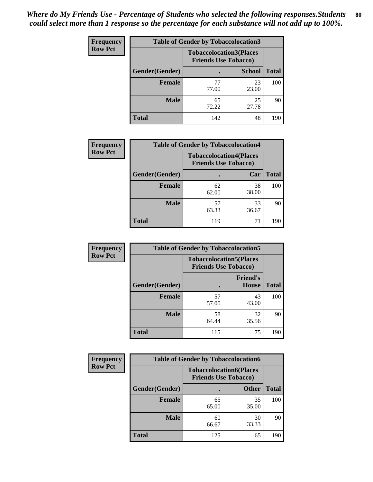| <b>Frequency</b> | <b>Table of Gender by Tobaccolocation3</b> |                                                               |               |              |
|------------------|--------------------------------------------|---------------------------------------------------------------|---------------|--------------|
| <b>Row Pct</b>   |                                            | <b>Tobaccolocation3(Places</b><br><b>Friends Use Tobacco)</b> |               |              |
|                  | Gender(Gender)                             |                                                               | <b>School</b> | <b>Total</b> |
|                  | <b>Female</b>                              | 77<br>77.00                                                   | 23<br>23.00   | 100          |
|                  | <b>Male</b>                                | 65<br>72.22                                                   | 25<br>27.78   | 90           |
|                  | <b>Total</b>                               | 142                                                           | 48            | 190          |

| <b>Frequency</b> | <b>Table of Gender by Tobaccolocation4</b> |                                                               |             |              |
|------------------|--------------------------------------------|---------------------------------------------------------------|-------------|--------------|
| <b>Row Pct</b>   |                                            | <b>Tobaccolocation4(Places</b><br><b>Friends Use Tobacco)</b> |             |              |
|                  | Gender(Gender)                             |                                                               | Car         | <b>Total</b> |
|                  | <b>Female</b>                              | 62<br>62.00                                                   | 38<br>38.00 | 100          |
|                  | <b>Male</b>                                | 57<br>63.33                                                   | 33<br>36.67 | 90           |
|                  | <b>Total</b>                               | 119                                                           | 71          | 190          |

| Frequency      | <b>Table of Gender by Tobaccolocation5</b> |             |                                                               |              |  |
|----------------|--------------------------------------------|-------------|---------------------------------------------------------------|--------------|--|
| <b>Row Pct</b> |                                            |             | <b>Tobaccolocation5(Places</b><br><b>Friends Use Tobacco)</b> |              |  |
|                | Gender(Gender)                             |             | <b>Friend's</b><br><b>House</b>                               | <b>Total</b> |  |
|                | <b>Female</b>                              | 57<br>57.00 | 43<br>43.00                                                   | 100          |  |
|                | <b>Male</b>                                | 58<br>64.44 | 32<br>35.56                                                   | 90           |  |
|                | <b>Total</b>                               | 115         | 75                                                            | 190          |  |

| <b>Frequency</b> | <b>Table of Gender by Tobaccolocation6</b> |                                                               |              |              |
|------------------|--------------------------------------------|---------------------------------------------------------------|--------------|--------------|
| <b>Row Pct</b>   |                                            | <b>Tobaccolocation6(Places</b><br><b>Friends Use Tobacco)</b> |              |              |
|                  | Gender(Gender)                             |                                                               | <b>Other</b> | <b>Total</b> |
|                  | Female                                     | 65<br>65.00                                                   | 35<br>35.00  | 100          |
|                  | <b>Male</b>                                | 60<br>66.67                                                   | 30<br>33.33  | 90           |
|                  | <b>Total</b>                               | 125                                                           | 65           | 190          |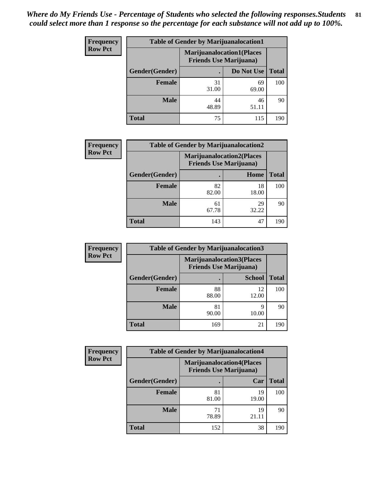| <b>Frequency</b> | <b>Table of Gender by Marijuanalocation1</b> |                                |                                  |              |  |
|------------------|----------------------------------------------|--------------------------------|----------------------------------|--------------|--|
| <b>Row Pct</b>   |                                              | <b>Friends Use Marijuana</b> ) | <b>Marijuanalocation1(Places</b> |              |  |
|                  | <b>Gender</b> (Gender)                       |                                | Do Not Use                       | <b>Total</b> |  |
|                  | <b>Female</b>                                | 31<br>31.00                    | 69<br>69.00                      | 100          |  |
|                  | <b>Male</b>                                  | 44<br>48.89                    | 46<br>51.11                      | 90           |  |
|                  | <b>Total</b>                                 | 75                             | 115                              | 190          |  |

| <b>Frequency</b> | <b>Table of Gender by Marijuanalocation2</b> |                                                                    |             |              |
|------------------|----------------------------------------------|--------------------------------------------------------------------|-------------|--------------|
| <b>Row Pct</b>   |                                              | <b>Marijuanalocation2(Places</b><br><b>Friends Use Marijuana</b> ) |             |              |
|                  | Gender(Gender)                               |                                                                    | Home        | <b>Total</b> |
|                  | Female                                       | 82<br>82.00                                                        | 18<br>18.00 | 100          |
|                  | <b>Male</b>                                  | 61<br>67.78                                                        | 29<br>32.22 | 90           |
|                  | <b>Total</b>                                 | 143                                                                | 47          | 190          |

| Frequency      | <b>Table of Gender by Marijuanalocation3</b> |                                |                                  |              |  |
|----------------|----------------------------------------------|--------------------------------|----------------------------------|--------------|--|
| <b>Row Pct</b> |                                              | <b>Friends Use Marijuana</b> ) | <b>Marijuanalocation3(Places</b> |              |  |
|                | Gender(Gender)                               |                                | <b>School</b>                    | <b>Total</b> |  |
|                | Female                                       | 88<br>88.00                    | 12<br>12.00                      | 100          |  |
|                | <b>Male</b>                                  | 81<br>90.00                    | 10.00                            | 90           |  |
|                | <b>Total</b>                                 | 169                            | 21                               | 190          |  |

| <b>Frequency</b> | <b>Table of Gender by Marijuanalocation4</b> |                                                                    |             |              |
|------------------|----------------------------------------------|--------------------------------------------------------------------|-------------|--------------|
| <b>Row Pct</b>   |                                              | <b>Marijuanalocation4(Places</b><br><b>Friends Use Marijuana</b> ) |             |              |
|                  | Gender(Gender)                               |                                                                    | Car         | <b>Total</b> |
|                  | Female                                       | 81<br>81.00                                                        | 19<br>19.00 | 100          |
|                  | <b>Male</b>                                  | 71<br>78.89                                                        | 19<br>21.11 | 90           |
|                  | <b>Total</b>                                 | 152                                                                | 38          | 190          |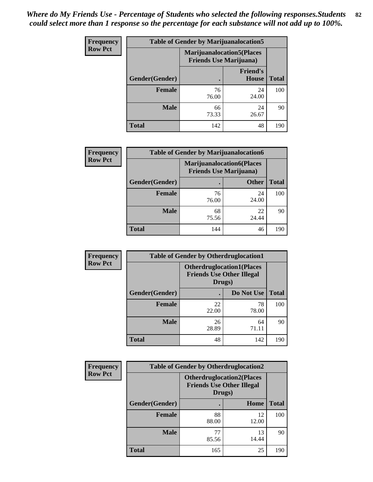| <b>Frequency</b> | <b>Table of Gender by Marijuanalocation5</b> |                                |                                   |              |
|------------------|----------------------------------------------|--------------------------------|-----------------------------------|--------------|
| <b>Row Pct</b>   |                                              | <b>Friends Use Marijuana</b> ) | <b>Marijuanalocation5</b> (Places |              |
|                  | Gender(Gender)                               |                                | <b>Friend's</b><br>House          | <b>Total</b> |
|                  | <b>Female</b>                                | 76<br>76.00                    | 24<br>24.00                       | 100          |
|                  | <b>Male</b>                                  | 66<br>73.33                    | 24<br>26.67                       | 90           |
|                  | <b>Total</b>                                 | 142                            | 48                                | 190          |

| <b>Frequency</b> | <b>Table of Gender by Marijuanalocation6</b> |                                |                                  |              |
|------------------|----------------------------------------------|--------------------------------|----------------------------------|--------------|
| <b>Row Pct</b>   |                                              | <b>Friends Use Marijuana</b> ) | <b>Marijuanalocation6(Places</b> |              |
|                  | <b>Gender</b> (Gender)                       |                                | <b>Other</b>                     | <b>Total</b> |
|                  | <b>Female</b>                                | 76<br>76.00                    | 24<br>24.00                      | 100          |
|                  | <b>Male</b>                                  | 68<br>75.56                    | 22<br>24.44                      | 90           |
|                  | <b>Total</b>                                 | 144                            | 46                               | 190          |

| <b>Frequency</b> | <b>Table of Gender by Otherdruglocation1</b> |                                                                                |             |              |
|------------------|----------------------------------------------|--------------------------------------------------------------------------------|-------------|--------------|
| <b>Row Pct</b>   |                                              | <b>Otherdruglocation1(Places</b><br><b>Friends Use Other Illegal</b><br>Drugs) |             |              |
|                  | Gender(Gender)                               |                                                                                | Do Not Use  | <b>Total</b> |
|                  | <b>Female</b>                                | 22<br>22.00                                                                    | 78<br>78.00 | 100          |
|                  | <b>Male</b>                                  | 26<br>28.89                                                                    | 64<br>71.11 | 90           |
|                  | <b>Total</b>                                 | 48                                                                             | 142         | 190          |

| Frequency      | <b>Table of Gender by Otherdruglocation2</b> |                                                                                |             |              |
|----------------|----------------------------------------------|--------------------------------------------------------------------------------|-------------|--------------|
| <b>Row Pct</b> |                                              | <b>Otherdruglocation2(Places</b><br><b>Friends Use Other Illegal</b><br>Drugs) |             |              |
|                | Gender(Gender)                               |                                                                                | Home        | <b>Total</b> |
|                | <b>Female</b>                                | 88<br>88.00                                                                    | 12<br>12.00 | 100          |
|                | <b>Male</b>                                  | 77<br>85.56                                                                    | 13<br>14.44 | 90           |
|                | <b>Total</b>                                 | 165                                                                            | 25          | 190          |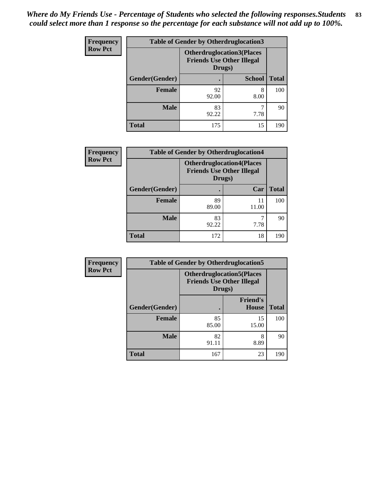| <b>Frequency</b> | <b>Table of Gender by Otherdruglocation3</b> |                                                                                |               |              |
|------------------|----------------------------------------------|--------------------------------------------------------------------------------|---------------|--------------|
| <b>Row Pct</b>   |                                              | <b>Otherdruglocation3(Places</b><br><b>Friends Use Other Illegal</b><br>Drugs) |               |              |
|                  | Gender(Gender)                               |                                                                                | <b>School</b> | <b>Total</b> |
|                  | <b>Female</b>                                | 92<br>92.00                                                                    | 8<br>8.00     | 100          |
|                  | <b>Male</b>                                  | 83<br>92.22                                                                    | 7.78          | 90           |
|                  | <b>Total</b>                                 | 175                                                                            | 15            | 190          |

| <b>Frequency</b> | <b>Table of Gender by Otherdruglocation4</b> |                                                                                |             |              |
|------------------|----------------------------------------------|--------------------------------------------------------------------------------|-------------|--------------|
| <b>Row Pct</b>   |                                              | <b>Otherdruglocation4(Places</b><br><b>Friends Use Other Illegal</b><br>Drugs) |             |              |
|                  | Gender(Gender)                               |                                                                                | Car         | <b>Total</b> |
|                  | <b>Female</b>                                | 89<br>89.00                                                                    | 11<br>11.00 | 100          |
|                  | <b>Male</b>                                  | 83<br>92.22                                                                    | 7.78        | 90           |
|                  | <b>Total</b>                                 | 172                                                                            | 18          | 190          |

| <b>Frequency</b> | <b>Table of Gender by Otherdruglocation5</b> |                                                                                |                                 |              |
|------------------|----------------------------------------------|--------------------------------------------------------------------------------|---------------------------------|--------------|
| <b>Row Pct</b>   |                                              | <b>Otherdruglocation5(Places</b><br><b>Friends Use Other Illegal</b><br>Drugs) |                                 |              |
|                  | Gender(Gender)                               |                                                                                | <b>Friend's</b><br><b>House</b> | <b>Total</b> |
|                  | <b>Female</b>                                | 85<br>85.00                                                                    | 15<br>15.00                     | 100          |
|                  | <b>Male</b>                                  | 82<br>91.11                                                                    | 8<br>8.89                       | 90           |
|                  | <b>Total</b>                                 | 167                                                                            | 23                              | 190          |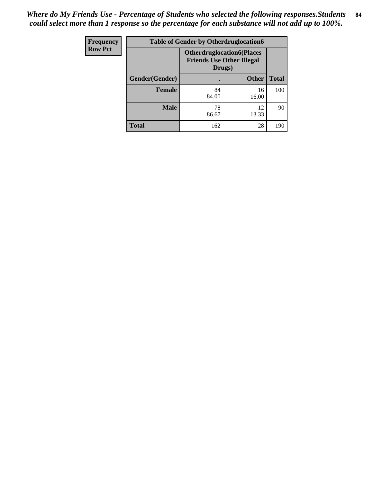| <b>Frequency</b> | <b>Table of Gender by Otherdruglocation6</b> |                                                                                |              |              |
|------------------|----------------------------------------------|--------------------------------------------------------------------------------|--------------|--------------|
| <b>Row Pct</b>   |                                              | <b>Otherdruglocation6(Places</b><br><b>Friends Use Other Illegal</b><br>Drugs) |              |              |
|                  | Gender(Gender)                               |                                                                                | <b>Other</b> | <b>Total</b> |
|                  | Female                                       | 84<br>84.00                                                                    | 16<br>16.00  | 100          |
|                  | <b>Male</b>                                  | 78<br>86.67                                                                    | 12<br>13.33  | 90           |
|                  | <b>Total</b>                                 | 162                                                                            | 28           | 190          |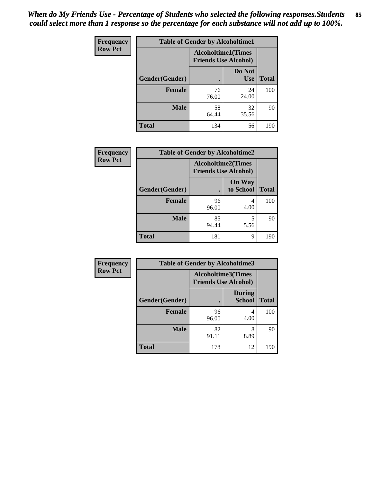| Frequency      | <b>Table of Gender by Alcoholtime1</b> |                                                          |                      |              |
|----------------|----------------------------------------|----------------------------------------------------------|----------------------|--------------|
| <b>Row Pct</b> |                                        | <b>Alcoholtime1(Times</b><br><b>Friends Use Alcohol)</b> |                      |              |
|                | Gender(Gender)                         | $\bullet$                                                | Do Not<br><b>Use</b> | <b>Total</b> |
|                | <b>Female</b>                          | 76<br>76.00                                              | 24<br>24.00          | 100          |
|                | <b>Male</b>                            | 58<br>64.44                                              | 32<br>35.56          | 90           |
|                | <b>Total</b>                           | 134                                                      | 56                   | 190          |

| Frequency      | <b>Table of Gender by Alcoholtime2</b> |                                                          |                            |              |
|----------------|----------------------------------------|----------------------------------------------------------|----------------------------|--------------|
| <b>Row Pct</b> |                                        | <b>Alcoholtime2(Times</b><br><b>Friends Use Alcohol)</b> |                            |              |
|                | Gender(Gender)                         |                                                          | <b>On Way</b><br>to School | <b>Total</b> |
|                | <b>Female</b>                          | 96<br>96.00                                              | 4<br>4.00                  | 100          |
|                | <b>Male</b>                            | 85<br>94.44                                              | 5<br>5.56                  | 90           |
|                | <b>Total</b>                           | 181                                                      | 9                          | 190          |

| Frequency      | <b>Table of Gender by Alcoholtime3</b> |                                                          |                                |              |
|----------------|----------------------------------------|----------------------------------------------------------|--------------------------------|--------------|
| <b>Row Pct</b> |                                        | <b>Alcoholtime3(Times</b><br><b>Friends Use Alcohol)</b> |                                |              |
|                | Gender(Gender)                         |                                                          | <b>During</b><br><b>School</b> | <b>Total</b> |
|                | Female                                 | 96<br>96.00                                              | 4<br>4.00                      | 100          |
|                | <b>Male</b>                            | 82<br>91.11                                              | 8<br>8.89                      | 90           |
|                | <b>Total</b>                           | 178                                                      | 12                             | 190          |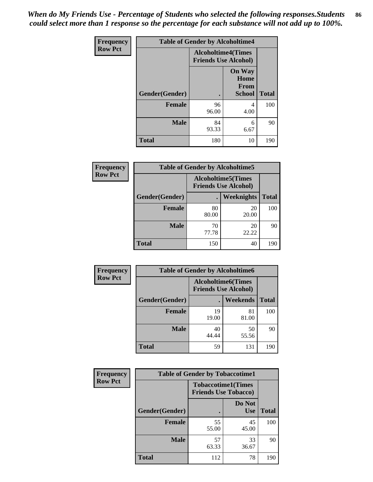*When do My Friends Use - Percentage of Students who selected the following responses.Students could select more than 1 response so the percentage for each substance will not add up to 100%.* **86**

| <b>Frequency</b> | <b>Table of Gender by Alcoholtime4</b> |                                                          |                                                |              |  |
|------------------|----------------------------------------|----------------------------------------------------------|------------------------------------------------|--------------|--|
| <b>Row Pct</b>   |                                        | <b>Alcoholtime4(Times</b><br><b>Friends Use Alcohol)</b> |                                                |              |  |
|                  | Gender(Gender)                         |                                                          | <b>On Way</b><br>Home<br>From<br><b>School</b> | <b>Total</b> |  |
|                  | <b>Female</b>                          | 96<br>96.00                                              | 4<br>4.00                                      | 100          |  |
|                  | <b>Male</b>                            | 84<br>93.33                                              | 6<br>6.67                                      | 90           |  |
|                  | <b>Total</b>                           | 180                                                      | 10                                             | 190          |  |

| <b>Frequency</b> |                |                                                           | <b>Table of Gender by Alcoholtime5</b> |              |  |
|------------------|----------------|-----------------------------------------------------------|----------------------------------------|--------------|--|
| <b>Row Pct</b>   |                | <b>Alcoholtime5</b> (Times<br><b>Friends Use Alcohol)</b> |                                        |              |  |
|                  | Gender(Gender) |                                                           | <b>Weeknights</b>                      | <b>Total</b> |  |
|                  | <b>Female</b>  | 80<br>80.00                                               | 20<br>20.00                            | 100          |  |
|                  | <b>Male</b>    | 70<br>77.78                                               | 20<br>22.22                            | 90           |  |
|                  | <b>Total</b>   | 150                                                       | 40                                     | 190          |  |

| <b>Frequency</b> | <b>Table of Gender by Alcoholtime6</b> |             |                                                          |              |  |
|------------------|----------------------------------------|-------------|----------------------------------------------------------|--------------|--|
| <b>Row Pct</b>   |                                        |             | <b>Alcoholtime6(Times</b><br><b>Friends Use Alcohol)</b> |              |  |
|                  | Gender(Gender)                         |             | <b>Weekends</b>                                          | <b>Total</b> |  |
|                  | Female                                 | 19<br>19.00 | 81<br>81.00                                              | 100          |  |
|                  | <b>Male</b>                            | 40<br>44.44 | 50<br>55.56                                              | 90           |  |
|                  | <b>Total</b>                           | 59          | 131                                                      | 190          |  |

| Frequency      | <b>Table of Gender by Tobaccotime1</b> |                                                          |                      |              |
|----------------|----------------------------------------|----------------------------------------------------------|----------------------|--------------|
| <b>Row Pct</b> |                                        | <b>Tobaccotime1(Times</b><br><b>Friends Use Tobacco)</b> |                      |              |
|                | Gender(Gender)                         |                                                          | Do Not<br><b>Use</b> | <b>Total</b> |
|                | <b>Female</b>                          | 55<br>55.00                                              | 45<br>45.00          | 100          |
|                | <b>Male</b>                            | 57<br>63.33                                              | 33<br>36.67          | 90           |
|                | <b>Total</b>                           | 112                                                      | 78                   | 190          |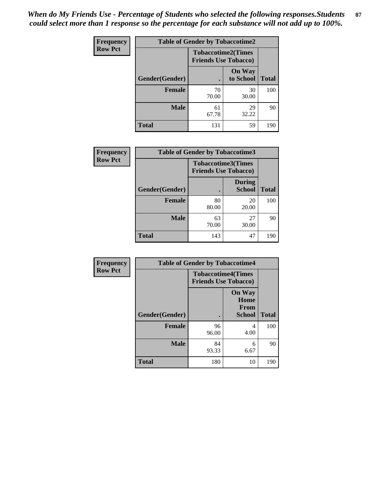| <b>Frequency</b> | <b>Table of Gender by Tobaccotime2</b> |                             |                            |              |
|------------------|----------------------------------------|-----------------------------|----------------------------|--------------|
| <b>Row Pct</b>   |                                        | <b>Friends Use Tobacco)</b> | <b>Tobaccotime2(Times</b>  |              |
|                  | Gender(Gender)                         |                             | <b>On Way</b><br>to School | <b>Total</b> |
|                  | <b>Female</b>                          | 70<br>70.00                 | 30<br>30.00                | 100          |
|                  | <b>Male</b>                            | 61<br>67.78                 | 29<br>32.22                | 90           |
|                  | <b>Total</b>                           | 131                         | 59                         | 190          |

| <b>Frequency</b> | <b>Table of Gender by Tobaccotime3</b> |                             |                                |              |
|------------------|----------------------------------------|-----------------------------|--------------------------------|--------------|
| <b>Row Pct</b>   |                                        | <b>Friends Use Tobacco)</b> | <b>Tobaccotime3(Times</b>      |              |
|                  | Gender(Gender)                         |                             | <b>During</b><br><b>School</b> | <b>Total</b> |
|                  | Female                                 | 80<br>80.00                 | 20<br>20.00                    | 100          |
|                  | <b>Male</b>                            | 63<br>70.00                 | 27<br>30.00                    | 90           |
|                  | <b>Total</b>                           | 143                         | 47                             | 190          |

| <b>Frequency</b> | <b>Table of Gender by Tobaccotime4</b> |                                                          |                                                       |              |
|------------------|----------------------------------------|----------------------------------------------------------|-------------------------------------------------------|--------------|
| <b>Row Pct</b>   |                                        | <b>Tobaccotime4(Times</b><br><b>Friends Use Tobacco)</b> |                                                       |              |
|                  | Gender(Gender)                         |                                                          | <b>On Way</b><br>Home<br><b>From</b><br><b>School</b> | <b>Total</b> |
|                  | <b>Female</b>                          | 96<br>96.00                                              | 4<br>4.00                                             | 100          |
|                  | <b>Male</b>                            | 84<br>93.33                                              | 6<br>6.67                                             | 90           |
|                  | <b>Total</b>                           | 180                                                      | 10                                                    | 190          |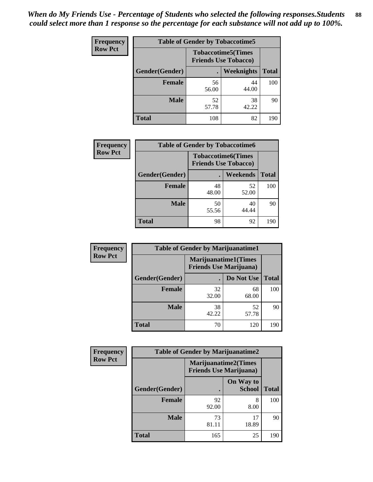| <b>Frequency</b> | <b>Table of Gender by Tobaccotime5</b> |             |                                                          |              |  |
|------------------|----------------------------------------|-------------|----------------------------------------------------------|--------------|--|
| <b>Row Pct</b>   |                                        |             | <b>Tobaccotime5(Times</b><br><b>Friends Use Tobacco)</b> |              |  |
|                  | <b>Gender</b> (Gender)                 |             | <b>Weeknights</b>                                        | <b>Total</b> |  |
|                  | Female                                 | 56<br>56.00 | 44<br>44.00                                              | 100          |  |
|                  | <b>Male</b>                            | 52<br>57.78 | 38<br>42.22                                              | 90           |  |
|                  | <b>Total</b>                           | 108         | 82                                                       | 190          |  |

| <b>Frequency</b> | <b>Table of Gender by Tobaccotime6</b> |                             |                           |              |
|------------------|----------------------------------------|-----------------------------|---------------------------|--------------|
| <b>Row Pct</b>   |                                        | <b>Friends Use Tobacco)</b> | <b>Tobaccotime6(Times</b> |              |
|                  | Gender(Gender)                         |                             | <b>Weekends</b>           | <b>Total</b> |
|                  | Female                                 | 48<br>48.00                 | 52<br>52.00               | 100          |
|                  | <b>Male</b>                            | 50<br>55.56                 | 40<br>44.44               | 90           |
|                  | <b>Total</b>                           | 98                          | 92                        | 190          |

| <b>Frequency</b> | <b>Table of Gender by Marijuanatime1</b> |                                |                             |              |
|------------------|------------------------------------------|--------------------------------|-----------------------------|--------------|
| <b>Row Pct</b>   |                                          | <b>Friends Use Marijuana</b> ) | <b>Marijuanatime1(Times</b> |              |
|                  | Gender(Gender)                           |                                | Do Not Use                  | <b>Total</b> |
|                  | <b>Female</b>                            | 32<br>32.00                    | 68<br>68.00                 | 100          |
|                  | <b>Male</b>                              | 38<br>42.22                    | 52<br>57.78                 | 90           |
|                  | <b>Total</b>                             | 70                             | 120                         | 190          |

| <b>Frequency</b> | <b>Table of Gender by Marijuanatime2</b> |                                                               |                            |              |
|------------------|------------------------------------------|---------------------------------------------------------------|----------------------------|--------------|
| <b>Row Pct</b>   |                                          | <b>Marijuanatime2(Times</b><br><b>Friends Use Marijuana</b> ) |                            |              |
|                  | Gender(Gender)                           |                                                               | On Way to<br><b>School</b> | <b>Total</b> |
|                  | <b>Female</b>                            | 92<br>92.00                                                   | 8<br>8.00                  | 100          |
|                  | <b>Male</b>                              | 73<br>81.11                                                   | 17<br>18.89                | 90           |
|                  | <b>Total</b>                             | 165                                                           | 25                         | 190          |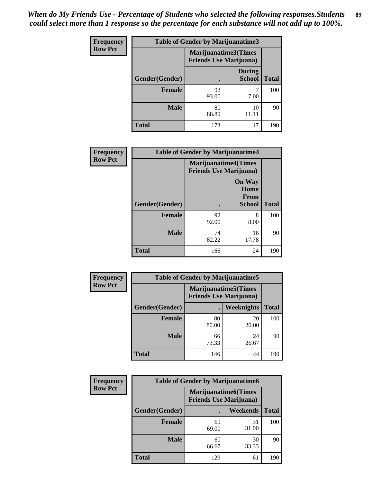| <b>Frequency</b> | Table of Gender by Marijuanatime3 |                                |                                |              |
|------------------|-----------------------------------|--------------------------------|--------------------------------|--------------|
| <b>Row Pct</b>   |                                   | <b>Friends Use Marijuana</b> ) | Marijuanatime3(Times           |              |
|                  | Gender(Gender)                    |                                | <b>During</b><br><b>School</b> | <b>Total</b> |
|                  | <b>Female</b>                     | 93<br>93.00                    | 7.00                           | 100          |
|                  | <b>Male</b>                       | 80<br>88.89                    | 10<br>11.11                    | 90           |
|                  | <b>Total</b>                      | 173                            | 17                             | 190          |

| Frequency      | <b>Table of Gender by Marijuanatime4</b> |                                                               |                                                       |              |
|----------------|------------------------------------------|---------------------------------------------------------------|-------------------------------------------------------|--------------|
| <b>Row Pct</b> |                                          | <b>Marijuanatime4(Times</b><br><b>Friends Use Marijuana</b> ) |                                                       |              |
|                | Gender(Gender)                           |                                                               | <b>On Way</b><br>Home<br><b>From</b><br><b>School</b> | <b>Total</b> |
|                | <b>Female</b>                            | 92<br>92.00                                                   | 8<br>8.00                                             | 100          |
|                | <b>Male</b>                              | 74<br>82.22                                                   | 16<br>17.78                                           | 90           |
|                | <b>Total</b>                             | 166                                                           | 24                                                    | 190          |

| Frequency      | <b>Table of Gender by Marijuanatime5</b> |             |                                                                |              |  |
|----------------|------------------------------------------|-------------|----------------------------------------------------------------|--------------|--|
| <b>Row Pct</b> |                                          |             | <b>Marijuanatime5</b> (Times<br><b>Friends Use Marijuana</b> ) |              |  |
|                | Gender(Gender)                           |             | <b>Weeknights</b>                                              | <b>Total</b> |  |
|                | <b>Female</b>                            | 80<br>80.00 | 20<br>20.00                                                    | 100          |  |
|                | <b>Male</b>                              | 66<br>73.33 | 24<br>26.67                                                    | 90           |  |
|                | <b>Total</b>                             | 146         | 44                                                             | 190          |  |

| Frequency      | <b>Table of Gender by Marijuanatime6</b> |                                                               |                 |              |  |
|----------------|------------------------------------------|---------------------------------------------------------------|-----------------|--------------|--|
| <b>Row Pct</b> |                                          | <b>Marijuanatime6(Times</b><br><b>Friends Use Marijuana</b> ) |                 |              |  |
|                | Gender(Gender)                           |                                                               | <b>Weekends</b> | <b>Total</b> |  |
|                | Female                                   | 69<br>69.00                                                   | 31<br>31.00     | 100          |  |
|                | <b>Male</b>                              | 60<br>66.67                                                   | 30<br>33.33     | 90           |  |
|                | <b>Total</b>                             | 129                                                           | 61              | 190          |  |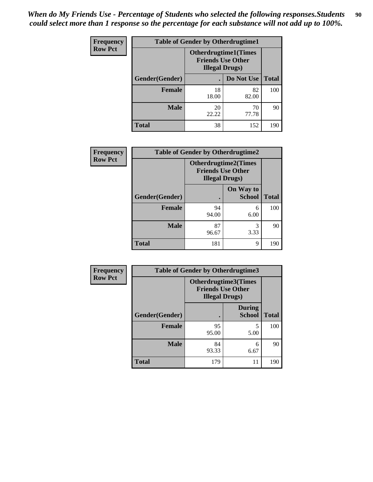| <b>Frequency</b> | <b>Table of Gender by Otherdrugtime1</b> |                                                                                  |             |              |
|------------------|------------------------------------------|----------------------------------------------------------------------------------|-------------|--------------|
| <b>Row Pct</b>   |                                          | <b>Otherdrugtime1(Times</b><br><b>Friends Use Other</b><br><b>Illegal Drugs)</b> |             |              |
|                  | Gender(Gender)                           |                                                                                  | Do Not Use  | <b>Total</b> |
|                  | <b>Female</b>                            | 18<br>18.00                                                                      | 82<br>82.00 | 100          |
|                  | <b>Male</b>                              | 20<br>22.22                                                                      | 70<br>77.78 | 90           |
|                  | <b>Total</b>                             | 38                                                                               | 152         | 190          |

| <b>Frequency</b> | <b>Table of Gender by Otherdrugtime2</b> |                        |                                                         |              |
|------------------|------------------------------------------|------------------------|---------------------------------------------------------|--------------|
| <b>Row Pct</b>   |                                          | <b>Illegal Drugs</b> ) | <b>Otherdrugtime2(Times</b><br><b>Friends Use Other</b> |              |
|                  | Gender(Gender)                           |                        | On Way to<br><b>School</b>                              | <b>Total</b> |
|                  | <b>Female</b>                            | 94<br>94.00            | 6<br>6.00                                               | 100          |
|                  | <b>Male</b>                              | 87<br>96.67            | 3<br>3.33                                               | 90           |
|                  | <b>Total</b>                             | 181                    | 9                                                       | 190          |

| <b>Frequency</b> |                | <b>Table of Gender by Otherdrugtime3</b>                                   |                                |              |
|------------------|----------------|----------------------------------------------------------------------------|--------------------------------|--------------|
| <b>Row Pct</b>   |                | Otherdrugtime3(Times<br><b>Friends Use Other</b><br><b>Illegal Drugs</b> ) |                                |              |
|                  | Gender(Gender) | $\bullet$                                                                  | <b>During</b><br><b>School</b> | <b>Total</b> |
|                  | <b>Female</b>  | 95<br>95.00                                                                | 5<br>5.00                      | 100          |
|                  | <b>Male</b>    | 84<br>93.33                                                                | 6<br>6.67                      | 90           |
|                  | <b>Total</b>   | 179                                                                        | 11                             | 190          |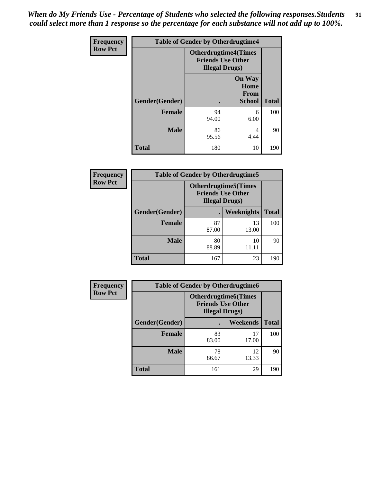*When do My Friends Use - Percentage of Students who selected the following responses.Students could select more than 1 response so the percentage for each substance will not add up to 100%.* **91**

| Frequency      | <b>Table of Gender by Otherdrugtime4</b> |                        |                                                         |              |
|----------------|------------------------------------------|------------------------|---------------------------------------------------------|--------------|
| <b>Row Pct</b> |                                          | <b>Illegal Drugs</b> ) | <b>Otherdrugtime4(Times</b><br><b>Friends Use Other</b> |              |
|                | Gender(Gender)                           |                        | <b>On Way</b><br>Home<br><b>From</b><br><b>School</b>   | <b>Total</b> |
|                | <b>Female</b>                            | 94<br>94.00            | 6<br>6.00                                               | 100          |
|                | <b>Male</b>                              | 86<br>95.56            | 4<br>4.44                                               | 90           |
|                | <b>Total</b>                             | 180                    | 10                                                      | 190          |

| <b>Frequency</b> | <b>Table of Gender by Otherdrugtime5</b> |                                                                                    |                   |              |  |
|------------------|------------------------------------------|------------------------------------------------------------------------------------|-------------------|--------------|--|
| <b>Row Pct</b>   |                                          | <b>Otherdrugtime5</b> (Times<br><b>Friends Use Other</b><br><b>Illegal Drugs</b> ) |                   |              |  |
|                  | Gender(Gender)                           |                                                                                    | <b>Weeknights</b> | <b>Total</b> |  |
|                  | <b>Female</b>                            | 87<br>87.00                                                                        | 13<br>13.00       | 100          |  |
|                  | <b>Male</b>                              | 80<br>88.89                                                                        | 10<br>11.11       | 90           |  |
|                  | Total                                    | 167                                                                                | 23                | 190          |  |

| <b>Frequency</b> | <b>Table of Gender by Otherdrugtime6</b> |                                                                                   |             |              |  |
|------------------|------------------------------------------|-----------------------------------------------------------------------------------|-------------|--------------|--|
| <b>Row Pct</b>   |                                          | <b>Otherdrugtime6(Times</b><br><b>Friends Use Other</b><br><b>Illegal Drugs</b> ) |             |              |  |
|                  | Gender(Gender)                           |                                                                                   | Weekends    | <b>Total</b> |  |
|                  | <b>Female</b>                            | 83<br>83.00                                                                       | 17<br>17.00 | 100          |  |
|                  | <b>Male</b>                              | 78<br>86.67                                                                       | 12<br>13.33 | 90           |  |
|                  | <b>Total</b>                             | 161                                                                               | 29          | 190          |  |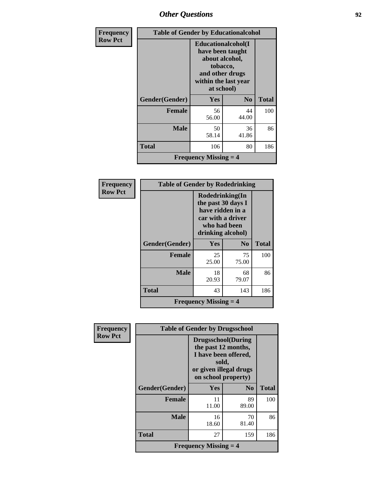### *Other Questions* **92**

| <b>Frequency</b> |                | <b>Table of Gender by Educationalcohol</b>                                                                                    |                |              |
|------------------|----------------|-------------------------------------------------------------------------------------------------------------------------------|----------------|--------------|
| <b>Row Pct</b>   |                | Educationalcohol(I<br>have been taught<br>about alcohol,<br>tobacco,<br>and other drugs<br>within the last year<br>at school) |                |              |
|                  | Gender(Gender) | Yes                                                                                                                           | N <sub>0</sub> | <b>Total</b> |
|                  | <b>Female</b>  | 56<br>56.00                                                                                                                   | 44<br>44.00    | 100          |
|                  | <b>Male</b>    | 50<br>58.14                                                                                                                   | 36<br>41.86    | 86           |
|                  | <b>Total</b>   | 106                                                                                                                           | 80             | 186          |
|                  |                | <b>Frequency Missing <math>=</math> 4</b>                                                                                     |                |              |

| Frequency      | <b>Table of Gender by Rodedrinking</b> |                                                                                                                     |                |              |  |
|----------------|----------------------------------------|---------------------------------------------------------------------------------------------------------------------|----------------|--------------|--|
| <b>Row Pct</b> |                                        | Rodedrinking(In<br>the past 30 days I<br>have ridden in a<br>car with a driver<br>who had been<br>drinking alcohol) |                |              |  |
|                | Gender(Gender)                         | <b>Yes</b>                                                                                                          | N <sub>0</sub> | <b>Total</b> |  |
|                | <b>Female</b>                          | 25<br>25.00                                                                                                         | 75<br>75.00    | 100          |  |
|                | <b>Male</b>                            | 18<br>20.93                                                                                                         | 68<br>79.07    | 86           |  |
|                | <b>Total</b>                           | 43                                                                                                                  | 143            | 186          |  |
|                |                                        | <b>Frequency Missing <math>=</math> 4</b>                                                                           |                |              |  |

| Frequency      | <b>Table of Gender by Drugsschool</b> |                                                                                                                                     |                |              |
|----------------|---------------------------------------|-------------------------------------------------------------------------------------------------------------------------------------|----------------|--------------|
| <b>Row Pct</b> |                                       | <b>Drugsschool</b> (During<br>the past 12 months,<br>I have been offered,<br>sold,<br>or given illegal drugs<br>on school property) |                |              |
|                | Gender(Gender)                        | Yes                                                                                                                                 | N <sub>0</sub> | <b>Total</b> |
|                | <b>Female</b>                         | 11<br>11.00                                                                                                                         | 89<br>89.00    | 100          |
|                | <b>Male</b>                           | 16<br>18.60                                                                                                                         | 70<br>81.40    | 86           |
|                | <b>Total</b>                          | 27                                                                                                                                  | 159            | 186          |
|                |                                       | <b>Frequency Missing <math>=</math> 4</b>                                                                                           |                |              |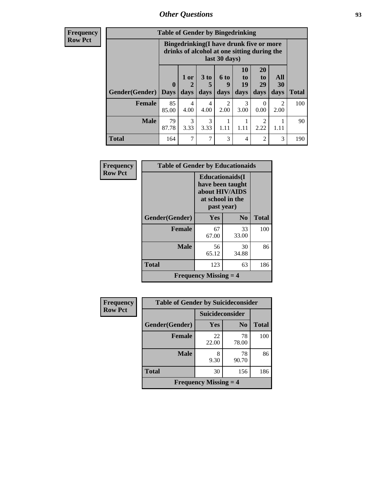### *Other Questions* **93**

**Frequency Row Pct**

| <b>Table of Gender by Bingedrinking</b> |                                                                                                         |                |                   |                   |                        |                               |                          |              |
|-----------------------------------------|---------------------------------------------------------------------------------------------------------|----------------|-------------------|-------------------|------------------------|-------------------------------|--------------------------|--------------|
|                                         | Bingedrinking(I have drunk five or more<br>drinks of alcohol at one sitting during the<br>last 30 days) |                |                   |                   |                        |                               |                          |              |
| <b>Gender</b> (Gender)                  | $\mathbf 0$<br>  Days                                                                                   | $1$ or<br>days | 3 to<br>5<br>days | 6 to<br>9<br>days | 10<br>to<br>19<br>days | <b>20</b><br>to<br>29<br>days | All<br><b>30</b><br>days | <b>Total</b> |
| <b>Female</b>                           | 85<br>85.00                                                                                             | 4<br>4.00      | 4<br>4.00         | 2<br>2.00         | 3<br>3.00              | 0<br>0.00                     | $\mathfrak{D}$<br>2.00   | 100          |
| <b>Male</b>                             | 79<br>87.78                                                                                             | 3<br>3.33      | 3<br>3.33         | 1.11              | 1.11                   | 2<br>2.22                     | 1.11                     | 90           |
| <b>Total</b>                            | 164                                                                                                     | 7              | $\overline{7}$    | 3                 | 4                      | 2                             | 3                        | 190          |

| Frequency      | <b>Table of Gender by Educationaids</b> |                                                                                                 |             |              |  |
|----------------|-----------------------------------------|-------------------------------------------------------------------------------------------------|-------------|--------------|--|
| <b>Row Pct</b> |                                         | <b>Educationaids</b> (I<br>have been taught<br>about HIV/AIDS<br>at school in the<br>past year) |             |              |  |
|                | Gender(Gender)                          | Yes                                                                                             | $\bf No$    | <b>Total</b> |  |
|                | <b>Female</b>                           | 67<br>67.00                                                                                     | 33<br>33.00 | 100          |  |
|                | <b>Male</b>                             | 56<br>65.12                                                                                     | 30<br>34.88 | 86           |  |
|                | <b>Total</b>                            | 123                                                                                             | 63          | 186          |  |
|                |                                         | <b>Frequency Missing <math>=</math> 4</b>                                                       |             |              |  |

| <b>Frequency</b> | <b>Table of Gender by Suicideconsider</b> |                        |                |              |  |
|------------------|-------------------------------------------|------------------------|----------------|--------------|--|
| <b>Row Pct</b>   |                                           | <b>Suicideconsider</b> |                |              |  |
|                  | Gender(Gender)                            | Yes                    | N <sub>0</sub> | <b>Total</b> |  |
|                  | <b>Female</b>                             | 22<br>22.00            | 78<br>78.00    | 100          |  |
|                  | <b>Male</b>                               | 8<br>9.30              | 78<br>90.70    | 86           |  |
|                  | <b>Total</b>                              | 30                     | 156            | 186          |  |
|                  | <b>Frequency Missing <math>=</math> 4</b> |                        |                |              |  |